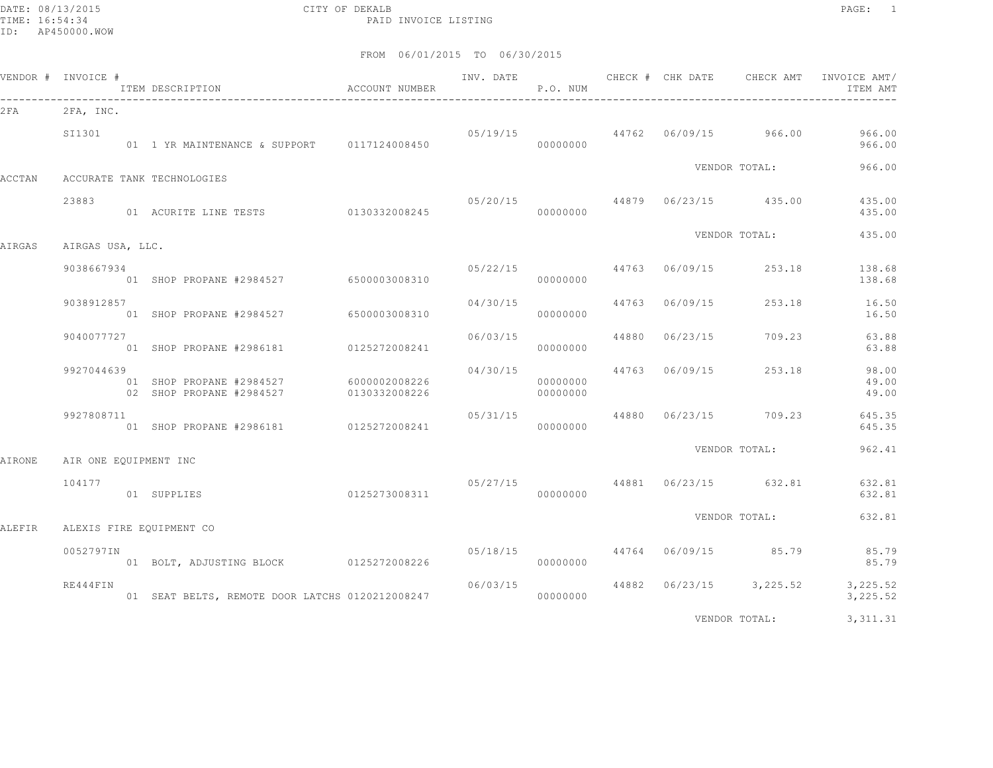DATE: 08/13/2015 CITY OF DEKALB PAGE: 1 PAID INVOICE LISTING

|        | VENDOR # INVOICE #    | ITEM DESCRIPTION <a> b</a> b b a<br>d<br>aCCOUNT NUMBER<br>------------------------------ |               | INV. DATE | P.O. NUM             |                         | CHECK # CHK DATE CHECK AMT       | INVOICE AMT/<br>ITEM AMT                          |
|--------|-----------------------|-------------------------------------------------------------------------------------------|---------------|-----------|----------------------|-------------------------|----------------------------------|---------------------------------------------------|
| 2 F A  | 2FA, INC.             |                                                                                           |               |           |                      |                         |                                  |                                                   |
|        | SI1301                | 01 1 YR MAINTENANCE & SUPPORT 0117124008450                                               |               |           | 00000000             |                         |                                  | $05/19/15$ 44762 06/09/15 966.00 966.00<br>966.00 |
| ACCTAN |                       | ACCURATE TANK TECHNOLOGIES                                                                |               |           |                      |                         | VENDOR TOTAL:                    | 966.00                                            |
|        | 23883                 | 01 ACURITE LINE TESTS 0130332008245                                                       |               |           | 00000000             |                         | $05/20/15$ 44879 06/23/15 435.00 | 435.00<br>435.00                                  |
| AIRGAS | AIRGAS USA, LLC.      |                                                                                           |               |           |                      |                         | VENDOR TOTAL:                    | 435.00                                            |
|        | 9038667934            | 01 SHOP PROPANE #2984527 6500003008310                                                    |               |           | 00000000             |                         | $05/22/15$ 44763 06/09/15 253.18 | 138.68<br>138.68                                  |
|        | 9038912857            | 01 SHOP PROPANE #2984527 6500003008310                                                    |               | 04/30/15  | 00000000             |                         | 44763 06/09/15 253.18            | 16.50<br>16.50                                    |
|        | 9040077727            | 01 SHOP PROPANE #2986181 0125272008241                                                    |               |           | 00000000             | 06/03/15 44880 06/23/15 | 709.23                           | 63.88<br>63.88                                    |
|        | 9927044639            | 01 SHOP PROPANE #2984527 6000002008226<br>02 SHOP PROPANE #2984527                        | 0130332008226 | 04/30/15  | 00000000<br>00000000 | 44763 06/09/15          | 253.18                           | 98.00<br>49.00<br>49.00                           |
|        | 9927808711            | 01 SHOP PROPANE #2986181 0125272008241                                                    |               |           | 00000000             |                         | $05/31/15$ 44880 06/23/15 709.23 | 645.35<br>645.35                                  |
| AIRONE | AIR ONE EQUIPMENT INC |                                                                                           |               |           |                      |                         | VENDOR TOTAL:                    | 962.41                                            |
|        | 104177                | 01 SUPPLIES                                                                               | 0125273008311 | 00000000  |                      |                         | 05/27/15 44881 06/23/15 632.81   | 632.81<br>632.81                                  |
| ALEFIR |                       | ALEXIS FIRE EQUIPMENT CO                                                                  |               |           |                      |                         | VENDOR TOTAL:                    | 632.81                                            |
|        | 0052797IN             | 01 BOLT, ADJUSTING BLOCK 0125272008226                                                    |               |           | 00000000             |                         | 05/18/15 44764 06/09/15 85.79    | 85.79<br>85.79                                    |
|        | RE444FIN              |                                                                                           |               | 06/03/15  |                      |                         | 44882 06/23/15 3,225.52          | 3,225.52<br>3,225.52                              |
|        |                       |                                                                                           |               |           |                      |                         | VENDOR TOTAL:                    | 3, 311.31                                         |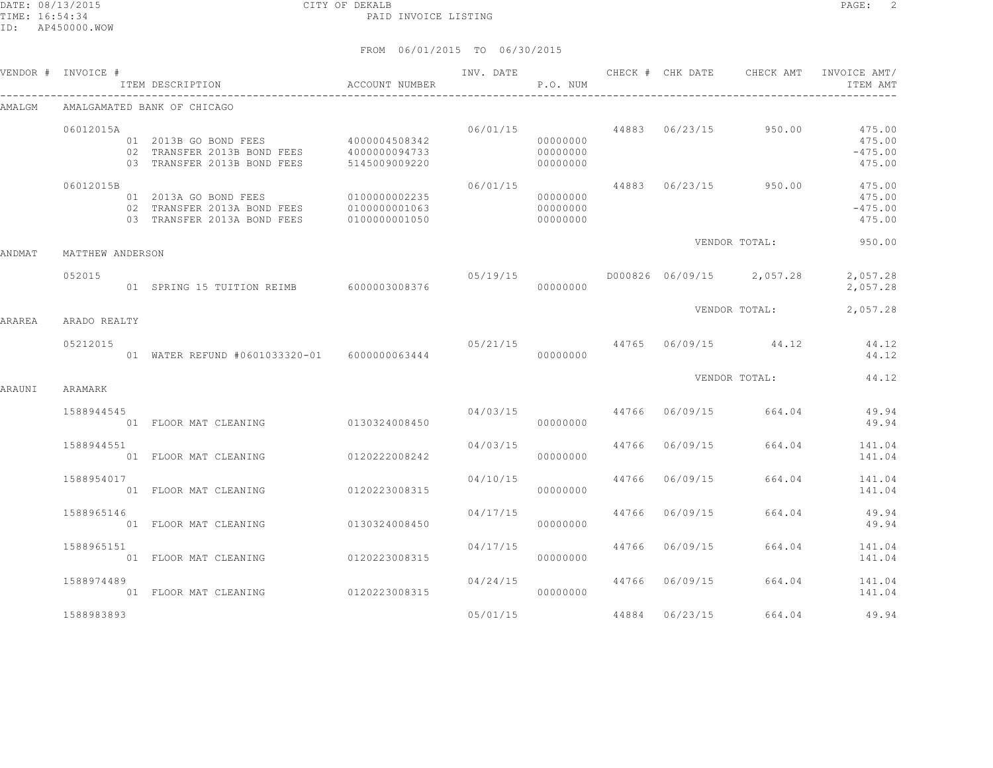01 FLOOR MAT CLEANING 0130324008450

01 FLOOR MAT CLEANING 0120223008315

01 FLOOR MAT CLEANING 0120223008315

#### FROM 06/01/2015 TO 06/30/2015

|        | VENDOR # INVOICE #<br>ITEM DESCRIPTION                            | ACCOUNT NUMBER                                                                                         |          | P.O. NUM                         |                         | INV. DATE 6 1992 CHECK # CHK DATE 6 CHECK AMT INVOICE AMT | ITEM AMT                                |
|--------|-------------------------------------------------------------------|--------------------------------------------------------------------------------------------------------|----------|----------------------------------|-------------------------|-----------------------------------------------------------|-----------------------------------------|
| AMALGM | AMALGAMATED BANK OF CHICAGO                                       |                                                                                                        |          |                                  |                         |                                                           |                                         |
|        | 06012015A<br>03 TRANSFER 2013B BOND FEES                          | 01  2013B  GO  BOND  FEES  4000004508342<br>02 TRANSFER 2013B BOND FEES 4000000094733<br>5145009009220 |          | 00000000<br>00000000<br>00000000 |                         | $06/01/15$ 44883 06/23/15 950.00                          | 475.00<br>475.00<br>$-475.00$<br>475.00 |
|        | 06012015B<br>01 2013A GO BOND FEES<br>03 TRANSFER 2013A BOND FEES | 0100000002235<br>02 TRANSFER 2013A BOND FEES 0100000001063<br>0100000001050                            | 06/01/15 | 00000000<br>00000000<br>00000000 |                         | 44883 06/23/15 950.00                                     | 475.00<br>475.00<br>$-475.00$<br>475.00 |
| ANDMAT | MATTHEW ANDERSON                                                  |                                                                                                        |          |                                  |                         | VENDOR TOTAL:                                             | 950.00                                  |
|        | 052015                                                            | 01 SPRING 15 TUITION REIMB 6000003008376                                                               | 05/19/15 | 00000000                         |                         | D000826 06/09/15 2,057.28 2,057.28                        | 2,057.28                                |
| ARAREA | ARADO REALTY                                                      |                                                                                                        |          |                                  |                         | VENDOR TOTAL:                                             | 2,057.28                                |
|        | 05212015                                                          | 01 WATER REFUND #0601033320-01    6000000063444                                                        |          | 00000000                         |                         | $05/21/15$ 44765 06/09/15 44.12                           | 44.12<br>44.12                          |
| ARAUNI | ARAMARK                                                           |                                                                                                        |          |                                  |                         | VENDOR TOTAL: 44.12                                       |                                         |
|        | 1588944545                                                        | 01 FLOOR MAT CLEANING 0130324008450                                                                    |          | 00000000                         |                         | $04/03/15$ $44766$ $06/09/15$ $664.04$                    | 49.94<br>49.94                          |
|        | 1588944551                                                        | 01 FLOOR MAT CLEANING 0120222008242                                                                    | 04/03/15 | 00000000                         |                         | 44766 06/09/15 664.04                                     | 141.04<br>141.04                        |
|        | 1588954017<br>01 FLOOR MAT CLEANING                               | 0120223008315                                                                                          | 04/10/15 | 00000000                         |                         | 44766 06/09/15 664.04                                     | 141.04<br>141.04                        |
|        | 1588965146<br>01 FLOOR MAT CLEANING                               | 0130324008450                                                                                          |          | 00000000                         | 04/17/15 44766 06/09/15 |                                                           | 664.04 49.94<br>49.94                   |

1588965151 04/17/15 44766 06/09/15 664.04 141.04

1588974489 04/24/15 44766 06/09/15 664.04 1588974489 04/24/15 1588974489 06/09/15 00000000 01 FLOOR MAT CLEANING

1588983893 05/01/15 44884 06/23/15 664.04 49.94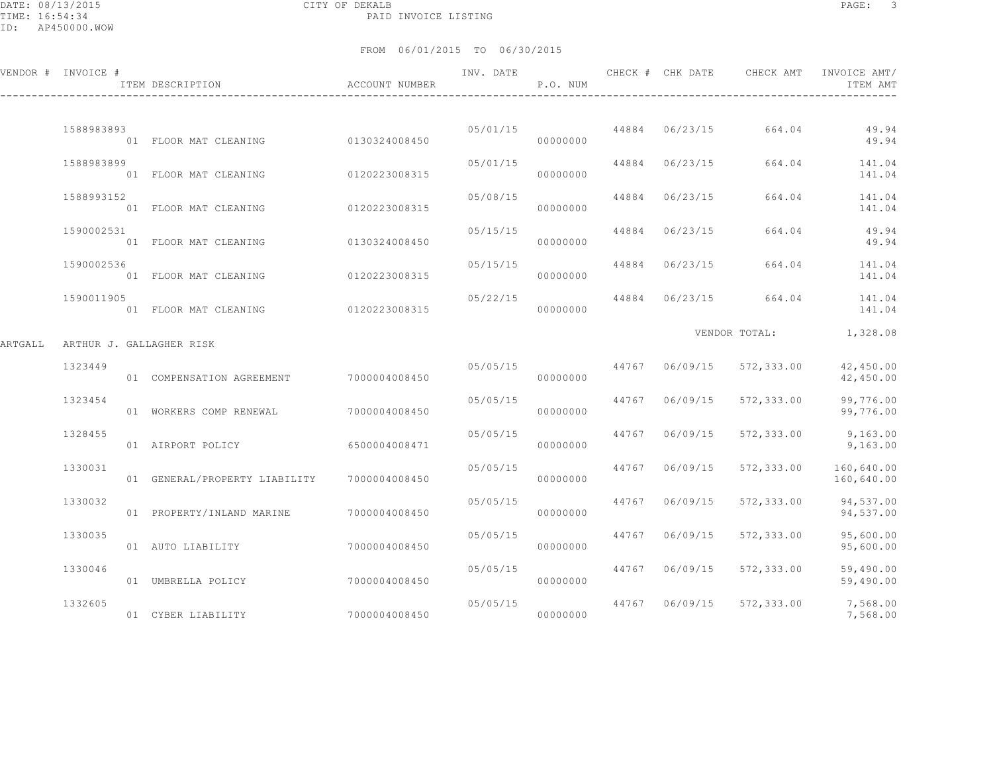DATE: 08/13/2015 CITY OF DEKALB PAGE: 3 PAID INVOICE LISTING

|         | VENDOR # INVOICE # | ACCOUNT NUMBER<br>ITEM DESCRIPTION |               | INV. DATE | P.O. NUM |       | CHECK # CHK DATE | CHECK AMT     | INVOICE AMT/<br>ITEM AMT |
|---------|--------------------|------------------------------------|---------------|-----------|----------|-------|------------------|---------------|--------------------------|
|         | 1588983893         | 01 FLOOR MAT CLEANING              | 0130324008450 | 05/01/15  | 00000000 | 44884 | 06/23/15         | 664.04        | 49.94<br>49.94           |
|         | 1588983899         | 01 FLOOR MAT CLEANING              | 0120223008315 | 05/01/15  | 00000000 | 44884 | 06/23/15         | 664.04        | 141.04<br>141.04         |
|         | 1588993152         | 01 FLOOR MAT CLEANING              | 0120223008315 | 05/08/15  | 00000000 | 44884 | 06/23/15         | 664.04        | 141.04<br>141.04         |
|         | 1590002531         | 01 FLOOR MAT CLEANING              | 0130324008450 | 05/15/15  | 00000000 | 44884 | 06/23/15         | 664.04        | 49.94<br>49.94           |
|         | 1590002536         | 01 FLOOR MAT CLEANING              | 0120223008315 | 05/15/15  | 00000000 | 44884 | 06/23/15         | 664.04        | 141.04<br>141.04         |
|         | 1590011905         | 01 FLOOR MAT CLEANING              | 0120223008315 | 05/22/15  | 00000000 | 44884 | 06/23/15         | 664.04        | 141.04<br>141.04         |
| ARTGALL |                    | ARTHUR J. GALLAGHER RISK           |               |           |          |       |                  | VENDOR TOTAL: | 1,328.08                 |
|         | 1323449            | 01 COMPENSATION AGREEMENT          | 7000004008450 | 05/05/15  | 00000000 | 44767 | 06/09/15         | 572,333.00    | 42,450.00<br>42,450.00   |
|         | 1323454            | 01 WORKERS COMP RENEWAL            | 7000004008450 | 05/05/15  | 00000000 | 44767 | 06/09/15         | 572,333.00    | 99,776.00<br>99,776.00   |
|         | 1328455            | 01 AIRPORT POLICY                  | 6500004008471 | 05/05/15  | 00000000 | 44767 | 06/09/15         | 572,333.00    | 9,163.00<br>9,163.00     |
|         | 1330031            | 01 GENERAL/PROPERTY LIABILITY      | 7000004008450 | 05/05/15  | 00000000 | 44767 | 06/09/15         | 572,333.00    | 160,640.00<br>160,640.00 |
|         | 1330032            | 01 PROPERTY/INLAND MARINE          | 7000004008450 | 05/05/15  | 00000000 | 44767 | 06/09/15         | 572,333.00    | 94,537.00<br>94,537.00   |
|         | 1330035            | 01 AUTO LIABILITY                  | 7000004008450 | 05/05/15  | 00000000 | 44767 | 06/09/15         | 572,333.00    | 95,600.00<br>95,600.00   |
|         | 1330046            | 01 UMBRELLA POLICY                 | 7000004008450 | 05/05/15  | 00000000 | 44767 | 06/09/15         | 572,333.00    | 59,490.00<br>59,490.00   |
|         | 1332605            | 01 CYBER LIABILITY                 | 7000004008450 | 05/05/15  | 00000000 | 44767 | 06/09/15         | 572,333.00    | 7,568.00<br>7,568.00     |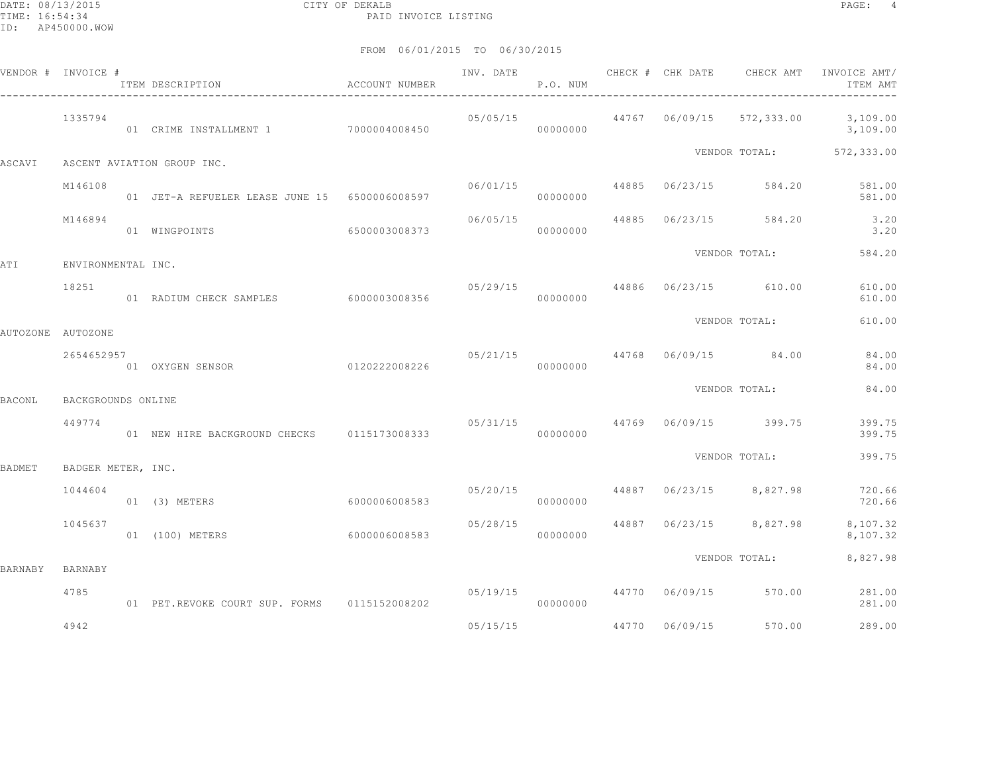|               | VENDOR # INVOICE # | ITEM DESCRIPTION<br>__________________________________ | ACCOUNT NUMBER |          | P.O. NUM |                | INV. DATE 6 CHECK # CHK DATE CHECK AMT   | INVOICE AMT/<br>ITEM AMT                                                                   |
|---------------|--------------------|--------------------------------------------------------|----------------|----------|----------|----------------|------------------------------------------|--------------------------------------------------------------------------------------------|
|               | 1335794            | 01 CRIME INSTALLMENT 1 7000004008450                   |                | 00000000 |          |                |                                          | $0.5/0.5/15$ $0.44767$ $0.6/0.9/15$ $0.572$ , $3.333$ , $0.0$ $0.109$ , $0.00$<br>3,109.00 |
| ASCAVI        |                    | ASCENT AVIATION GROUP INC.                             |                |          |          |                |                                          | VENDOR TOTAL: 572,333.00                                                                   |
|               | M146108            | 01 JET-A REFUELER LEASE JUNE 15 6500006008597          |                | 06/01/15 | 00000000 |                | 44885 06/23/15 584.20                    | 581.00<br>581.00                                                                           |
|               | M146894            | 01 WINGPOINTS                                          | 6500003008373  | 06/05/15 | 00000000 |                | 44885 06/23/15 584.20                    | 3.20<br>3.20                                                                               |
| ATI           | ENVIRONMENTAL INC. |                                                        |                |          |          |                | VENDOR TOTAL:                            | 584.20                                                                                     |
|               | 18251              | 01 RADIUM CHECK SAMPLES 6000003008356                  |                |          | 00000000 |                | 05/29/15 44886 06/23/15 610.00           | 610.00<br>610.00                                                                           |
|               | AUTOZONE AUTOZONE  |                                                        |                |          |          |                | VENDOR TOTAL:                            | 610.00                                                                                     |
|               | 2654652957         | 01 OXYGEN SENSOR 0120222008226                         |                | 00000000 |          |                | $05/21/15$ 44768 06/09/15 84.00          | 84.00<br>84.00                                                                             |
| <b>BACONL</b> | BACKGROUNDS ONLINE |                                                        |                |          |          |                | VENDOR TOTAL:                            | 84.00                                                                                      |
|               | 449774             | 01 NEW HIRE BACKGROUND CHECKS 0115173008333            |                |          | 00000000 |                | $05/31/15$ $44769$ $06/09/15$ $399.75$   | 399.75<br>399.75                                                                           |
| <b>BADMET</b> | BADGER METER, INC. |                                                        |                |          |          |                | VENDOR TOTAL:                            | 399.75                                                                                     |
|               | 1044604            | 01 (3) METERS                                          | 6000006008583  | 05/20/15 | 00000000 |                | 44887 06/23/15 8,827.98                  | 720.66<br>720.66                                                                           |
|               | 1045637            | 01 (100) METERS                                        | 6000006008583  |          | 00000000 |                | $05/28/15$ $44887$ $06/23/15$ $8,827.98$ | 8,107.32<br>8,107.32                                                                       |
| BARNABY       | BARNABY            |                                                        |                |          |          |                | VENDOR TOTAL:                            | 8,827.98                                                                                   |
|               | 4785               | 01 PET.REVOKE COURT SUP. FORMS 0115152008202           |                | 05/19/15 | 00000000 |                | 44770 06/09/15 570.00                    | 281.00<br>281.00                                                                           |
|               | 4942               |                                                        |                | 05/15/15 |          | 44770 06/09/15 | 570.00                                   | 289.00                                                                                     |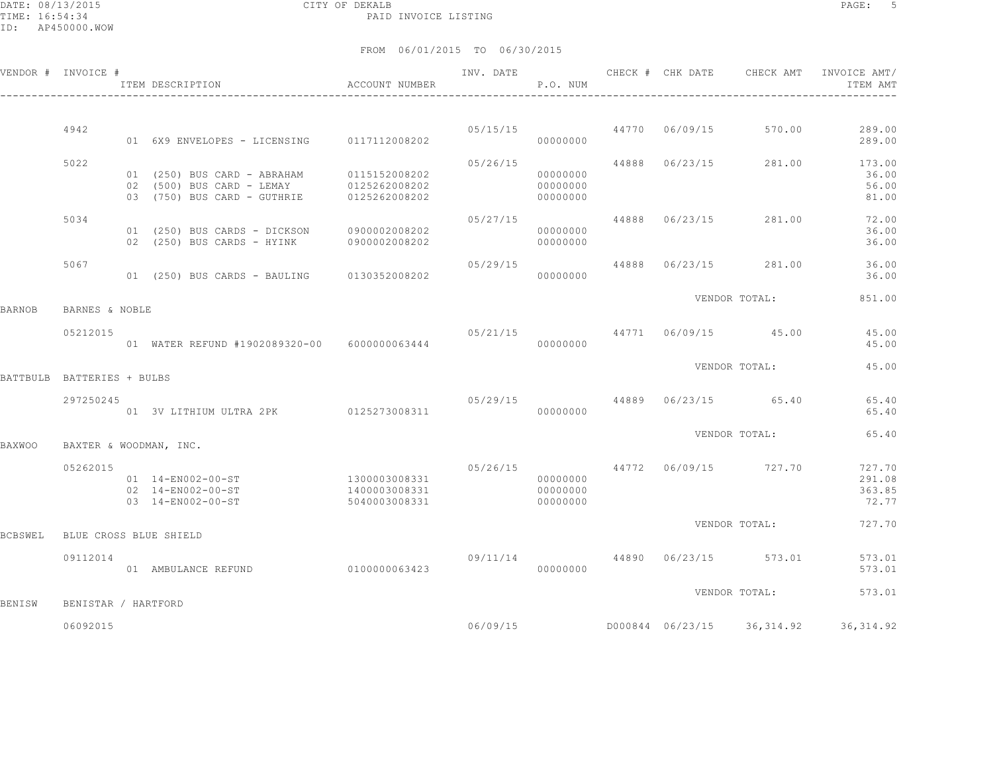|         | VENDOR # INVOICE #         | ITEM DESCRIPTION                                                                                      | ACCOUNT NUMBER                                  | INV. DATE                     | P.O. NUM                         |       |                | CHECK # CHK DATE CHECK AMT | INVOICE AMT/<br>ITEM AMT            |
|---------|----------------------------|-------------------------------------------------------------------------------------------------------|-------------------------------------------------|-------------------------------|----------------------------------|-------|----------------|----------------------------|-------------------------------------|
|         |                            |                                                                                                       |                                                 |                               |                                  |       |                |                            |                                     |
|         | 4942                       | 01 6X9 ENVELOPES - LICENSING 0117112008202                                                            |                                                 | 05/15/15                      | 00000000                         |       | 44770 06/09/15 | 570.00                     | 289.00<br>289.00                    |
|         | 5022                       | 01 (250) BUS CARD - ABRAHAM 0115152008202<br>02 (500) BUS CARD - LEMAY<br>03 (750) BUS CARD - GUTHRIE | 0125262008202<br>0125262008202                  | 05/26/15                      | 00000000<br>00000000<br>00000000 | 44888 | 06/23/15       | 281.00                     | 173.00<br>36.00<br>56.00<br>81.00   |
|         | 5034                       | 01 (250) BUS CARDS - DICKSON<br>02 (250) BUS CARDS - HYINK 0900002008202                              | 0900002008202                                   | 05/27/15                      | 00000000<br>00000000             | 44888 | 06/23/15       | 281.00                     | 72.00<br>36.00<br>36.00             |
|         | 5067                       | 01 (250) BUS CARDS - BAULING                                                                          | 0130352008202                                   | 05/29/15                      | 00000000                         | 44888 | 06/23/15       | 281.00                     | 36.00<br>36.00                      |
| BARNOB  | BARNES & NOBLE             |                                                                                                       |                                                 |                               |                                  |       |                | VENDOR TOTAL:              | 851.00                              |
|         | 05212015                   | 01 WATER REFUND #1902089320-00 6000000063444                                                          |                                                 | 05/21/15                      | 00000000                         |       |                | 44771 06/09/15 45.00       | 45.00<br>45.00                      |
|         | BATTBULB BATTERIES + BULBS |                                                                                                       |                                                 |                               |                                  |       |                | VENDOR TOTAL:              | 45.00                               |
|         | 297250245                  |                                                                                                       |                                                 | 05/29/15 44889 06/23/15 65.40 |                                  |       |                |                            | 65.40                               |
|         |                            | 01 3V LITHIUM ULTRA 2PK 0125273008311                                                                 |                                                 |                               | 00000000                         |       |                |                            | 65.40                               |
| BAXWOO  |                            | BAXTER & WOODMAN, INC.                                                                                |                                                 |                               |                                  |       |                | VENDOR TOTAL:              | 65.40                               |
|         | 05262015                   | 01 14-EN002-00-ST<br>02 14-EN002-00-ST<br>03 14-EN002-00-ST                                           | 1300003008331<br>1400003008331<br>5040003008331 | 05/26/15                      | 00000000<br>00000000<br>00000000 |       |                | 44772 06/09/15 727.70      | 727.70<br>291.08<br>363.85<br>72.77 |
| BCBSWEL |                            | BLUE CROSS BLUE SHIELD                                                                                |                                                 |                               |                                  |       |                | VENDOR TOTAL:              | 727.70                              |
|         | 09112014                   | 01 AMBULANCE REFUND                                                                                   | 0100000063423                                   | 09/11/14                      | 00000000                         |       |                | 44890 06/23/15 573.01      | 573.01<br>573.01                    |
| BENISW  | BENISTAR / HARTFORD        |                                                                                                       |                                                 |                               |                                  |       |                | VENDOR TOTAL:              | 573.01                              |
|         | 06092015                   |                                                                                                       |                                                 | 06/09/15                      |                                  |       |                | D000844 06/23/15 36,314.92 | 36, 314.92                          |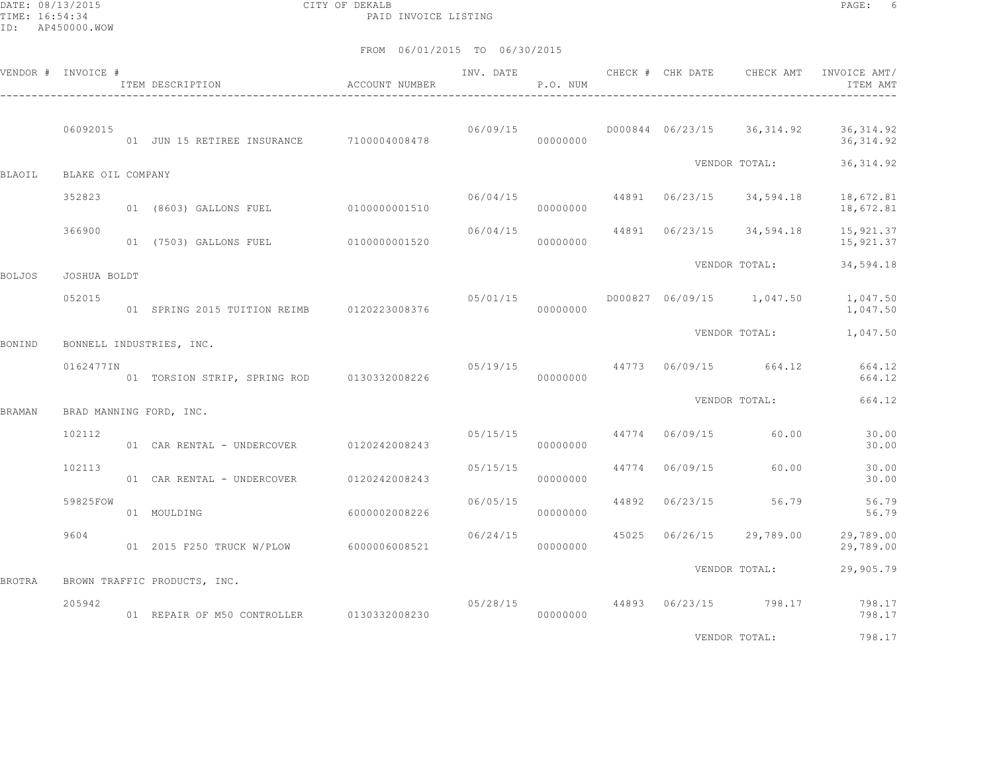DATE: 08/13/2015 CITY OF DEKALB PAGE: 6 PAID INVOICE LISTING

FROM 06/01/2015 TO 06/30/2015

|               | VENDOR # INVOICE # | ITEM DESCRIPTION                             | ACCOUNT NUMBER | INV. DATE | P.O. NUM |       | ______________________________________ | CHECK # CHK DATE CHECK AMT                                                      | INVOICE AMT/<br>ITEM AMT |
|---------------|--------------------|----------------------------------------------|----------------|-----------|----------|-------|----------------------------------------|---------------------------------------------------------------------------------|--------------------------|
|               | 06092015           | 01 JUN 15 RETIREE INSURANCE 7100004008478    |                |           | 00000000 |       |                                        | $06/09/15$ $000844$ $06/23/15$ $36,314.92$                                      | 36, 314.92<br>36, 314.92 |
| BLAOIL        | BLAKE OIL COMPANY  |                                              |                |           |          |       |                                        | VENDOR TOTAL:                                                                   | 36, 314.92               |
|               | 352823             | 01 (8603) GALLONS FUEL 0100000001510         |                | 06/04/15  | 00000000 |       |                                        | 44891 06/23/15 34,594.18                                                        | 18,672.81<br>18,672.81   |
|               | 366900             | 01 (7503) GALLONS FUEL                       | 0100000001520  | 06/04/15  | 00000000 |       |                                        | 44891 06/23/15 34,594.18                                                        | 15,921.37<br>15,921.37   |
| <b>BOLJOS</b> | JOSHUA BOLDT       |                                              |                |           |          |       |                                        | VENDOR TOTAL:                                                                   | 34,594.18                |
|               | 052015             | 01 SPRING 2015 TUITION REIMB   0120223008376 |                |           | 00000000 |       |                                        |                                                                                 | 1,047.50<br>1,047.50     |
| BONIND        |                    | BONNELL INDUSTRIES, INC.                     |                |           |          |       |                                        |                                                                                 | VENDOR TOTAL: 1,047.50   |
|               | 0162477IN          | 01 TORSION STRIP, SPRING ROD 0130332008226   |                |           | 00000000 |       |                                        | 05/19/15 44773 06/09/15 664.12                                                  | 664.12<br>664.12         |
| <b>BRAMAN</b> |                    | BRAD MANNING FORD, INC.                      |                |           |          |       |                                        | VENDOR TOTAL:                                                                   | 664.12                   |
|               | 102112             | 01 CAR RENTAL - UNDERCOVER 0120242008243     |                | 05/15/15  | 00000000 |       | 44774 06/09/15                         | 60.00                                                                           | 30.00<br>30.00           |
|               | 102113             | 01 CAR RENTAL - UNDERCOVER                   | 0120242008243  | 05/15/15  | 00000000 |       | 44774 06/09/15                         | 60.00                                                                           | 30.00<br>30.00           |
|               | 59825FOW           | 01 MOULDING                                  | 6000002008226  | 06/05/15  | 00000000 | 44892 |                                        | 06/23/15 56.79                                                                  | 56.79<br>56.79           |
|               | 9604               |                                              |                | 06/24/15  | 00000000 |       |                                        | 45025 06/26/15 29,789.00                                                        | 29,789.00<br>29,789.00   |
| <b>BROTRA</b> |                    | BROWN TRAFFIC PRODUCTS, INC.                 |                |           |          |       |                                        | VENDOR TOTAL:                                                                   | 29,905.79                |
|               | 205942             | 01 REPAIR OF M50 CONTROLLER 0130332008230    |                |           | 00000000 |       |                                        | 05/28/15 44893 06/23/15 798.17                                                  | 798.17<br>798.17         |
|               |                    |                                              |                |           |          |       |                                        | the contract of the contract of the contract of the contract of the contract of | .                        |

VENDOR TOTAL: 798.17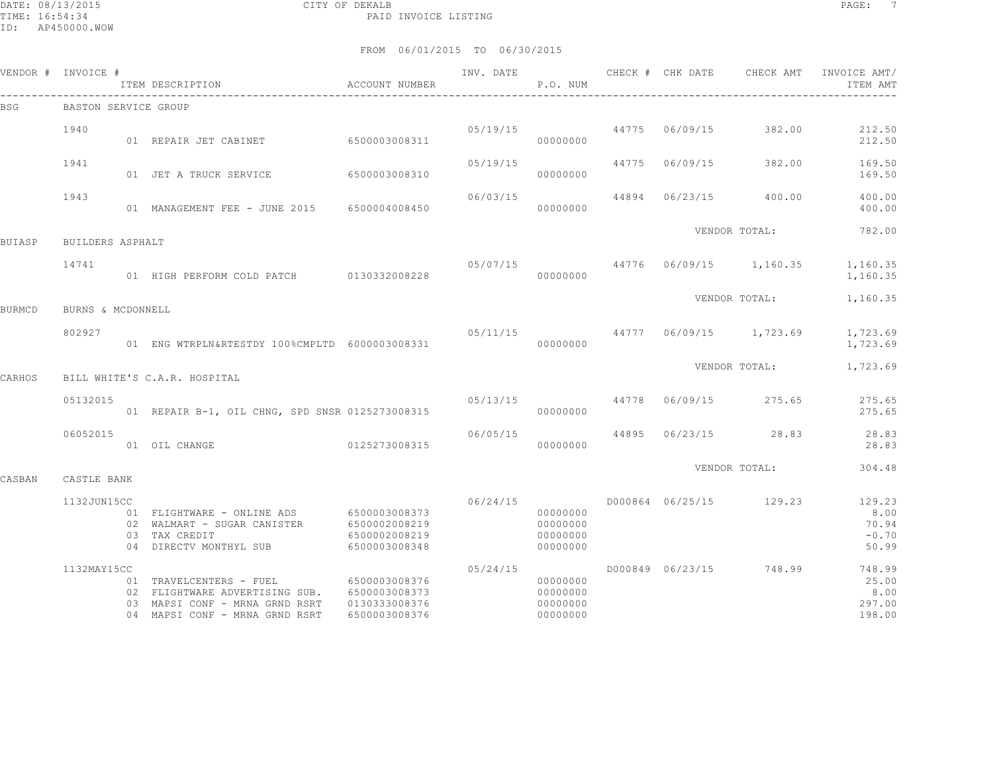|        | VENDOR # INVOICE #   | ITEM DESCRIPTION                                                                                                              | ACCOUNT NUMBER                                                   | INV. DATE | P.O. NUM                                     | CHECK # CHK DATE | CHECK AMT                        | INVOICE AMT/<br>ITEM AMT                    |
|--------|----------------------|-------------------------------------------------------------------------------------------------------------------------------|------------------------------------------------------------------|-----------|----------------------------------------------|------------------|----------------------------------|---------------------------------------------|
| BSG    | BASTON SERVICE GROUP |                                                                                                                               |                                                                  |           |                                              |                  |                                  |                                             |
|        | 1940                 | 01 REPAIR JET CABINET 6500003008311                                                                                           |                                                                  | 05/19/15  | 00000000                                     | 44775 06/09/15   | 382.00                           | 212.50<br>212.50                            |
|        | 1941                 | 01 JET A TRUCK SERVICE                                                                                                        | 6500003008310                                                    | 05/19/15  | 00000000                                     | 44775 06/09/15   | 382.00                           | 169.50<br>169.50                            |
|        | 1943                 | 01 MANAGEMENT FEE - JUNE 2015 6500004008450                                                                                   |                                                                  | 06/03/15  | 00000000                                     | 44894 06/23/15   | 400.00                           | 400.00<br>400.00                            |
| BUIASP | BUILDERS ASPHALT     |                                                                                                                               |                                                                  |           |                                              |                  | VENDOR TOTAL:                    | 782.00                                      |
|        | 14741                | 01 HIGH PERFORM COLD PATCH 0130332008228                                                                                      |                                                                  | 05/07/15  | 00000000                                     |                  | 44776 06/09/15 1,160.35          | 1,160.35<br>1,160.35                        |
| BURMCD | BURNS & MCDONNELL    |                                                                                                                               |                                                                  |           |                                              |                  | VENDOR TOTAL:                    | 1,160.35                                    |
|        | 802927               | 01 ENG WTRPLN&RTESTDY 100%CMPLTD 6000003008331                                                                                |                                                                  |           | 00000000                                     |                  | 05/11/15 44777 06/09/15 1,723.69 | 1,723.69<br>1,723.69                        |
| CARHOS |                      | BILL WHITE'S C.A.R. HOSPITAL                                                                                                  |                                                                  |           |                                              |                  | VENDOR TOTAL:                    | 1,723.69                                    |
|        | 05132015             | 01 REPAIR B-1, OIL CHNG, SPD SNSR 0125273008315                                                                               |                                                                  | 05/13/15  | 00000000                                     | 44778 06/09/15   | 275.65                           | 275.65<br>275.65                            |
|        | 06052015             | 01 OIL CHANGE<br>0125273008315                                                                                                |                                                                  | 06/05/15  | 00000000                                     |                  | 44895 06/23/15 28.83             | 28.83<br>28.83                              |
| CASBAN | CASTLE BANK          |                                                                                                                               |                                                                  |           |                                              |                  | VENDOR TOTAL:                    | 304.48                                      |
|        | 1132JUN15CC          | 01 FLIGHTWARE - ONLINE ADS 6500003008373<br>02 WALMART - SUGAR CANISTER<br>03 TAX CREDIT<br>04 DIRECTV MONTHYL SUB            | 6500002008219<br>6500002008219<br>6500003008348                  | 06/24/15  | 00000000<br>00000000<br>00000000<br>00000000 |                  | D000864 06/25/15 129.23          | 129.23<br>8.00<br>70.94<br>$-0.70$<br>50.99 |
|        | 1132MAY15CC          | 01 TRAVELCENTERS - FUEL<br>02 FLIGHTWARE ADVERTISING SUB.<br>03 MAPSI CONF - MRNA GRND RSRT<br>04 MAPSI CONF - MRNA GRND RSRT | 6500003008376<br>6500003008373<br>0130333008376<br>6500003008376 | 05/24/15  | 00000000<br>00000000<br>00000000<br>00000000 |                  | D000849 06/23/15 748.99          | 748.99<br>25.00<br>8.00<br>297.00<br>198.00 |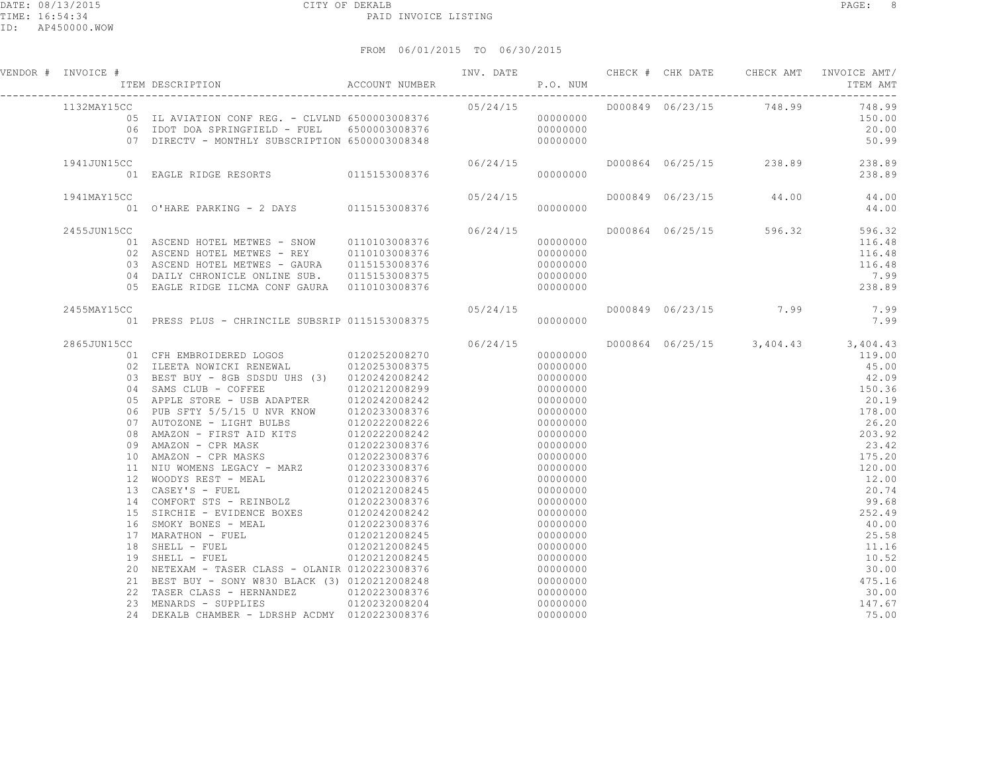| VENDOR # INVOICE # | F THE CHECK FOR THE CHECK FOR THE SERIE TEM DESCRIPTION ACCOUNT NUMBER P.O. NUM                                                                                                                                                          |          |          |  | INV. DATE CHECK # CHK DATE CHECK AMT INVOICE AMT/<br>ITEM AMT |
|--------------------|------------------------------------------------------------------------------------------------------------------------------------------------------------------------------------------------------------------------------------------|----------|----------|--|---------------------------------------------------------------|
| 1132MAY15CC        |                                                                                                                                                                                                                                          |          |          |  | 748.99                                                        |
|                    |                                                                                                                                                                                                                                          |          |          |  | 150.00                                                        |
|                    |                                                                                                                                                                                                                                          |          |          |  | 20.00                                                         |
|                    |                                                                                                                                                                                                                                          |          |          |  | 50.99                                                         |
| 1941JUN15CC        |                                                                                                                                                                                                                                          | 06/24/15 |          |  | D000864 06/25/15 238.89 238.89                                |
|                    | 01 EAGLE RIDGE RESORTS 0115153008376                                                                                                                                                                                                     |          | 00000000 |  | 238.89                                                        |
| 1941MAY15CC        |                                                                                                                                                                                                                                          |          |          |  | D000849 06/23/15 44.00 44.00                                  |
|                    | CC 05/24/15<br>01 0'HARE PARKING - 2 DAYS 0115153008376                                                                                                                                                                                  |          |          |  | 44.00                                                         |
| 2455JUN15CC        |                                                                                                                                                                                                                                          | 06/24/15 |          |  | D000864 06/25/15 596.32 596.32                                |
|                    | 01 ASCEND HOTEL METWES - SNOW 0110103008376                                                                                                                                                                                              |          | 00000000 |  | 116.48                                                        |
|                    | 02 ASCEND HOTEL METWES - REY 0110103008376                                                                                                                                                                                               |          | 00000000 |  | 116.48                                                        |
|                    | 03 ASCEND HOTEL METWES - GAURA 0115153008376                                                                                                                                                                                             |          | 00000000 |  | 116.48                                                        |
|                    |                                                                                                                                                                                                                                          |          |          |  | 7.99                                                          |
|                    | 05 EAGLE RIDGE ILCMA CONF GAURA 0110103008376                                                                                                                                                                                            |          | 00000000 |  | 238.89                                                        |
| 2455MAY15CC        |                                                                                                                                                                                                                                          |          |          |  | $7.99$<br>$7.99$                                              |
|                    |                                                                                                                                                                                                                                          |          |          |  |                                                               |
| 2865JUN15CC        |                                                                                                                                                                                                                                          | 06/24/15 |          |  | D000864 06/25/15 3,404.43 3,404.43                            |
|                    | 01 CFH EMBROIDERED LOGOS 0120252008270<br>02 ILEETA NOWICKI RENEWAL 0120253008375                                                                                                                                                        |          | 00000000 |  | 119.00                                                        |
|                    |                                                                                                                                                                                                                                          |          | 00000000 |  | 45.00                                                         |
|                    | 03 BEST BUY - 8GB SDSDU UHS (3) 0120242008242                                                                                                                                                                                            |          | 00000000 |  | 42.09                                                         |
|                    | 04 SAMS CLUB - COFFEE 0120212008299                                                                                                                                                                                                      |          | 00000000 |  | 150.36                                                        |
|                    |                                                                                                                                                                                                                                          |          | 00000000 |  | 20.19                                                         |
|                    | 05 APPLE STORE - USB ADAPTER 0120242008242<br>06 PUB SFTY 5/5/15 U NVR KNOW 0120233008376<br>07 AUTOZONE - LIGHT BULBS 0120222008226<br>08 AMAZON - FIRST AID KITS 0120222008242<br>09 AMAZON - CPR MASKS 0120223008376<br>1. AMAZON - C |          | 00000000 |  | 178.00                                                        |
|                    |                                                                                                                                                                                                                                          |          | 00000000 |  | 26.20                                                         |
|                    |                                                                                                                                                                                                                                          |          | 00000000 |  | 203.92                                                        |
|                    |                                                                                                                                                                                                                                          |          | 00000000 |  | 23.42                                                         |
|                    |                                                                                                                                                                                                                                          |          | 00000000 |  | 175.20                                                        |
|                    |                                                                                                                                                                                                                                          |          |          |  | 120.00                                                        |
|                    |                                                                                                                                                                                                                                          |          |          |  | 12.00                                                         |
|                    |                                                                                                                                                                                                                                          |          |          |  | 20.74                                                         |
|                    |                                                                                                                                                                                                                                          |          |          |  | 99.68                                                         |
|                    |                                                                                                                                                                                                                                          |          |          |  | 252.49                                                        |
|                    |                                                                                                                                                                                                                                          |          |          |  | 40.00                                                         |
|                    |                                                                                                                                                                                                                                          |          |          |  | 25.58<br>11.16                                                |
|                    |                                                                                                                                                                                                                                          |          |          |  |                                                               |
|                    |                                                                                                                                                                                                                                          |          |          |  | 10.52<br>30.00                                                |
|                    |                                                                                                                                                                                                                                          |          |          |  | 475.16                                                        |
|                    |                                                                                                                                                                                                                                          |          |          |  | 30.00                                                         |
|                    |                                                                                                                                                                                                                                          |          |          |  | 147.67                                                        |
|                    |                                                                                                                                                                                                                                          |          |          |  | 75.00                                                         |
|                    |                                                                                                                                                                                                                                          |          |          |  |                                                               |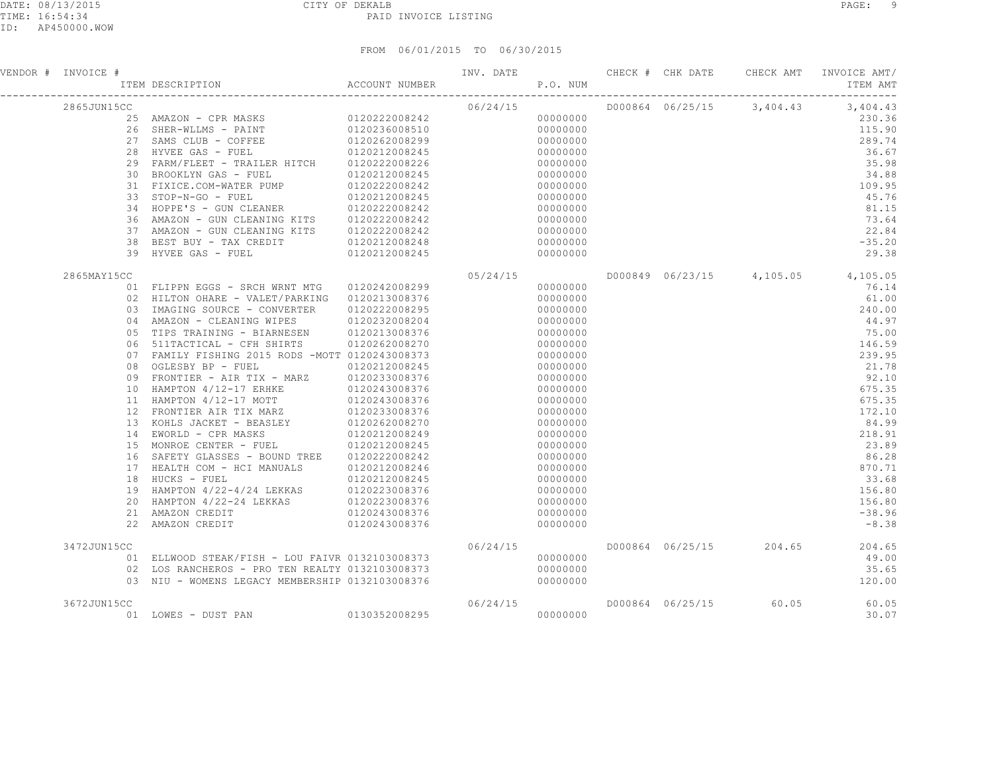| VENDOR # INVOICE # | F TEM DESCRIPTION CHEC<br>ITEM DESCRIPTION ACCOUNT NUMBER P.O. NUM                                                                                                                                                                                                                                                                                                                                                                      |  |  |                        | INV. DATE 6 CHECK # CHK DATE CHECK AMT INVOICE AMT/<br>ITEM AMT                                                                                                                                                                                                                                                           |
|--------------------|-----------------------------------------------------------------------------------------------------------------------------------------------------------------------------------------------------------------------------------------------------------------------------------------------------------------------------------------------------------------------------------------------------------------------------------------|--|--|------------------------|---------------------------------------------------------------------------------------------------------------------------------------------------------------------------------------------------------------------------------------------------------------------------------------------------------------------------|
| 2865JUN15CC        | $\begin{tabular}{@{}c@{}}\n  \multicolumn{3}{c}{\textbf{GCC}}\n  \multicolumn{3}{c}{\textbf{GCC}}\n  \multicolumn{3}{c}{\textbf{GCC}}\n  \multicolumn{3}{c}{\textbf{GCC}}\n  \multicolumn{3}{c}{\textbf{GOC}}\n  \multicolumn{3}{c}{\textbf{GOC}}\n  \multicolumn{3}{c}{\textbf{GOC}}\n  \multicolumn{3}{c}{\textbf{GOC}}\n  \end{tabular}\n  \end{tabular}\n  \begin{tabular}{c}{\textbf{GOC}}\n  \multicolumn{3}{c}{\textbf{GOC}}\n $ |  |  |                        |                                                                                                                                                                                                                                                                                                                           |
|                    |                                                                                                                                                                                                                                                                                                                                                                                                                                         |  |  |                        |                                                                                                                                                                                                                                                                                                                           |
|                    |                                                                                                                                                                                                                                                                                                                                                                                                                                         |  |  |                        |                                                                                                                                                                                                                                                                                                                           |
|                    |                                                                                                                                                                                                                                                                                                                                                                                                                                         |  |  |                        |                                                                                                                                                                                                                                                                                                                           |
|                    |                                                                                                                                                                                                                                                                                                                                                                                                                                         |  |  |                        |                                                                                                                                                                                                                                                                                                                           |
|                    |                                                                                                                                                                                                                                                                                                                                                                                                                                         |  |  |                        |                                                                                                                                                                                                                                                                                                                           |
|                    |                                                                                                                                                                                                                                                                                                                                                                                                                                         |  |  |                        |                                                                                                                                                                                                                                                                                                                           |
|                    |                                                                                                                                                                                                                                                                                                                                                                                                                                         |  |  |                        |                                                                                                                                                                                                                                                                                                                           |
|                    |                                                                                                                                                                                                                                                                                                                                                                                                                                         |  |  |                        |                                                                                                                                                                                                                                                                                                                           |
|                    |                                                                                                                                                                                                                                                                                                                                                                                                                                         |  |  |                        |                                                                                                                                                                                                                                                                                                                           |
|                    |                                                                                                                                                                                                                                                                                                                                                                                                                                         |  |  |                        |                                                                                                                                                                                                                                                                                                                           |
|                    |                                                                                                                                                                                                                                                                                                                                                                                                                                         |  |  |                        |                                                                                                                                                                                                                                                                                                                           |
|                    |                                                                                                                                                                                                                                                                                                                                                                                                                                         |  |  |                        |                                                                                                                                                                                                                                                                                                                           |
|                    |                                                                                                                                                                                                                                                                                                                                                                                                                                         |  |  |                        | $3,404.43$<br>$230.36$<br>$115.90$<br>$289.74$<br>$36.69$<br>$34.88$<br>$109.95$<br>$45.76$<br>$81.15$<br>$73.64$<br>$-25.20$<br>$-35.20$<br>$29.38$                                                                                                                                                                      |
| 2865MAY15CC        |                                                                                                                                                                                                                                                                                                                                                                                                                                         |  |  |                        | D000849 06/23/15 4,105.05 4,105.05                                                                                                                                                                                                                                                                                        |
|                    |                                                                                                                                                                                                                                                                                                                                                                                                                                         |  |  |                        |                                                                                                                                                                                                                                                                                                                           |
|                    |                                                                                                                                                                                                                                                                                                                                                                                                                                         |  |  |                        |                                                                                                                                                                                                                                                                                                                           |
|                    |                                                                                                                                                                                                                                                                                                                                                                                                                                         |  |  |                        |                                                                                                                                                                                                                                                                                                                           |
|                    |                                                                                                                                                                                                                                                                                                                                                                                                                                         |  |  |                        |                                                                                                                                                                                                                                                                                                                           |
|                    |                                                                                                                                                                                                                                                                                                                                                                                                                                         |  |  |                        |                                                                                                                                                                                                                                                                                                                           |
|                    |                                                                                                                                                                                                                                                                                                                                                                                                                                         |  |  |                        |                                                                                                                                                                                                                                                                                                                           |
|                    |                                                                                                                                                                                                                                                                                                                                                                                                                                         |  |  |                        |                                                                                                                                                                                                                                                                                                                           |
|                    |                                                                                                                                                                                                                                                                                                                                                                                                                                         |  |  |                        |                                                                                                                                                                                                                                                                                                                           |
|                    |                                                                                                                                                                                                                                                                                                                                                                                                                                         |  |  |                        |                                                                                                                                                                                                                                                                                                                           |
|                    |                                                                                                                                                                                                                                                                                                                                                                                                                                         |  |  |                        |                                                                                                                                                                                                                                                                                                                           |
|                    |                                                                                                                                                                                                                                                                                                                                                                                                                                         |  |  |                        |                                                                                                                                                                                                                                                                                                                           |
|                    |                                                                                                                                                                                                                                                                                                                                                                                                                                         |  |  |                        |                                                                                                                                                                                                                                                                                                                           |
|                    |                                                                                                                                                                                                                                                                                                                                                                                                                                         |  |  |                        |                                                                                                                                                                                                                                                                                                                           |
|                    |                                                                                                                                                                                                                                                                                                                                                                                                                                         |  |  |                        |                                                                                                                                                                                                                                                                                                                           |
|                    |                                                                                                                                                                                                                                                                                                                                                                                                                                         |  |  |                        |                                                                                                                                                                                                                                                                                                                           |
|                    |                                                                                                                                                                                                                                                                                                                                                                                                                                         |  |  |                        |                                                                                                                                                                                                                                                                                                                           |
|                    |                                                                                                                                                                                                                                                                                                                                                                                                                                         |  |  |                        |                                                                                                                                                                                                                                                                                                                           |
|                    |                                                                                                                                                                                                                                                                                                                                                                                                                                         |  |  |                        |                                                                                                                                                                                                                                                                                                                           |
|                    |                                                                                                                                                                                                                                                                                                                                                                                                                                         |  |  |                        |                                                                                                                                                                                                                                                                                                                           |
|                    |                                                                                                                                                                                                                                                                                                                                                                                                                                         |  |  |                        |                                                                                                                                                                                                                                                                                                                           |
|                    |                                                                                                                                                                                                                                                                                                                                                                                                                                         |  |  |                        |                                                                                                                                                                                                                                                                                                                           |
|                    | $\begin{tabular}{cccc} 39 & HYVEK (GAS = - FUEL & 0120212008249 & 05/24/15 & 000000000 \\ \hline \end{tabular} \begin{tabular}{cccc} 50 & HIIPPN EGGS = SRCH WRNT MTG & 0120242008299 & 05/24/15 & 000000000 \\ \hline 02 & HIITON OHRRE = VALELTC/PARKING & 0120213008376 & 000000000 \\ \hline 03 & IMACAN & CLEANING WIPES & 0120222008229 & 00$                                                                                     |  |  |                        |                                                                                                                                                                                                                                                                                                                           |
| 3472JUN15CC        |                                                                                                                                                                                                                                                                                                                                                                                                                                         |  |  |                        | 06/23/15 4, 105.05 4, 105.14<br>61.00<br>240.00<br>44.9<br>76.14<br>61.00<br>240.00<br>75.00<br>75.00<br>146.59<br>239.9<br>21.78<br>92.10<br>675.35<br>772.11<br>84.9<br>218.9<br>23.8<br>86.2<br>23.8<br>86.2<br>23.8<br>86.2<br>23.8<br>86.2<br>23.8<br>86.2<br>33.4<br>156.4<br>156<br>D000864 06/25/15 204.65 204.65 |
|                    |                                                                                                                                                                                                                                                                                                                                                                                                                                         |  |  |                        | 49.00                                                                                                                                                                                                                                                                                                                     |
|                    |                                                                                                                                                                                                                                                                                                                                                                                                                                         |  |  |                        | 35.65                                                                                                                                                                                                                                                                                                                     |
|                    |                                                                                                                                                                                                                                                                                                                                                                                                                                         |  |  |                        | 120.00                                                                                                                                                                                                                                                                                                                    |
| 3672JUN15CC        |                                                                                                                                                                                                                                                                                                                                                                                                                                         |  |  | D000864 06/25/15 60.05 | 60.05                                                                                                                                                                                                                                                                                                                     |
|                    | $\begin{array}{cccccc} \texttt{CC} & & & & 06/24/15 \ \texttt{01} & \texttt{LOWES} & - & \texttt{DUST} & \texttt{PAN} & & & 0130352008295 & & & & 000000000 \end{array}$                                                                                                                                                                                                                                                                |  |  |                        | 30.07                                                                                                                                                                                                                                                                                                                     |
|                    |                                                                                                                                                                                                                                                                                                                                                                                                                                         |  |  |                        |                                                                                                                                                                                                                                                                                                                           |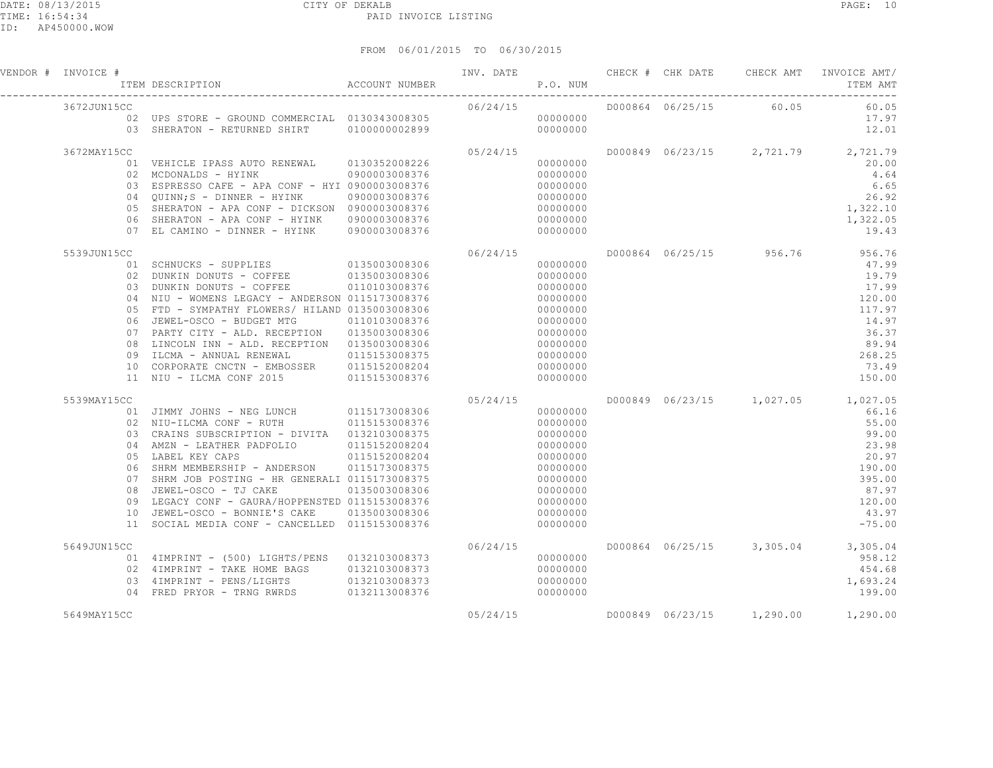| VENDOR # INVOICE # | NVOICE #<br>ITEM DESCRIPTION ACCOUNT NUMBER                                                                      |               | INV. DATE<br>P.O. NUM |                                           |  |                        | CHECK # CHK DATE CHECK AMT INVOICE AMT/<br>ITEM AMT  |
|--------------------|------------------------------------------------------------------------------------------------------------------|---------------|-----------------------|-------------------------------------------|--|------------------------|------------------------------------------------------|
| 3672JUN15CC        |                                                                                                                  |               | 06/24/15              |                                           |  | D000864 06/25/15 60.05 | 60.05                                                |
|                    |                                                                                                                  |               |                       |                                           |  |                        | 17.97                                                |
|                    |                                                                                                                  |               |                       |                                           |  |                        | 12.01                                                |
| 3672MAY15CC        | C<br>01 VEHICLE IPASS AUTO RENEWAL 0130352008226 05/24/15<br>02 MCDONALDS - HYTNK 0900003008376 0000000000       |               |                       |                                           |  |                        | D000849 06/23/15 2,721.79 2,721.79                   |
|                    |                                                                                                                  |               |                       |                                           |  |                        | 20.00                                                |
|                    |                                                                                                                  |               |                       |                                           |  |                        | 4.64                                                 |
|                    | 03 ESPRESSO CAFE - APA CONF - HYI 0900003008376                                                                  |               |                       | $000000000$<br>$000000000$<br>$000000000$ |  |                        | 6.65                                                 |
|                    | 04 QUINN; S - DINNER - HYINK 0900003008376                                                                       |               |                       |                                           |  |                        | 26.92                                                |
|                    | 05 SHERATON - APA CONF - DICKSON 0900003008376                                                                   |               |                       |                                           |  |                        | $26.92$<br>1, 322.10<br>1, 322.05                    |
|                    | 06 SHERATON - APA CONF - HYINK 0900003008376                                                                     |               |                       |                                           |  |                        | 1,322.05                                             |
|                    | 07 EL CAMINO - DINNER - HYINK                                                                                    | 0900003008376 | 00000000              |                                           |  |                        | 19.43                                                |
| 5539JUN15CC        |                                                                                                                  |               | 06/24/15              |                                           |  |                        | D000864 06/25/15 956.76 956.76                       |
|                    | 01 SCHNUCKS - SUPPLIES<br>02 DUNKIN DONUTS - COFFEE 0135003008306                                                |               |                       | $00000000$<br>$00000000$<br>00000000      |  |                        | 47.99                                                |
|                    |                                                                                                                  |               |                       |                                           |  |                        | 19.79                                                |
|                    | 03 DUNKIN DONUTS - COFFEE 0110103008376                                                                          |               |                       |                                           |  |                        | 17.99                                                |
|                    | 04 NIU - WOMENS LEGACY - ANDERSON 0115173008376                                                                  |               |                       |                                           |  |                        | 120.00                                               |
|                    | 05 FTD - SYMPATHY FLOWERS/ HILAND 0135003008306<br>06 JEWEL-OSCO - BUDGET MTG 0110103008376                      |               |                       |                                           |  |                        | 117.97                                               |
|                    |                                                                                                                  |               |                       |                                           |  |                        | 14.97                                                |
|                    | 07 PARTY CITY - ALD. RECEPTION 0135003008306<br>08 LINCOLN INN - ALD. RECEPTION 0135003008306                    |               |                       |                                           |  |                        | 36.37<br>89.94                                       |
|                    |                                                                                                                  |               |                       | 00000000                                  |  |                        | 268.25                                               |
|                    | 09 ILCMA - ANNUAL RENEWAL 0115153008375<br>10 CORPORATE CNCTN - EMBOSSER 0115152008204                           |               |                       | 00000000                                  |  |                        | 73.49                                                |
|                    | 11 NIU - ILCMA CONF 2015 0115153008376                                                                           |               |                       | 00000000                                  |  |                        | 150.00                                               |
| 5539MAY15CC        |                                                                                                                  |               |                       |                                           |  |                        | D000849 06/23/15 1,027.05 1,027.05                   |
|                    | CC 05/24/15<br>0115173008306 05/24/15 000000000 0115173008306                                                    |               |                       |                                           |  |                        | 66.16                                                |
|                    | 02 NIU-ILCMA CONF - RUTH 0115153008376                                                                           |               |                       |                                           |  |                        | 55.00                                                |
|                    | 03 CRAINS SUBSCRIPTION - DIVITA 0132103008375                                                                    |               |                       |                                           |  |                        | 99.00                                                |
|                    |                                                                                                                  |               |                       |                                           |  |                        | 23.98                                                |
|                    |                                                                                                                  |               |                       |                                           |  |                        | 20.97                                                |
|                    |                                                                                                                  |               |                       |                                           |  |                        | 190.00                                               |
|                    | 06 SHRM MEMBERSHIP - ANDERSON 0115173008375<br>07 SHRM JOB POSTING - HR GENERALI 0115173008375                   |               |                       |                                           |  |                        | 395.00                                               |
|                    | 08 JEWEL-OSCO - TJ CAKE 0135003008306                                                                            |               |                       |                                           |  |                        | 87.97                                                |
|                    | 09 LEGACY CONF - GAURA/HOPPENSTED 0115153008376                                                                  |               |                       |                                           |  |                        | 120.00                                               |
|                    | 10 JEWEL-OSCO - BONNIE'S CAKE 0135003008306                                                                      |               |                       | 00000000                                  |  |                        | 43.97                                                |
|                    | 11 SOCIAL MEDIA CONF - CANCELLED 0115153008376                                                                   |               |                       | 00000000                                  |  |                        | $-75.00$                                             |
| 5649JUN15CC        |                                                                                                                  |               |                       |                                           |  |                        | D000864 06/25/15 3,305.04 3,305.04                   |
|                    |                                                                                                                  |               |                       | 00000000                                  |  |                        | 958.12                                               |
|                    |                                                                                                                  |               |                       |                                           |  |                        | 454.68                                               |
|                    | 02 11111111111 11111 1111<br>03 4IMPRINT - PENS/LIGHTS 0132103008373<br>04 FRED PRYOR - TRNG RWRDS 0132113008376 |               |                       | 00000000                                  |  |                        | 1,693.24                                             |
|                    |                                                                                                                  |               |                       | 00000000                                  |  |                        | 199.00                                               |
| 5649MAY15CC        |                                                                                                                  |               |                       |                                           |  |                        | $05/24/15$ $000849$ $06/23/15$ $1,290.00$ $1,290.00$ |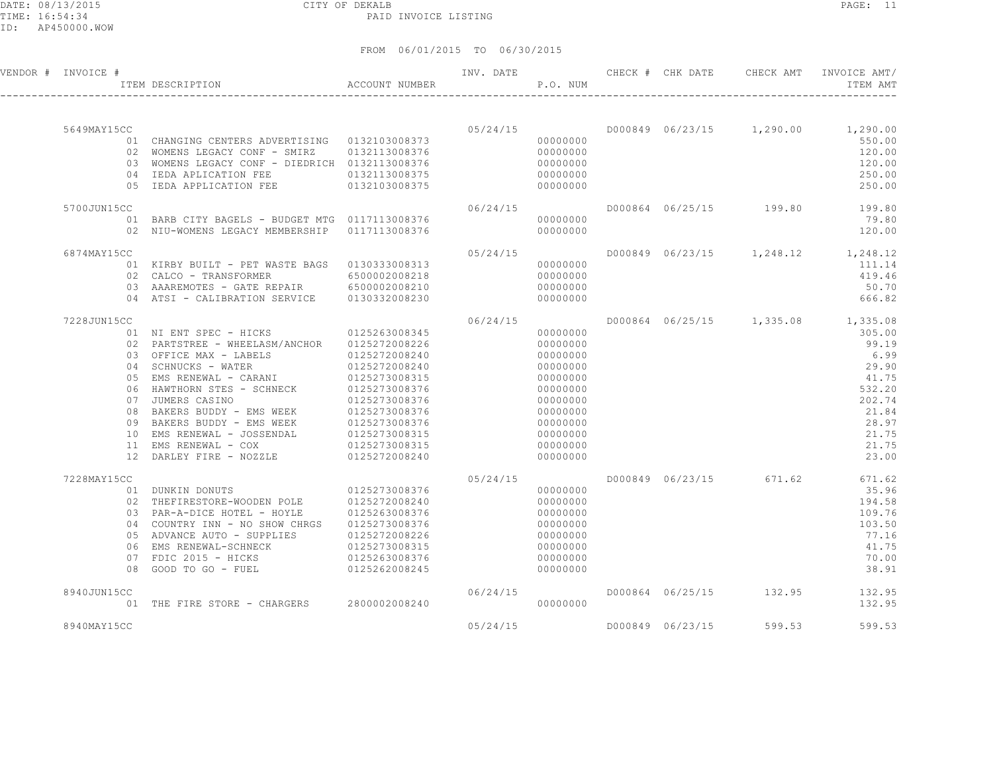#### DATE: 08/13/2015 CITY OF DEKALB PAGE: 11 PAID INVOICE LISTING

| VENDOR # INVOICE # | ITEM DESCRIPTION                                                                                                                                                               | ACCOUNT NUMBER                 | INV. DATE | P.O. NUM             |                  | CHECK # CHK DATE CHECK AMT | INVOICE AMT/<br>ITEM AMT           |
|--------------------|--------------------------------------------------------------------------------------------------------------------------------------------------------------------------------|--------------------------------|-----------|----------------------|------------------|----------------------------|------------------------------------|
|                    |                                                                                                                                                                                |                                |           |                      |                  |                            |                                    |
| 5649MAY15CC        |                                                                                                                                                                                |                                | 05/24/15  |                      |                  |                            | D000849 06/23/15 1,290.00 1,290.00 |
|                    | 01 CHANGING CENTERS ADVERTISING 0132103008373                                                                                                                                  |                                |           | 00000000             |                  |                            | 550.00                             |
|                    | 02 WOMENS LEGACY CONF - SMIRZ 0132113008376                                                                                                                                    |                                |           | 00000000             |                  |                            | 120.00                             |
|                    | 03 WOMENS LEGACY CONF - DIEDRICH 0132113008376                                                                                                                                 |                                |           | 00000000             |                  |                            | 120.00                             |
|                    | 04 IEDA APLICATION FEE                                                                                                                                                         | 0132113008375                  |           | 00000000             |                  |                            | 250.00                             |
|                    | 05 IEDA APPLICATION FEE                                                                                                                                                        | 0132103008375                  |           | 00000000             |                  |                            | 250.00                             |
| 5700JUN15CC        |                                                                                                                                                                                |                                | 06/24/15  |                      |                  |                            | D000864 06/25/15 199.80 199.80     |
|                    | 01 BARB CITY BAGELS - BUDGET MTG 0117113008376                                                                                                                                 |                                |           | 00000000             |                  |                            | 79.80                              |
|                    | 02 NIU-WOMENS LEGACY MEMBERSHIP 0117113008376                                                                                                                                  |                                |           | 00000000             |                  |                            | 120.00                             |
| 6874MAY15CC        |                                                                                                                                                                                |                                | 05/24/15  |                      |                  |                            | D000849 06/23/15 1,248.12 1,248.12 |
|                    | 01 KIRBY BUILT - PET WASTE BAGS 0130333008313                                                                                                                                  |                                |           | 00000000             |                  |                            | 111.14                             |
|                    | 02 CALCO - TRANSFORMER                                                                                                                                                         | 6500002008218                  |           | 00000000             |                  |                            | 419.46                             |
|                    | 03 AAAREMOTES - GATE REPAIR 6500002008210                                                                                                                                      |                                |           | 00000000             |                  |                            | 50.70                              |
|                    | 04 ATSI - CALIBRATION SERVICE 0130332008230                                                                                                                                    |                                |           | 00000000             |                  |                            | 666.82                             |
|                    |                                                                                                                                                                                |                                |           |                      |                  |                            |                                    |
| 7228JUN15CC        |                                                                                                                                                                                |                                | 06/24/15  |                      |                  |                            | D000864 06/25/15 1,335.08 1,335.08 |
|                    | 01 NI ENT SPEC - HICKS 0125263008345                                                                                                                                           |                                |           | 00000000             |                  |                            | 305.00                             |
|                    | 02 PARTSTREE - WHEELASM/ANCHOR 0125272008226                                                                                                                                   |                                |           | 00000000             |                  |                            | 99.19                              |
|                    | 03 OFFICE MAX - LABELS 0125272008240<br>04 SCHNUCKS - WATER 0125272008240                                                                                                      |                                |           | 00000000             |                  |                            | 6.99                               |
|                    |                                                                                                                                                                                |                                |           | 00000000             |                  |                            | 29.90                              |
|                    |                                                                                                                                                                                |                                |           | 00000000             |                  |                            | 41.75                              |
|                    |                                                                                                                                                                                |                                |           | 00000000             |                  |                            | 532.20                             |
|                    | 0125273008315<br>06 HAWTHORN STES - SCHNECK<br>0125273008315<br>07 JUMERS CASINO<br>08 BAKERS BUDDY - EMS WEEK<br>0125273008376<br>08 BAKERS BUDDY - EMS WEEK<br>0125273008376 |                                |           | 00000000<br>00000000 |                  |                            | 202.74<br>21.84                    |
|                    | 09 BAKERS BUDDY - EMS WEEK                                                                                                                                                     |                                |           | 00000000             |                  |                            | 28.97                              |
|                    | 10 EMS RENEWAL - JOSSENDAL                                                                                                                                                     | 0125273008376<br>0125273008315 |           | 00000000             |                  |                            | 21.75                              |
|                    |                                                                                                                                                                                |                                |           | 00000000             |                  |                            | 21.75                              |
|                    | 10 EMS NEWEWAL - COX<br>11 EMS RENEWAL - COX 0125273008315<br>12 DARLEY FIRE - NOZZLE 0125272008240                                                                            |                                |           | 00000000             |                  |                            | 23.00                              |
|                    |                                                                                                                                                                                |                                |           |                      |                  |                            |                                    |
| 7228MAY15CC        |                                                                                                                                                                                |                                | 05/24/15  |                      |                  | D000849 06/23/15 671.62    | 671.62                             |
|                    | 01 DUNKIN DONUTS 0125273008376<br>02 THEFIRESTORE-WOODEN POLE 0125272008240                                                                                                    |                                |           | 00000000<br>00000000 |                  |                            | 35.96                              |
|                    | 03 PAR-A-DICE HOTEL - HOYLE                                                                                                                                                    | 0125263008376                  |           | 00000000             |                  |                            | 194.58<br>109.76                   |
|                    | 04 COUNTRY INN - NO SHOW CHRGS 0125273008376                                                                                                                                   |                                |           | 00000000             |                  |                            | 103.50                             |
|                    | 05 ADVANCE AUTO - SUPPLIES                                                                                                                                                     | 0125272008226                  |           | 00000000             |                  |                            | 77.16                              |
|                    | 06 EMS RENEWAL-SCHNECK                                                                                                                                                         | 0125273008315                  |           | 00000000             |                  |                            | 41.75                              |
|                    | 07 FDIC 2015 - HICKS                                                                                                                                                           | 0125263008376                  |           | 00000000             |                  |                            | 70.00                              |
|                    | 08 GOOD TO GO - FUEL                                                                                                                                                           | 0125262008245                  |           | 00000000             |                  |                            | 38.91                              |
| 8940JUN15CC        |                                                                                                                                                                                |                                | 06/24/15  |                      |                  | D000864 06/25/15 132.95    | 132.95                             |
|                    | 01 THE FIRE STORE - CHARGERS 2800002008240                                                                                                                                     |                                |           | 00000000             |                  |                            | 132.95                             |
|                    |                                                                                                                                                                                |                                |           |                      |                  |                            |                                    |
| 8940MAY15CC        |                                                                                                                                                                                |                                | 05/24/15  |                      | D000849 06/23/15 | 599.53                     | 599.53                             |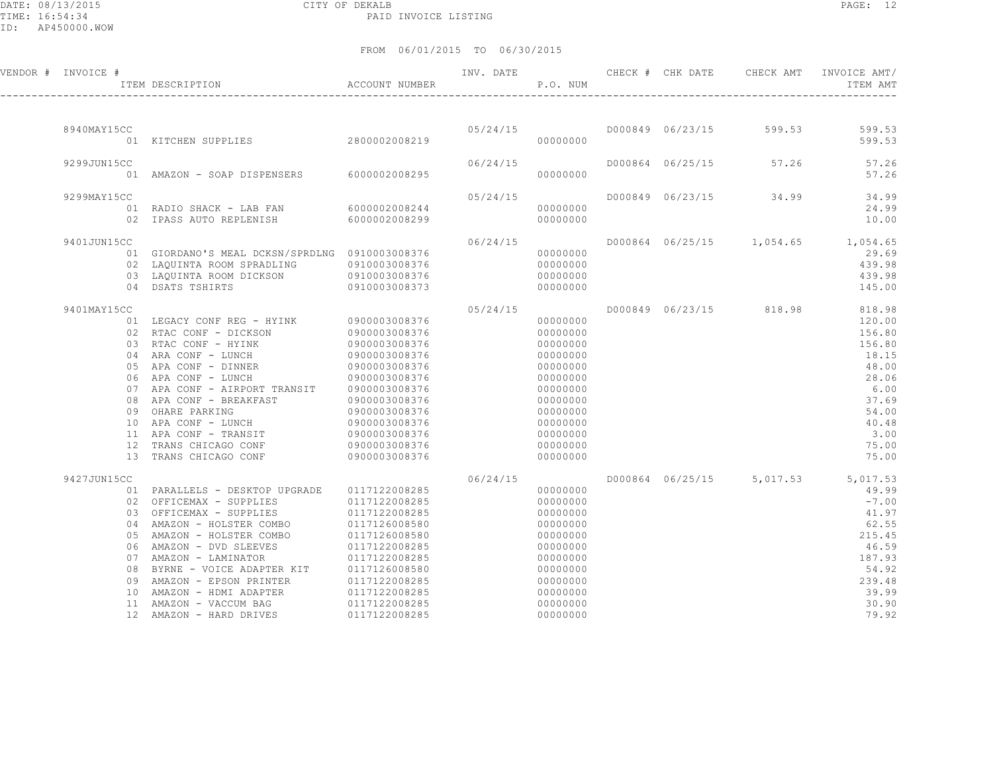DATE: 08/13/2015 CITY OF DEKALB<br>TIME: 16:54:34 PAID

PAID INVOICE LISTING

ID: AP450000.WOW

| ×<br>۰. |  |
|---------|--|
|---------|--|

| VENDOR # INVOICE # |    | TTEM DESCRIPTION                                                                                                                                           | ACCOUNT NUMBER | INV. DATE | P.O. NUM             |  |                        | ITEM AMT                           |
|--------------------|----|------------------------------------------------------------------------------------------------------------------------------------------------------------|----------------|-----------|----------------------|--|------------------------|------------------------------------|
|                    |    |                                                                                                                                                            |                |           |                      |  |                        |                                    |
| 8940MAY15CC        |    |                                                                                                                                                            |                |           |                      |  |                        |                                    |
|                    |    |                                                                                                                                                            |                |           | 00000000             |  |                        | 599.53                             |
| 9299JUN15CC        |    |                                                                                                                                                            |                | 06/24/15  |                      |  |                        | D000864 06/25/15 57.26 57.26       |
|                    |    | 01 AMAZON - SOAP DISPENSERS 6000002008295                                                                                                                  |                |           | 00000000             |  |                        | 57.26                              |
| 9299MAY15CC        |    |                                                                                                                                                            |                | 05/24/15  |                      |  | D000849 06/23/15 34.99 | 34.99                              |
|                    |    | 01 RADIO SHACK - LAB FAN 6000002008244                                                                                                                     |                |           | 00000000             |  |                        | 24.99                              |
|                    |    | 02 IPASS AUTO REPLENISH                                                                                                                                    | 6000002008299  |           | 00000000             |  |                        | 10.00                              |
| 9401JUN15CC        |    |                                                                                                                                                            |                | 06/24/15  |                      |  |                        | D000864 06/25/15 1,054.65 1,054.65 |
|                    |    | 01 GIORDANO'S MEAL DCKSN/SPRDLNG 0910003008376                                                                                                             |                | 000000000 |                      |  |                        | 29.69                              |
|                    |    | 02 LAQUINTA ROOM SPRADLING 0910003008376<br>03 LAQUINTA ROOM DICKSON 0910003008376<br>04 DSATS TSHIRTS 0910003008373                                       |                |           | 00000000             |  |                        | 439.98                             |
|                    |    |                                                                                                                                                            |                |           | 00000000             |  |                        | 439.98                             |
|                    |    |                                                                                                                                                            |                |           | 00000000             |  |                        | 145.00                             |
| 9401MAY15CC        |    |                                                                                                                                                            |                | 05/24/15  |                      |  |                        | D000849 06/23/15 818.98 818.98     |
|                    |    |                                                                                                                                                            |                |           | 00000000             |  |                        | 120.00                             |
|                    |    |                                                                                                                                                            |                |           | 00000000             |  |                        | 156.80                             |
|                    |    |                                                                                                                                                            |                |           | 00000000             |  |                        | 156.80                             |
|                    |    |                                                                                                                                                            |                |           | 00000000<br>00000000 |  |                        | 18.15<br>48.00                     |
|                    |    |                                                                                                                                                            |                |           | 00000000             |  |                        | 28.06                              |
|                    |    |                                                                                                                                                            |                |           | 00000000             |  |                        | 6.00                               |
|                    |    |                                                                                                                                                            |                |           | 00000000             |  |                        | 37.69                              |
|                    |    |                                                                                                                                                            |                |           | 00000000             |  |                        | 54.00                              |
|                    |    |                                                                                                                                                            |                |           | 00000000             |  |                        | 40.48                              |
|                    |    |                                                                                                                                                            |                |           | 00000000             |  |                        | 3.00                               |
|                    |    | 12 TRANS CHICAGO CONF 0900003008376                                                                                                                        |                |           | 00000000             |  |                        | 75.00                              |
|                    |    | 13 TRANS CHICAGO CONF                                                                                                                                      | 0900003008376  |           | 00000000             |  |                        | 75.00                              |
| 9427JUN15CC        |    |                                                                                                                                                            |                | 06/24/15  |                      |  |                        | D000864 06/25/15 5,017.53 5,017.53 |
|                    |    | 01 PARALLELS - DESKTOP UPGRADE 0117122008285                                                                                                               |                |           | 00000000             |  |                        | 49.99                              |
|                    |    | 02 OFFICEMAX - SUPPLIES 0117122008285                                                                                                                      |                |           | 00000000             |  |                        | $-7.00$                            |
|                    |    | 03 OFFICEMAX - SUPPLIES 0117122008285                                                                                                                      |                |           | 00000000             |  |                        | 41.97                              |
|                    |    | 04 AMAZON - HOLSTER COMBO                                                                                                                                  | 0117126008580  |           | 00000000             |  |                        | 62.55                              |
|                    |    | 05 AMAZON - HOLSTER COMBO 0117126008580                                                                                                                    |                |           | 00000000<br>00000000 |  |                        | 215.45<br>46.59                    |
|                    |    |                                                                                                                                                            |                |           | 00000000             |  |                        | 187.93                             |
|                    |    | 06 AMAZON - DVD SLEEVES               0117122008285<br>07 AMAZON - LAMINATOR             0117122008285<br>08 BYRNE - VOICE ADAPTER KIT       0117126008580 |                |           | 00000000             |  |                        | 54.92                              |
|                    | 09 | AMAZON - EPSON PRINTER 0117122008285                                                                                                                       |                |           | 00000000             |  |                        | 239.48                             |
|                    |    |                                                                                                                                                            |                |           | 00000000             |  |                        | 39.99                              |
|                    |    |                                                                                                                                                            |                |           | 00000000             |  |                        | 30.90                              |
|                    |    | 12 AMAZON - HARD DRIVES                                                                                                                                    | 0117122008285  |           | 00000000             |  |                        | 79.92                              |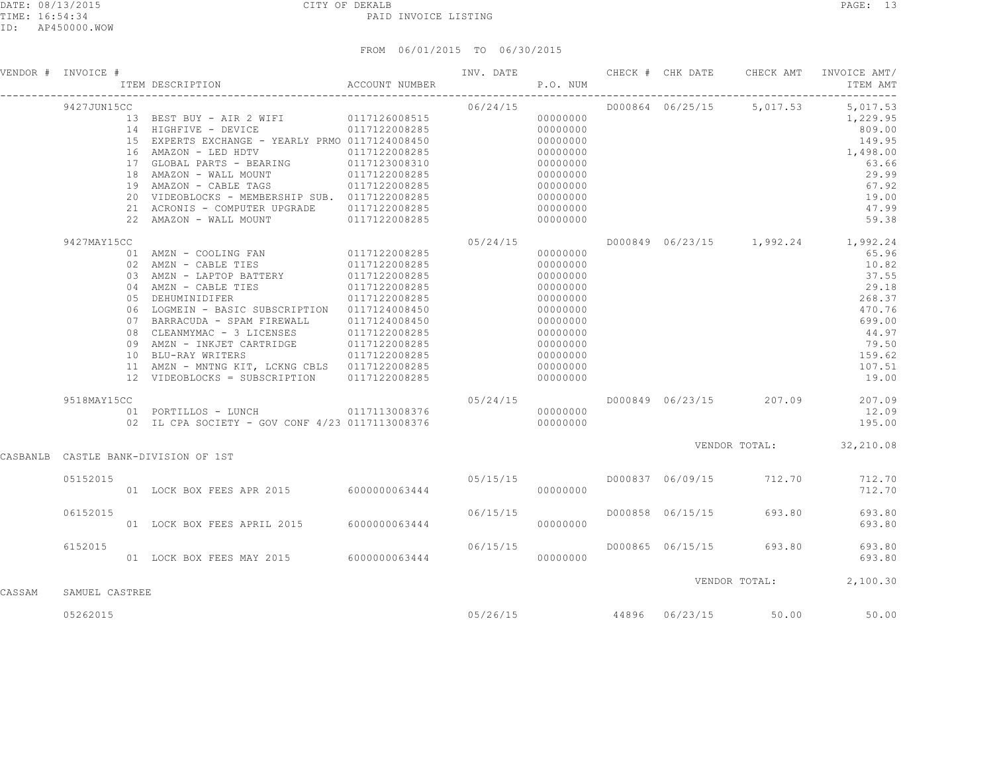|        | VENDOR # INVOICE # | #<br>ITEM DESCRIPTION                                     ACCOUNT NUMBER                                                                                                                                                                                                                                                                                                        |                                                  | P.O. NUM |                                                                                                                      |  |                                 | INV. DATE 6 CHECK # CHK DATE CHECK AMT INVOICE AMT/<br>ITEM AMT                                                                                     |
|--------|--------------------|---------------------------------------------------------------------------------------------------------------------------------------------------------------------------------------------------------------------------------------------------------------------------------------------------------------------------------------------------------------------------------|--------------------------------------------------|----------|----------------------------------------------------------------------------------------------------------------------|--|---------------------------------|-----------------------------------------------------------------------------------------------------------------------------------------------------|
|        | 9427JUN15CC        | % (CONTAINSTRY - ATR 2 WIFI 0117126008515<br>13 BEST BUY - AIR 2 WIFI 0117126008515<br>14 HIGHFIVE - DEVICE 0117122008285<br>15 EXPERTS EXCHANGE - YEARLY PRMO 0117124008450 000000000<br>16 AMAZON - LED HDTV 0117122008285 000000000<br>20 VIDEOBLOCKS - MEMBERSHIP SUB. 0117122008285<br>21 ACRONIS - COMPUTER UPGRADE 0117122008285<br>22 AMAZON - WALL MOUNT 0117122008285 |                                                  | 06/24/15 | 00000000<br>00000000<br>00000000<br>00000000<br>00000000<br>00000000                                                 |  |                                 | D000864 06/25/15 5,017.53 5,017.53<br>1,229.95<br>809.00<br>149.95<br>1,498.00<br>63.66<br>29.99<br>67.92<br>19.00<br>47.99<br>59.38                |
|        | 9427MAY15CC        | 03 AMZN - LAPTOP BATTERY 0117122008285<br>04 AMZN - CABLE TIES<br>05 DEHUMINIDIFER<br>06 LOGMEIN - BASIC SUBSCRIPTION 0117124008450<br>07 BARRACUDA - SPAM FIREWALL 0117124008450<br>10 BLU-RAY WRITERS<br>11 AMZN - MNTNG KIT, LCKNG CBLS 0117122008285<br>12 VIDEOBLOCKS = SUBSCRIPTION 0117122008285                                                                         | $0117122008285$ $0117122008285$<br>0117122008285 |          | 00000000<br>00000000<br>00000000<br>00000000<br>00000000<br>00000000<br>00000000<br>00000000<br>00000000<br>00000000 |  |                                 | D000849 06/23/15 1,992.24 1,992.24<br>65.96<br>10.82<br>37.55<br>29.18<br>268.37<br>470.76<br>699.00<br>44.97<br>79.50<br>159.62<br>107.51<br>19.00 |
|        | 9518MAY15CC        | 01 PORTILLOS - LUNCH 0117113008376                                                                                                                                                                                                                                                                                                                                              |                                                  | 05/24/15 | 00000000                                                                                                             |  |                                 | D000849 06/23/15 207.09 207.09<br>12.09<br>195.00                                                                                                   |
|        |                    | CASBANLB CASTLE BANK-DIVISION OF 1ST                                                                                                                                                                                                                                                                                                                                            |                                                  |          |                                                                                                                      |  |                                 | VENDOR TOTAL: 32,210.08                                                                                                                             |
|        | 05152015           |                                                                                                                                                                                                                                                                                                                                                                                 |                                                  |          |                                                                                                                      |  |                                 |                                                                                                                                                     |
|        | 06152015           | 01 LOCK BOX FEES APRIL 2015 6000000063444                                                                                                                                                                                                                                                                                                                                       |                                                  | 06/15/15 | 000000000                                                                                                            |  | D000858 06/15/15 693.80         | 693.80<br>693.80                                                                                                                                    |
|        | 6152015            | 06/15/15 01 LOCK BOX FEES MAY 2015 6000000063444                                                                                                                                                                                                                                                                                                                                |                                                  |          | 00000000                                                                                                             |  |                                 | D000865 06/15/15 693.80 693.80<br>693.80                                                                                                            |
| CASSAM | SAMUEL CASTREE     |                                                                                                                                                                                                                                                                                                                                                                                 |                                                  |          |                                                                                                                      |  |                                 | VENDOR TOTAL: 2,100.30                                                                                                                              |
|        | 05262015           |                                                                                                                                                                                                                                                                                                                                                                                 |                                                  |          |                                                                                                                      |  | $05/26/15$ 44896 06/23/15 50.00 | 50.00                                                                                                                                               |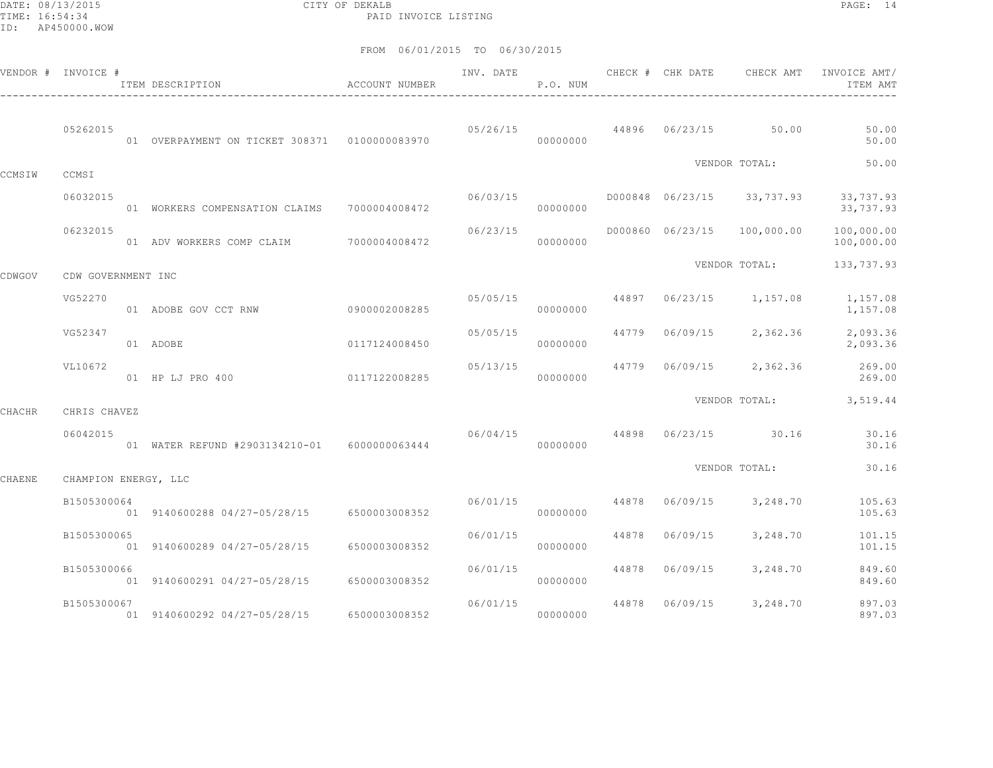DATE: 08/13/2015 CITY OF DEKALB PAGE: 14 PAID INVOICE LISTING

|        | VENDOR # INVOICE #   | ITEM DESCRIPTION                              | <b>ACCOUNT NUMBER</b> | INV. DATE | P.O. NUM |       | CHECK # CHK DATE | CHECK AMT                  | INVOICE AMT/<br>ITEM AMT |
|--------|----------------------|-----------------------------------------------|-----------------------|-----------|----------|-------|------------------|----------------------------|--------------------------|
|        | 05262015             | 01 OVERPAYMENT ON TICKET 308371 0100000083970 |                       | 05/26/15  | 00000000 |       |                  | 44896 06/23/15 50.00       | 50.00<br>50.00           |
| CCMSIW | CCMSI                |                                               |                       |           |          |       |                  | VENDOR TOTAL:              | 50.00                    |
|        | 06032015             | 01 WORKERS COMPENSATION CLAIMS 7000004008472  |                       | 06/03/15  | 00000000 |       |                  | D000848 06/23/15 33,737.93 | 33,737.93<br>33,737.93   |
|        | 06232015             | 01 ADV WORKERS COMP CLAIM 7000004008472       |                       | 06/23/15  | 00000000 |       | D000860 06/23/15 | 100,000.00                 | 100,000.00<br>100,000.00 |
| CDWGOV | CDW GOVERNMENT INC   |                                               |                       |           |          |       |                  | VENDOR TOTAL:              | 133,737.93               |
|        | VG52270              | 01 ADOBE GOV CCT RNW                          | 09000002008285        | 05/05/15  | 00000000 | 44897 | 06/23/15         | 1,157.08                   | 1,157.08<br>1,157.08     |
|        | VG52347              | 01 ADOBE                                      | 0117124008450         | 05/05/15  | 00000000 | 44779 | 06/09/15         | 2,362.36                   | 2,093.36<br>2,093.36     |
|        | VL10672              | 01 HP LJ PRO 400                              | 0117122008285         | 05/13/15  | 00000000 | 44779 | 06/09/15         | 2,362.36                   | 269.00<br>269.00         |
| CHACHR | CHRIS CHAVEZ         |                                               |                       |           |          |       |                  |                            | VENDOR TOTAL: 3,519.44   |
|        | 06042015             | 01 WATER REFUND #2903134210-01 6000000063444  |                       | 06/04/15  | 00000000 |       |                  | 44898 06/23/15 30.16       | 30.16<br>30.16           |
| CHAENE | CHAMPION ENERGY, LLC |                                               |                       |           |          |       |                  | VENDOR TOTAL:              | 30.16                    |
|        | B1505300064          | 01 9140600288 04/27-05/28/15 6500003008352    |                       | 06/01/15  | 00000000 | 44878 | 06/09/15         | 3,248.70                   | 105.63<br>105.63         |
|        | B1505300065          | 01 9140600289 04/27-05/28/15                  | 6500003008352         | 06/01/15  | 00000000 | 44878 | 06/09/15         | 3,248.70                   | 101.15<br>101.15         |
|        | B1505300066          | 01 9140600291 04/27-05/28/15                  | 6500003008352         | 06/01/15  | 00000000 | 44878 | 06/09/15         | 3,248.70                   | 849.60<br>849.60         |
|        | B1505300067          | 01 9140600292 04/27-05/28/15                  | 6500003008352         | 06/01/15  | 00000000 | 44878 | 06/09/15         | 3,248.70                   | 897.03<br>897.03         |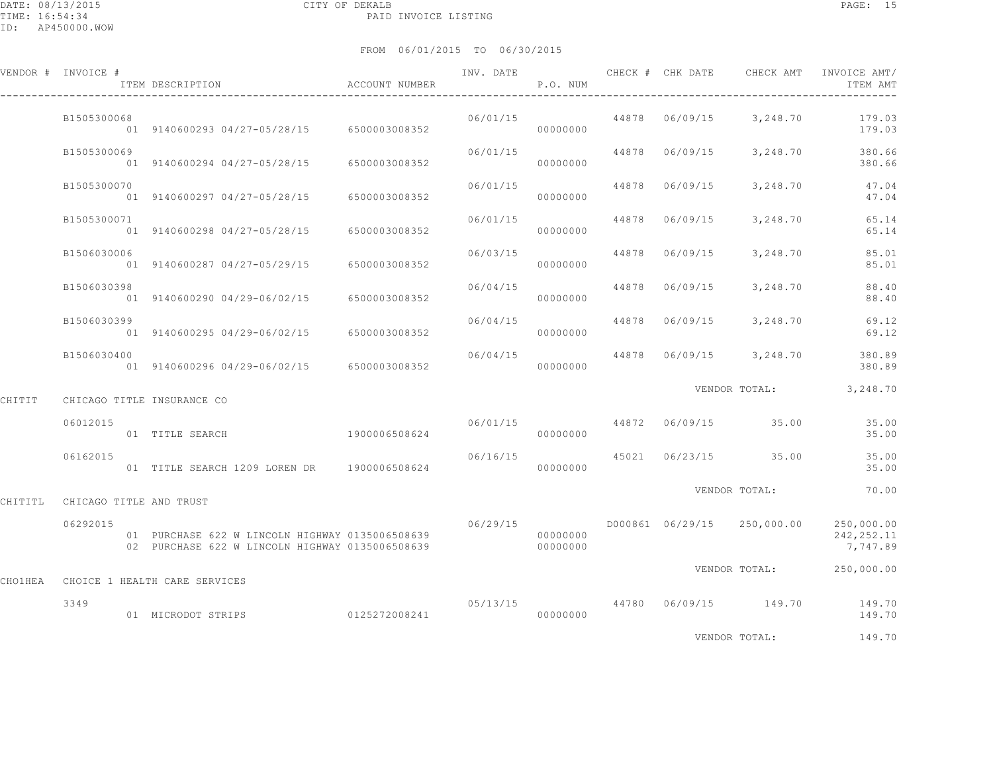|         | VENDOR # INVOICE #              | ITEM DESCRIPTION                                                                                   | ACCOUNT NUMBER |          | P.O. NUM             |                |                                     | INV. DATE 6 CHECK # CHK DATE CHECK AMT INVOICE AMT/<br>ITEM AMT   |
|---------|---------------------------------|----------------------------------------------------------------------------------------------------|----------------|----------|----------------------|----------------|-------------------------------------|-------------------------------------------------------------------|
|         | B1505300068                     | 01 9140600293 04/27-05/28/15 6500003008352                                                         |                | 06/01/15 | 00000000             |                |                                     | 44878 06/09/15 3,248.70 179.03<br>179.03                          |
|         | B1505300069                     | 01 9140600294 04/27-05/28/15 6500003008352                                                         |                | 06/01/15 | 00000000             |                |                                     | 44878  06/09/15  3,248.70  380.66<br>380.66                       |
|         | B1505300070                     | 01 9140600297 04/27-05/28/15 6500003008352                                                         |                | 06/01/15 | 00000000             | 44878 06/09/15 | 3,248.70                            | 47.04<br>47.04                                                    |
|         | B1505300071                     | 01 9140600298 04/27-05/28/15 6500003008352                                                         |                | 06/01/15 | 00000000             | 44878 06/09/15 | 3,248.70                            | 65.14<br>65.14                                                    |
|         | B1506030006                     | 01 9140600287 04/27-05/29/15 6500003008352                                                         |                | 06/03/15 | 00000000             | 44878 06/09/15 | 3,248.70                            | 85.01<br>85.01                                                    |
|         | B1506030398                     | 01 9140600290 04/29-06/02/15 6500003008352                                                         |                | 06/04/15 | 00000000             | 44878 06/09/15 | 3,248.70                            | 88.40<br>88.40                                                    |
|         | B1506030399                     | 01 9140600295 04/29-06/02/15 6500003008352                                                         |                | 06/04/15 | 00000000             |                | 44878 06/09/15 3,248.70             | 69.12<br>69.12                                                    |
|         | B1506030400                     | 01 9140600296 04/29-06/02/15 6500003008352                                                         |                | 06/04/15 | 00000000             |                | 44878  06/09/15  3,248.70           | 380.89<br>380.89                                                  |
| CHITIT  |                                 | CHICAGO TITLE INSURANCE CO                                                                         |                |          |                      |                |                                     | VENDOR TOTAL: 3,248.70                                            |
|         | 06012015                        | 01 TITLE SEARCH                                                                                    | 1900006508624  |          | 00000000             |                | $06/01/15$ $44872$ $06/09/15$ 35.00 | 35.00<br>35.00                                                    |
|         | 06162015                        | 01 TITLE SEARCH 1209 LOREN DR 1900006508624                                                        |                |          | 00000000             |                | $06/16/15$ 45021 06/23/15 35.00     | 35.00<br>35.00                                                    |
|         | CHITITL CHICAGO TITLE AND TRUST |                                                                                                    |                |          |                      |                | VENDOR TOTAL:                       | 70.00                                                             |
|         | 06292015                        | 01 PURCHASE 622 W LINCOLN HIGHWAY 0135006508639<br>02 PURCHASE 622 W LINCOLN HIGHWAY 0135006508639 |                | 06/29/15 | 00000000<br>00000000 |                |                                     | D000861 06/29/15 250,000.00 250,000.00<br>242, 252.11<br>7,747.89 |
| CHO1HEA |                                 | CHOICE 1 HEALTH CARE SERVICES                                                                      |                |          |                      |                |                                     | VENDOR TOTAL: 250,000.00                                          |
|         | 3349                            | 01 MICRODOT STRIPS                                                                                 |                |          |                      |                |                                     | 05/13/15 44780 06/09/15 149.70 149.70<br>149.70                   |
|         |                                 |                                                                                                    |                |          |                      |                | VENDOR TOTAL:                       | 149.70                                                            |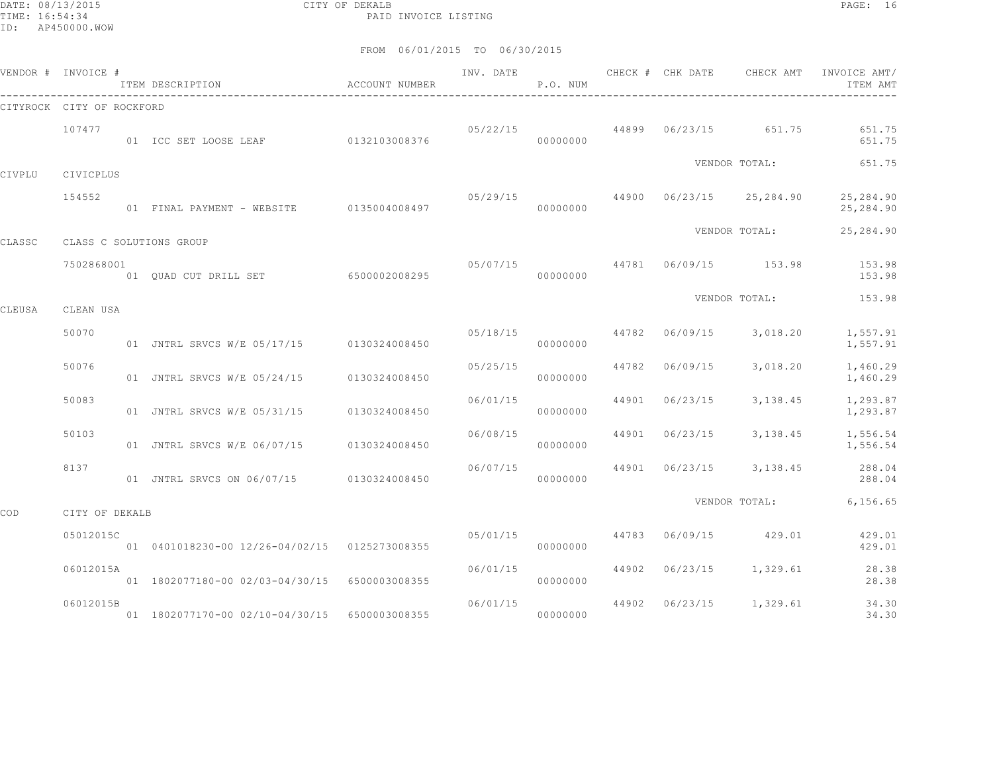DATE: 08/13/2015 CITY OF DEKALB PAGE: 16 PAID INVOICE LISTING

|        | VENDOR # INVOICE #        | ITEM DESCRIPTION                                               | <b>ACCOUNT NUMBER</b> | INV. DATE | P.O. NUM             |       | CHECK # CHK DATE | CHECK AMT                | INVOICE AMT/<br>ITEM AMT |
|--------|---------------------------|----------------------------------------------------------------|-----------------------|-----------|----------------------|-------|------------------|--------------------------|--------------------------|
|        | CITYROCK CITY OF ROCKFORD |                                                                |                       |           |                      |       |                  |                          |                          |
|        | 107477                    | 01 ICC SET LOOSE LEAF 0132103008376                            |                       | 05/22/15  | 00000000             |       |                  | 44899 06/23/15 651.75    | 651.75<br>651.75         |
| CIVPLU | CIVICPLUS                 |                                                                |                       |           |                      |       |                  | VENDOR TOTAL:            | 651.75                   |
|        | 154552                    | 01 FINAL PAYMENT - WEBSITE 0135004008497                       |                       | 05/29/15  | 00000000             |       |                  | 44900 06/23/15 25,284.90 | 25,284.90<br>25,284.90   |
|        |                           |                                                                |                       |           |                      |       |                  | VENDOR TOTAL:            | 25, 284.90               |
| CLASSC | 7502868001                | CLASS C SOLUTIONS GROUP<br>01 QUAD CUT DRILL SET 6500002008295 |                       | 05/07/15  | 00000000             |       |                  | 44781 06/09/15 153.98    | 153.98<br>153.98         |
|        |                           |                                                                |                       |           |                      |       |                  | VENDOR TOTAL:            | 153.98                   |
| CLEUSA | CLEAN USA                 |                                                                |                       |           |                      |       |                  |                          |                          |
|        | 50070                     | 01 JNTRL SRVCS W/E 05/17/15 0130324008450                      |                       |           | 05/18/15<br>00000000 | 44782 |                  | 06/09/15 3,018.20        | 1,557.91<br>1,557.91     |
|        | 50076                     | 01 JNTRL SRVCS W/E 05/24/15 0130324008450                      |                       | 05/25/15  | 00000000             | 44782 | 06/09/15         | 3,018.20                 | 1,460.29<br>1,460.29     |
|        | 50083                     | 01 JNTRL SRVCS W/E 05/31/15                                    | 0130324008450         | 06/01/15  | 00000000             | 44901 | 06/23/15         | 3,138.45                 | 1,293.87<br>1,293.87     |
|        | 50103                     | 01 JNTRL SRVCS W/E 06/07/15                                    | 0130324008450         | 06/08/15  | 00000000             | 44901 | 06/23/15         | 3,138.45                 | 1,556.54<br>1,556.54     |
|        | 8137                      | 01 JNTRL SRVCS ON 06/07/15 0130324008450                       |                       |           | 06/07/15<br>00000000 | 44901 |                  | $06/23/15$ 3, 138.45     | 288.04<br>288.04         |
| COD    | CITY OF DEKALB            |                                                                |                       |           |                      |       |                  | VENDOR TOTAL:            | 6,156.65                 |
|        | 05012015C                 | 01  0401018230-00  12/26-04/02/15  0125273008355               |                       | 05/01/15  | 00000000             | 44783 |                  | 06/09/15 429.01          | 429.01<br>429.01         |
|        | 06012015A                 | 01 1802077180-00 02/03-04/30/15 6500003008355                  |                       | 06/01/15  | 00000000             | 44902 |                  | $06/23/15$ 1, 329.61     | 28.38<br>28.38           |
|        | 06012015B                 | 01 1802077170-00 02/10-04/30/15 6500003008355                  |                       |           | 06/01/15<br>00000000 | 44902 |                  | 06/23/15 1,329.61        | 34.30<br>34.30           |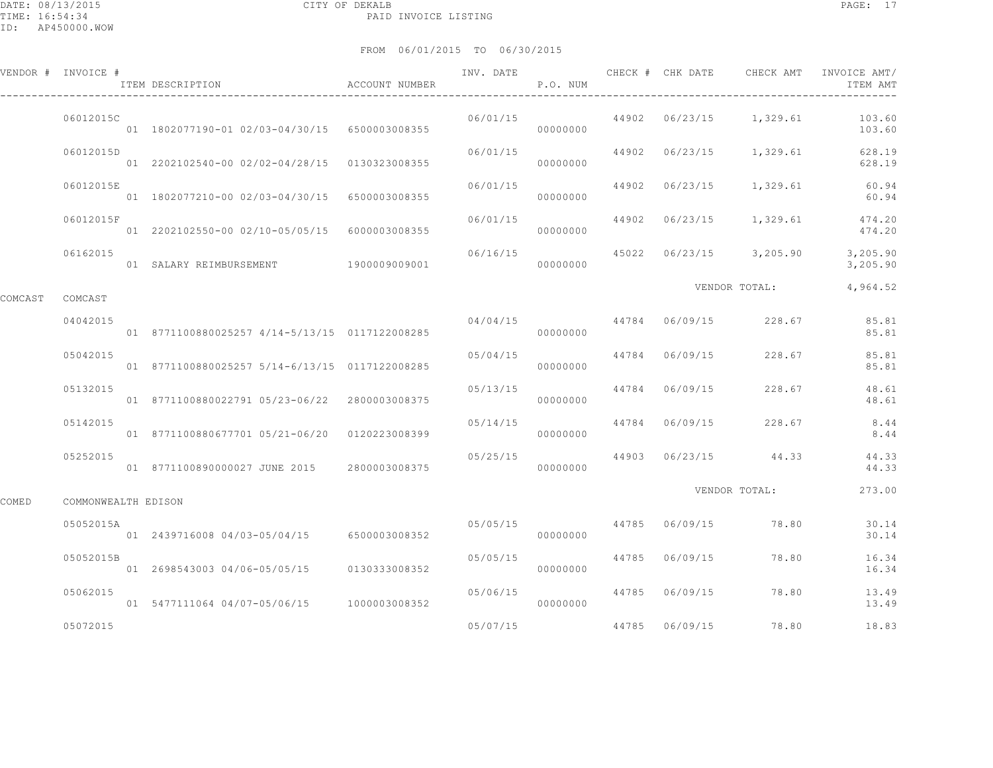|         | VENDOR # INVOICE #  | ITEM DESCRIPTION                                 | ACCOUNT NUMBER | INV. DATE | P.O. NUM |       | CHECK # CHK DATE | CHECK AMT               | INVOICE AMT/<br>ITEM AMT                     |
|---------|---------------------|--------------------------------------------------|----------------|-----------|----------|-------|------------------|-------------------------|----------------------------------------------|
|         | 06012015C           | 01 1802077190-01 02/03-04/30/15 6500003008355    |                | 06/01/15  | 00000000 | 44902 |                  | 06/23/15 1,329.61       | 103.60<br>103.60                             |
|         | 06012015D           | 01 2202102540-00 02/02-04/28/15 0130323008355    |                | 06/01/15  | 00000000 |       |                  | 44902 06/23/15 1,329.61 | 628.19<br>628.19                             |
|         | 06012015E           | 01 1802077210-00 02/03-04/30/15 6500003008355    |                | 06/01/15  | 00000000 | 44902 |                  | 06/23/15 1,329.61       | 60.94<br>60.94                               |
|         | 06012015F           | 01  2202102550-00  02/10-05/05/15  6000003008355 |                | 06/01/15  | 00000000 | 44902 | 06/23/15         | 1,329.61                | 474.20<br>474.20                             |
|         | 06162015            | 01 SALARY REIMBURSEMENT 1900009009001            |                | 06/16/15  | 00000000 |       |                  |                         | 45022 06/23/15 3,205.90 3,205.90<br>3,205.90 |
| COMCAST | COMCAST             |                                                  |                |           |          |       |                  | VENDOR TOTAL: 4,964.52  |                                              |
|         | 04042015            | 01 8771100880025257 4/14-5/13/15 0117122008285   |                | 04/04/15  | 00000000 |       | 44784 06/09/15   | 228.67                  | 85.81<br>85.81                               |
|         | 05042015            | 01 8771100880025257 5/14-6/13/15 0117122008285   |                | 05/04/15  | 00000000 |       | 44784 06/09/15   | 228.67                  | 85.81<br>85.81                               |
|         | 05132015            | 01 8771100880022791 05/23-06/22 2800003008375    |                | 05/13/15  | 00000000 |       | 44784 06/09/15   | 228.67                  | 48.61<br>48.61                               |
|         | 05142015            | 01 8771100880677701 05/21-06/20 0120223008399    |                | 05/14/15  | 00000000 |       |                  | 44784 06/09/15 228.67   | 8.44<br>8.44                                 |
|         | 05252015            | 01 8771100890000027 JUNE 2015 2800003008375      |                | 05/25/15  | 00000000 |       |                  | 44903 06/23/15 44.33    | 44.33<br>44.33                               |
| COMED   | COMMONWEALTH EDISON |                                                  |                |           |          |       |                  | VENDOR TOTAL:           | 273.00                                       |
|         | 05052015A           | 01 2439716008 04/03-05/04/15 6500003008352       |                | 05/05/15  | 00000000 |       |                  | 44785 06/09/15 78.80    | 30.14<br>30.14                               |
|         | 05052015B           | 01 2698543003 04/06-05/05/15 0130333008352       |                | 05/05/15  | 00000000 |       | 44785 06/09/15   | 78.80                   | 16.34<br>16.34                               |
|         | 05062015            | 01 5477111064 04/07-05/06/15 1000003008352       |                | 05/06/15  | 00000000 |       | 44785 06/09/15   | 78.80                   | 13.49<br>13.49                               |
|         | 05072015            |                                                  |                | 05/07/15  |          |       | 44785 06/09/15   | 78.80                   | 18.83                                        |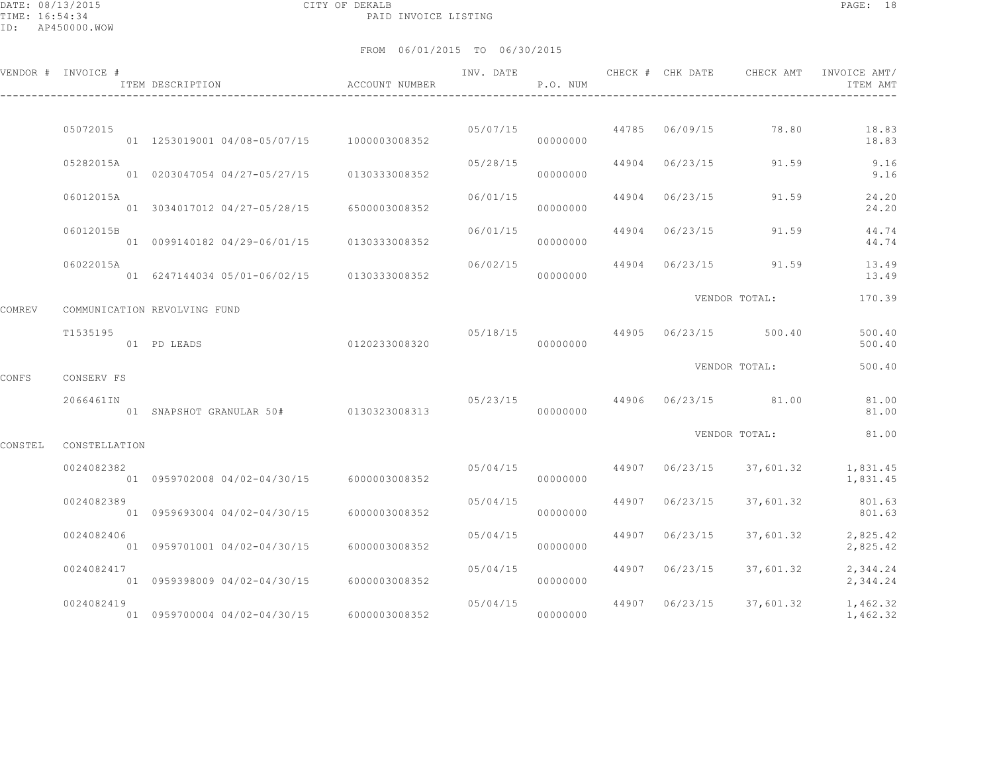DATE: 08/13/2015 CITY OF DEKALB PAGE: 18 PAID INVOICE LISTING

|         | VENDOR # INVOICE # | ITEM DESCRIPTION                              | <b>ACCOUNT NUMBER</b> | INV. DATE | P.O. NUM             |       | CHECK # CHK DATE | CHECK AMT                        | INVOICE AMT/<br>ITEM AMT |
|---------|--------------------|-----------------------------------------------|-----------------------|-----------|----------------------|-------|------------------|----------------------------------|--------------------------|
|         | 05072015           | 01  1253019001  04/08-05/07/15  1000003008352 |                       | 05/07/15  | 00000000             |       |                  | 44785 06/09/15 78.80             | 18.83<br>18.83           |
|         | 05282015A          | 01 0203047054 04/27-05/27/15 0130333008352    |                       | 05/28/15  | 00000000             |       | 44904 06/23/15   | 91.59                            | 9.16<br>9.16             |
|         | 06012015A          | 01 3034017012 04/27-05/28/15                  | 6500003008352         | 06/01/15  | 00000000             | 44904 | 06/23/15         | 91.59                            | 24.20<br>24.20           |
|         | 06012015B          | 01  0099140182  04/29-06/01/15                | 0130333008352         | 06/01/15  | 00000000             | 44904 | 06/23/15         | 91.59                            | 44.74<br>44.74           |
|         | 06022015A          | 01 6247144034 05/01-06/02/15 0130333008352    |                       | 06/02/15  | 00000000             |       | 44904 06/23/15   | 91.59                            | 13.49<br>13.49           |
| COMREV  |                    | COMMUNICATION REVOLVING FUND                  |                       |           |                      |       |                  | VENDOR TOTAL:                    | 170.39                   |
|         | T1535195           | 01 PD LEADS                                   | 0120233008320         |           | 00000000             |       |                  | $05/18/15$ 44905 06/23/15 500.40 | 500.40<br>500.40         |
| CONFS   | CONSERV FS         |                                               |                       |           |                      |       |                  | VENDOR TOTAL:                    | 500.40                   |
|         | 2066461IN          | 01 SNAPSHOT GRANULAR 50# 0130323008313        |                       | 05/23/15  | 00000000             |       |                  | 44906 06/23/15 81.00             | 81.00<br>81.00           |
| CONSTEL | CONSTELLATION      |                                               |                       |           |                      |       |                  | VENDOR TOTAL:                    | 81.00                    |
|         | 0024082382         | 01 0959702008 04/02-04/30/15 6000003008352    |                       |           | 05/04/15<br>00000000 | 44907 | 06/23/15         | 37,601.32                        | 1,831.45<br>1,831.45     |
|         | 0024082389         | 01 0959693004 04/02-04/30/15                  | 6000003008352         | 05/04/15  | 00000000             | 44907 | 06/23/15         | 37,601.32                        | 801.63<br>801.63         |
|         | 0024082406         | 01 0959701001 04/02-04/30/15                  | 6000003008352         | 05/04/15  | 00000000             | 44907 | 06/23/15         | 37,601.32                        | 2,825.42<br>2,825.42     |
|         | 0024082417         | 01 0959398009 04/02-04/30/15                  | 6000003008352         | 05/04/15  | 00000000             | 44907 | 06/23/15         | 37,601.32                        | 2,344.24<br>2,344.24     |
|         | 0024082419         | 01 0959700004 04/02-04/30/15                  | 6000003008352         | 05/04/15  | 00000000             |       | 44907 06/23/15   | 37,601.32                        | 1,462.32<br>1,462.32     |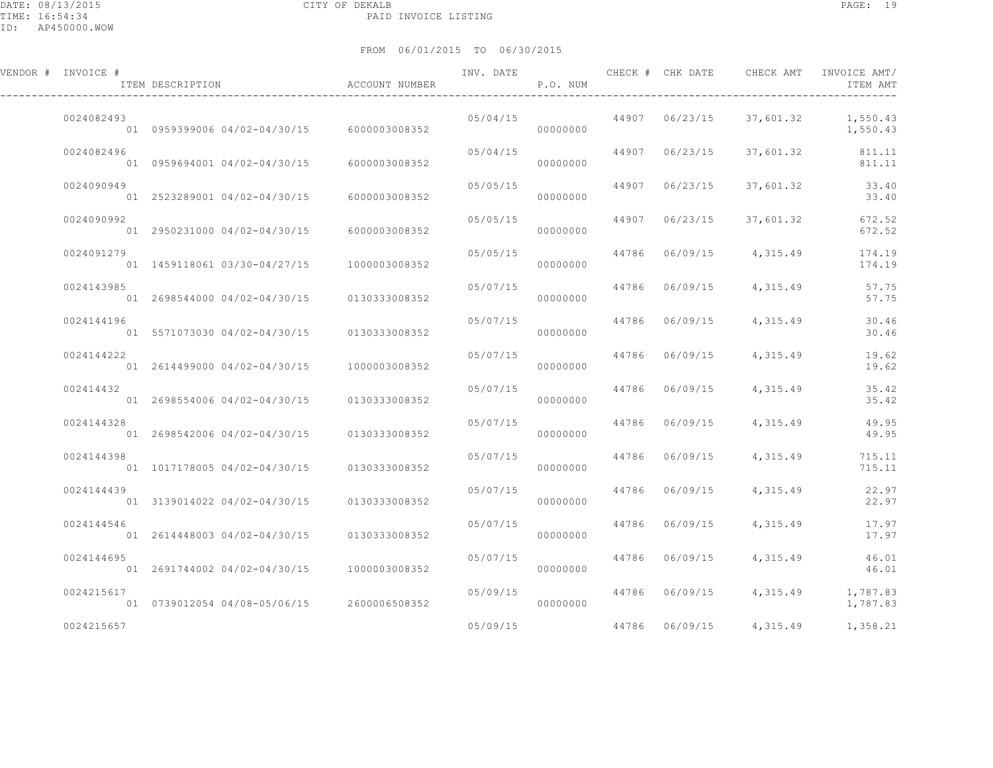| VENDOR # INVOICE # | ITEM DESCRIPTION                           | ACCOUNT NUMBER | INV. DATE | P.O. NUM |       |                | CHECK # CHK DATE CHECK AMT | INVOICE AMT/<br>ITEM AMT |
|--------------------|--------------------------------------------|----------------|-----------|----------|-------|----------------|----------------------------|--------------------------|
| 0024082493         | 01 0959399006 04/02-04/30/15               | 6000003008352  | 05/04/15  | 00000000 |       | 44907 06/23/15 | 37,601.32                  | 1,550.43<br>1,550.43     |
| 0024082496         | 01 0959694001 04/02-04/30/15               | 6000003008352  | 05/04/15  | 00000000 |       | 44907 06/23/15 | 37,601.32                  | 811.11<br>811.11         |
| 0024090949         | 01 2523289001 04/02-04/30/15               | 6000003008352  | 05/05/15  | 00000000 | 44907 | 06/23/15       | 37,601.32                  | 33.40<br>33.40           |
| 0024090992         | 01 2950231000 04/02-04/30/15               | 6000003008352  | 05/05/15  | 00000000 | 44907 | 06/23/15       | 37,601.32                  | 672.52<br>672.52         |
| 0024091279         | 01 1459118061 03/30-04/27/15               | 1000003008352  | 05/05/15  | 00000000 |       | 44786 06/09/15 | 4,315.49                   | 174.19<br>174.19         |
| 0024143985         | 01 2698544000 04/02-04/30/15               | 0130333008352  | 05/07/15  | 00000000 |       | 44786 06/09/15 | 4,315.49                   | 57.75<br>57.75           |
| 0024144196         | 01 5571073030 04/02-04/30/15               | 0130333008352  | 05/07/15  | 00000000 |       | 44786 06/09/15 | 4,315.49                   | 30.46<br>30.46           |
| 0024144222         | 01 2614499000 04/02-04/30/15               | 1000003008352  | 05/07/15  | 00000000 |       | 44786 06/09/15 | 4,315.49                   | 19.62<br>19.62           |
| 002414432          | 01 2698554006 04/02-04/30/15               | 0130333008352  | 05/07/15  | 00000000 |       | 44786 06/09/15 | 4,315.49                   | 35.42<br>35.42           |
| 0024144328         | 01 2698542006 04/02-04/30/15               | 0130333008352  | 05/07/15  | 00000000 | 44786 | 06/09/15       | 4,315.49                   | 49.95<br>49.95           |
| 0024144398         | 01 1017178005 04/02-04/30/15               | 0130333008352  | 05/07/15  | 00000000 | 44786 | 06/09/15       | 4,315.49                   | 715.11<br>715.11         |
| 0024144439         | 01 3139014022 04/02-04/30/15               | 0130333008352  | 05/07/15  | 00000000 |       | 44786 06/09/15 | 4,315.49                   | 22.97<br>22.97           |
| 0024144546         | 01 2614448003 04/02-04/30/15               | 0130333008352  | 05/07/15  | 00000000 |       | 44786 06/09/15 | 4,315.49                   | 17.97<br>17.97           |
| 0024144695         | 01 2691744002 04/02-04/30/15               | 1000003008352  | 05/07/15  | 00000000 |       | 44786 06/09/15 | 4,315.49                   | 46.01<br>46.01           |
| 0024215617         | 01 0739012054 04/08-05/06/15 2600006508352 |                | 05/09/15  | 00000000 |       | 44786 06/09/15 | 4,315.49                   | 1,787.83<br>1,787.83     |
| 0024215657         |                                            |                | 05/09/15  |          |       | 44786 06/09/15 | 4,315.49                   | 1,358.21                 |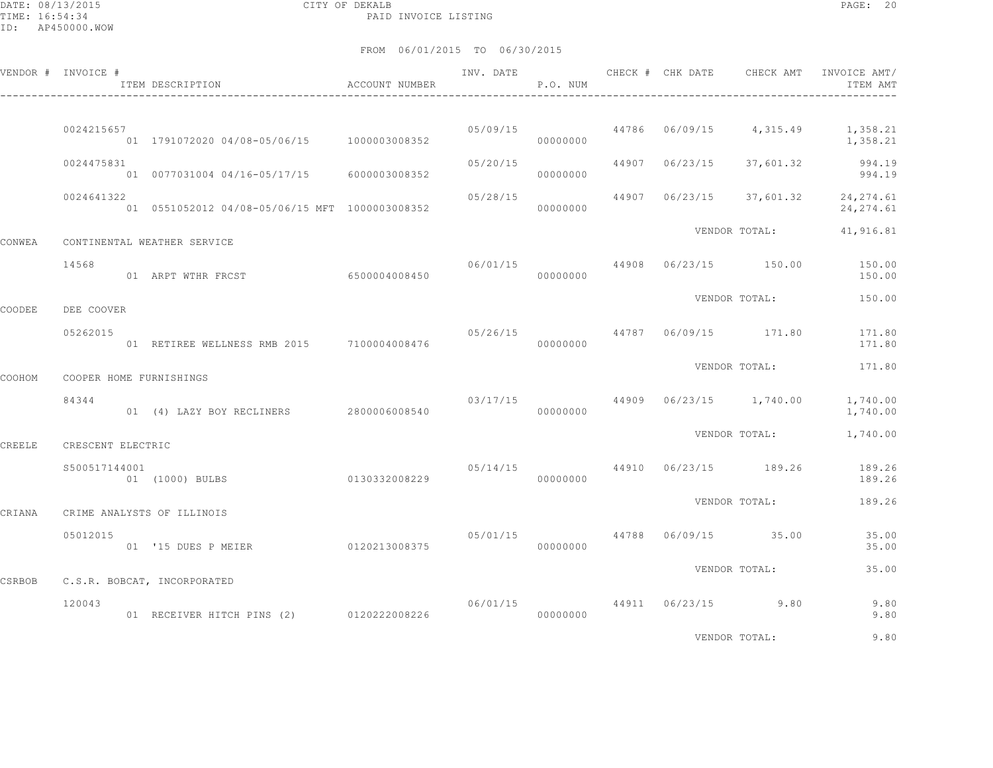DATE: 08/13/2015 CITY OF DEKALB PAGE: 20 PAID INVOICE LISTING

|        | VENDOR # INVOICE # | ITEM DESCRIPTION                                   | ACCOUNT NUMBER | INV. DATE | P.O. NUM |                | CHECK # CHK DATE CHECK AMT         | INVOICE AMT/<br>ITEM AMT                                |
|--------|--------------------|----------------------------------------------------|----------------|-----------|----------|----------------|------------------------------------|---------------------------------------------------------|
|        | 0024215657         | 01 1791072020 04/08-05/06/15 1000003008352         |                |           | 00000000 |                |                                    | $05/09/15$ 44786 06/09/15 4,315.49 1,358.21<br>1,358.21 |
|        | 0024475831         | 01 0077031004 04/16-05/17/15 6000003008352         |                | 05/20/15  | 00000000 | 44907 06/23/15 | 37,601.32                          | 994.19<br>994.19                                        |
|        | 0024641322         | 01  0551052012  04/08-05/06/15  MFT  1000003008352 |                | 05/28/15  | 00000000 |                |                                    | 44907 06/23/15 37,601.32 24,274.61<br>24, 274.61        |
| CONWEA |                    | CONTINENTAL WEATHER SERVICE                        |                |           |          |                |                                    | VENDOR TOTAL: 41,916.81                                 |
|        | 14568              | 01 ARPT WTHR FRCST                                 | 6500004008450  |           | 00000000 |                | $06/01/15$ 44908 06/23/15 150.00   | 150.00<br>150.00                                        |
| COODEE | DEE COOVER         |                                                    |                |           |          |                | VENDOR TOTAL:                      | 150.00                                                  |
|        | 05262015           | 01 RETIREE WELLNESS RMB 2015 7100004008476         |                |           | 00000000 |                | 05/26/15 44787 06/09/15 171.80     | 171.80<br>171.80                                        |
| COOHOM |                    | COOPER HOME FURNISHINGS                            |                |           |          |                | VENDOR TOTAL:                      | 171.80                                                  |
|        | 84344              | 01 (4) LAZY BOY RECLINERS 2800006008540            |                | 03/17/15  | 00000000 |                | 44909 06/23/15 1,740.00            | 1,740.00<br>1,740.00                                    |
| CREELE | CRESCENT ELECTRIC  |                                                    |                |           |          |                | VENDOR TOTAL:                      | 1,740.00                                                |
|        | S500517144001      | 01 (1000) BULBS                                    | 0130332008229  |           | 00000000 |                | $05/14/15$ 44910 $06/23/15$ 189.26 | 189.26<br>189.26                                        |
| CRIANA |                    | CRIME ANALYSTS OF ILLINOIS                         |                |           |          |                | VENDOR TOTAL:                      | 189.26                                                  |
|        | 05012015           | 01 '15 DUES P MEIER                                | 0120213008375  |           | 00000000 |                | 05/01/15 44788 06/09/15 35.00      | 35.00<br>35.00                                          |
| CSRBOB |                    | C.S.R. BOBCAT, INCORPORATED                        |                |           |          |                | VENDOR TOTAL:                      | 35.00                                                   |
|        | 120043             | 01 RECEIVER HITCH PINS (2) 0120222008226           |                | 06/01/15  | 00000000 |                | 44911 06/23/15 9.80                | 9.80<br>9.80                                            |
|        |                    |                                                    |                |           |          |                | VENDOR TOTAL:                      | 9.80                                                    |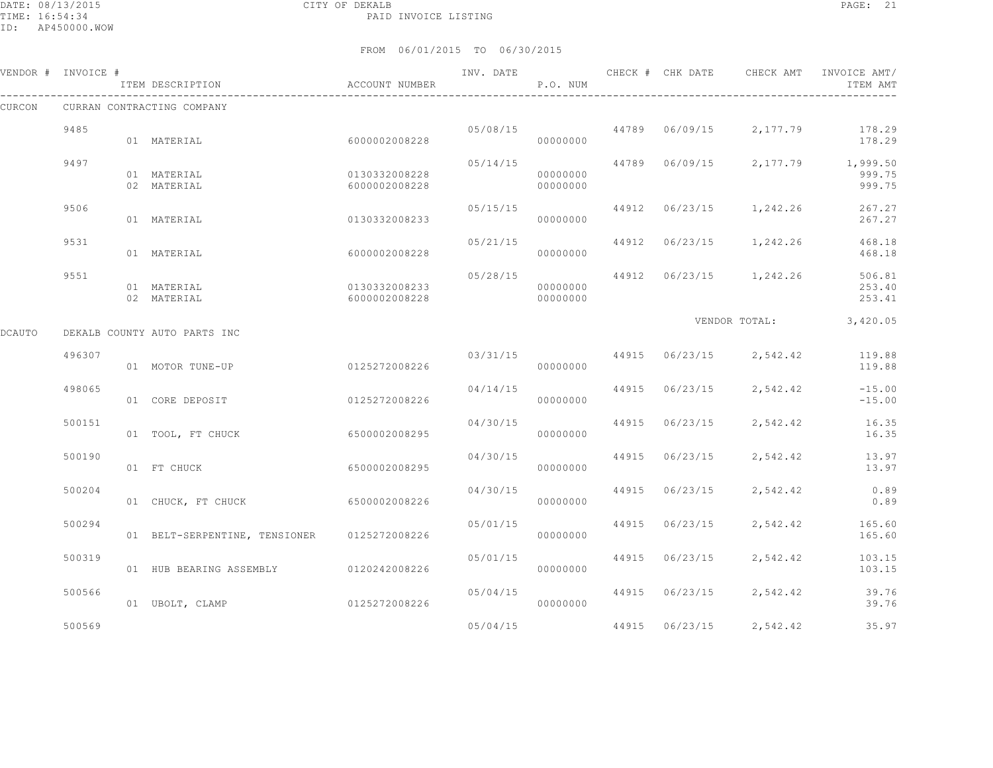|        | VENDOR # INVOICE # | ITEM DESCRIPTION                            | ACCOUNT NUMBER                 | INV. DATE | P.O. NUM             |       |                | CHECK # CHK DATE CHECK AMT | INVOICE AMT/<br>ITEM AMT                                    |
|--------|--------------------|---------------------------------------------|--------------------------------|-----------|----------------------|-------|----------------|----------------------------|-------------------------------------------------------------|
| CURCON |                    | CURRAN CONTRACTING COMPANY                  |                                |           |                      |       |                |                            |                                                             |
|        | 9485               | 01 MATERIAL                                 | 6000002008228                  |           | 00000000             |       |                |                            | $05/08/15$ $44789$ $06/09/15$ $2,177.79$ $178.29$<br>178.29 |
|        | 9497               | 01 MATERIAL<br>02 MATERIAL                  | 0130332008228<br>6000002008228 | 05/14/15  | 00000000<br>00000000 |       |                |                            | 44789 06/09/15 2,177.79 1,999.50<br>999.75<br>999.75        |
|        | 9506               | 01 MATERIAL                                 | 0130332008233                  | 05/15/15  | 00000000             |       |                | 44912 06/23/15 1,242.26    | 267.27<br>267.27                                            |
|        | 9531               | 01 MATERIAL                                 | 6000002008228                  | 05/21/15  | 00000000             |       |                | 44912 06/23/15 1,242.26    | 468.18<br>468.18                                            |
|        | 9551               | 01 MATERIAL<br>02 MATERIAL                  | 0130332008233<br>6000002008228 | 05/28/15  | 00000000<br>00000000 |       |                | 44912 06/23/15 1,242.26    | 506.81<br>253.40<br>253.41                                  |
| DCAUTO |                    | DEKALB COUNTY AUTO PARTS INC                |                                |           |                      |       |                |                            | VENDOR TOTAL: 3,420.05                                      |
|        | 496307             | 01 MOTOR TUNE-UP                            | 0125272008226                  |           | 00000000             |       |                |                            | $03/31/15$ $44915$ $06/23/15$ $2,542.42$ $119.88$<br>119.88 |
|        | 498065             | 01 CORE DEPOSIT                             | 0125272008226                  | 04/14/15  | 00000000             |       |                | 44915 06/23/15 2,542.42    | $-15.00$<br>$-15.00$                                        |
|        | 500151             | 01 TOOL, FT CHUCK                           | 6500002008295                  | 04/30/15  | 00000000             |       | 44915 06/23/15 | 2,542.42                   | 16.35<br>16.35                                              |
|        | 500190             | 01 FT CHUCK                                 | 6500002008295                  | 04/30/15  | 00000000             |       | 44915 06/23/15 | 2,542.42                   | 13.97<br>13.97                                              |
|        | 500204             | 01 CHUCK, FT CHUCK                          | 6500002008226                  | 04/30/15  | 00000000             | 44915 | 06/23/15       | 2,542.42                   | 0.89<br>0.89                                                |
|        | 500294             | 01 BELT-SERPENTINE, TENSIONER 0125272008226 |                                | 05/01/15  | 00000000             | 44915 | 06/23/15       | 2,542.42                   | 165.60<br>165.60                                            |
|        | 500319             | 01 HUB BEARING ASSEMBLY 0120242008226       |                                | 05/01/15  | 00000000             |       | 44915 06/23/15 | 2,542.42                   | 103.15<br>103.15                                            |
|        | 500566             | 01 UBOLT, CLAMP                             | 0125272008226                  |           | 05/04/15<br>00000000 |       |                | 44915 06/23/15 2,542.42    | 39.76<br>39.76                                              |
|        | 500569             |                                             |                                | 05/04/15  |                      |       | 44915 06/23/15 | 2,542.42                   | 35.97                                                       |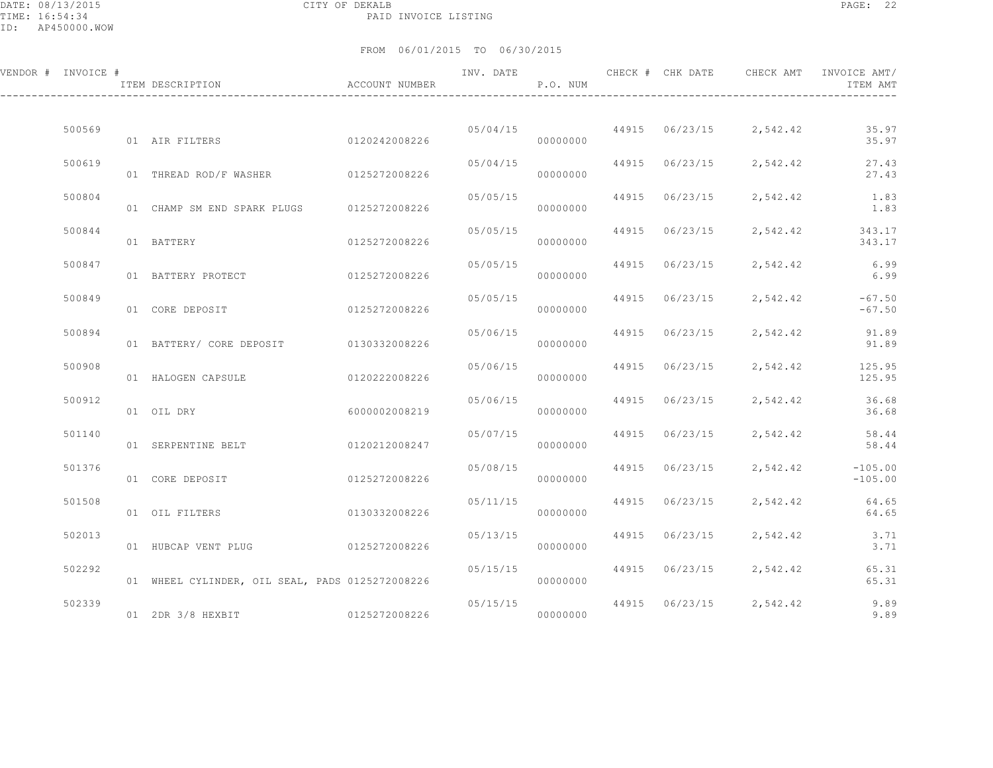DATE: 08/13/2015 CITY OF DEKALB PAGE: 22 PAID INVOICE LISTING

| VENDOR # INVOICE # | ACCOUNT NUMBER<br>ITEM DESCRIPTION              |               | INV. DATE | P.O. NUM             |       |                | CHECK # CHK DATE CHECK AMT INVOICE AMT/ | ITEM AMT                                 |
|--------------------|-------------------------------------------------|---------------|-----------|----------------------|-------|----------------|-----------------------------------------|------------------------------------------|
| 500569             | 01 AIR FILTERS 0120242008226                    |               |           | 05/04/15<br>00000000 |       |                | 44915 06/23/15 2,542.42                 | 35.97<br>35.97                           |
| 500619             | 01 THREAD ROD/F WASHER 0125272008226            |               | 05/04/15  | 00000000             |       |                | 44915 06/23/15 2,542.42                 | 27.43<br>27.43                           |
| 500804             | 01 CHAMP SM END SPARK PLUGS 0125272008226       |               | 05/05/15  | 00000000             |       | 44915 06/23/15 |                                         | 2,542.42 1.83<br>1.83                    |
| 500844             | 01 BATTERY                                      | 0125272008226 | 05/05/15  | 00000000             |       |                |                                         | 44915 06/23/15 2,542.42 343.17<br>343.17 |
| 500847             | 01 BATTERY PROTECT                              | 0125272008226 | 05/05/15  | 00000000             |       | 44915 06/23/15 |                                         | 2,542.42 6.99<br>6.99                    |
| 500849             | 01 CORE DEPOSIT 0125272008226                   |               | 05/05/15  | 00000000             |       | 44915 06/23/15 | 2,542.42                                | $-67.50$<br>$-67.50$                     |
| 500894             | 01 BATTERY/ CORE DEPOSIT 0130332008226          |               | 05/06/15  | 00000000             |       | 44915 06/23/15 |                                         | 2,542.42 91.89<br>91.89                  |
| 500908             | 01 HALOGEN CAPSULE                              | 0120222008226 | 05/06/15  | 00000000             |       |                |                                         | 44915 06/23/15 2,542.42 125.95<br>125.95 |
| 500912             | 01 OIL DRY                                      | 6000002008219 | 05/06/15  | 00000000             |       | 44915 06/23/15 |                                         | 2,542.42 36.68<br>36.68                  |
| 501140             | 01 SERPENTINE BELT                              | 0120212008247 | 05/07/15  | 00000000             |       | 44915 06/23/15 | 2,542.42                                | 58.44<br>58.44                           |
| 501376             | 01 CORE DEPOSIT                                 | 0125272008226 | 05/08/15  | 00000000             | 44915 | 06/23/15       | 2,542.42                                | $-105.00$<br>$-105.00$                   |
| 501508             | 01 OIL FILTERS                                  | 0130332008226 | 05/11/15  | 00000000             |       | 44915 06/23/15 | 2,542.42                                | 64.65<br>64.65                           |
| 502013             | 01 HUBCAP VENT PLUG                             | 0125272008226 | 05/13/15  | 00000000             |       | 44915 06/23/15 | 2,542.42                                | 3.71<br>3.71                             |
| 502292             | 01 WHEEL CYLINDER, OIL SEAL, PADS 0125272008226 |               | 05/15/15  | 00000000             |       |                | 44915 06/23/15 2,542.42                 | 65.31<br>65.31                           |
| 502339             | 01 2DR 3/8 HEXBIT 0125272008226                 |               | 05/15/15  | 00000000             |       |                | 44915 06/23/15 2,542.42                 | 9.89<br>9.89                             |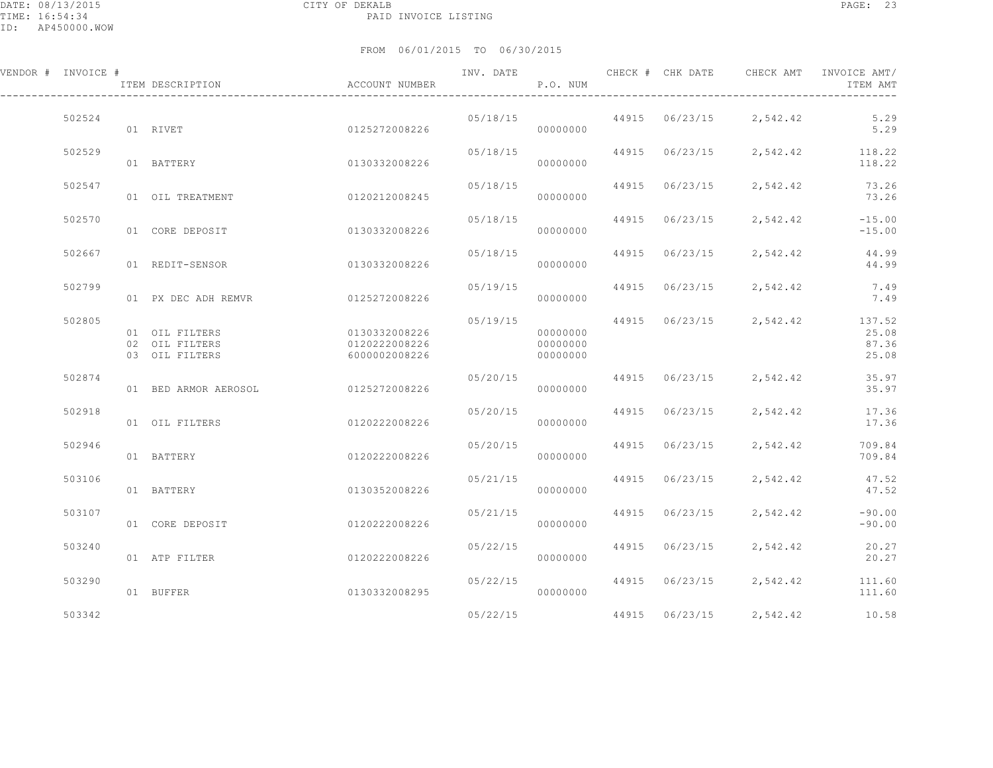| VENDOR # INVOICE # | ITEM DESCRIPTION                                   | ACCOUNT NUMBER                                  | INV. DATE | P.O. NUM                         |                | CHECK # CHK DATE CHECK AMT INVOICE AMT/ | ITEM AMT                          |
|--------------------|----------------------------------------------------|-------------------------------------------------|-----------|----------------------------------|----------------|-----------------------------------------|-----------------------------------|
| 502524             | 01 RIVET                                           | 0125272008226                                   | 05/18/15  | 00000000                         |                | 44915 06/23/15 2,542.42                 | 5.29<br>5.29                      |
| 502529             | 01 BATTERY                                         | 0130332008226                                   | 05/18/15  | 00000000                         | 44915 06/23/15 |                                         | 2,542.42 118.22<br>118.22         |
| 502547             | 01 OIL TREATMENT                                   | 0120212008245                                   | 05/18/15  | 00000000                         | 44915 06/23/15 | 2,542.42                                | 73.26<br>73.26                    |
| 502570             | 01 CORE DEPOSIT                                    | 0130332008226                                   | 05/18/15  | 00000000                         | 44915 06/23/15 | 2,542.42                                | $-15.00$<br>$-15.00$              |
| 502667             | 01 REDIT-SENSOR                                    | 0130332008226                                   | 05/18/15  | 00000000                         | 44915 06/23/15 | 2,542.42                                | 44.99<br>44.99                    |
| 502799             | 01 PX DEC ADH REMVR                                | 0125272008226                                   | 05/19/15  | 00000000                         | 44915 06/23/15 | 2,542.42                                | 7.49<br>7.49                      |
| 502805             | 01 OIL FILTERS<br>02 OIL FILTERS<br>03 OIL FILTERS | 0130332008226<br>0120222008226<br>6000002008226 | 05/19/15  | 00000000<br>00000000<br>00000000 | 44915 06/23/15 | 2,542.42                                | 137.52<br>25.08<br>87.36<br>25.08 |
| 502874             | 01 BED ARMOR AEROSOL                               | 0125272008226                                   | 05/20/15  | 00000000                         | 44915 06/23/15 | 2,542.42                                | 35.97<br>35.97                    |
| 502918             | 01 OIL FILTERS                                     | 0120222008226                                   | 05/20/15  | 00000000                         | 44915 06/23/15 | 2,542.42                                | 17.36<br>17.36                    |
| 502946             | 01 BATTERY                                         | 0120222008226                                   | 05/20/15  | 00000000                         | 44915 06/23/15 | 2,542.42                                | 709.84<br>709.84                  |
| 503106             | 01 BATTERY                                         | 0130352008226                                   | 05/21/15  | 00000000                         | 44915 06/23/15 | 2,542.42                                | 47.52<br>47.52                    |
| 503107             | 01 CORE DEPOSIT                                    | 0120222008226                                   | 05/21/15  | 00000000                         | 44915 06/23/15 | 2,542.42                                | $-90.00$<br>$-90.00$              |
| 503240             | 01 ATP FILTER                                      | 0120222008226                                   | 05/22/15  | 00000000                         | 44915 06/23/15 | 2,542.42                                | 20.27<br>20.27                    |
| 503290             | 01 BUFFER                                          | 0130332008295                                   | 05/22/15  | 00000000                         | 44915 06/23/15 | 2,542.42                                | 111.60<br>111.60                  |
| 503342             |                                                    |                                                 | 05/22/15  |                                  | 44915 06/23/15 | 2,542.42                                | 10.58                             |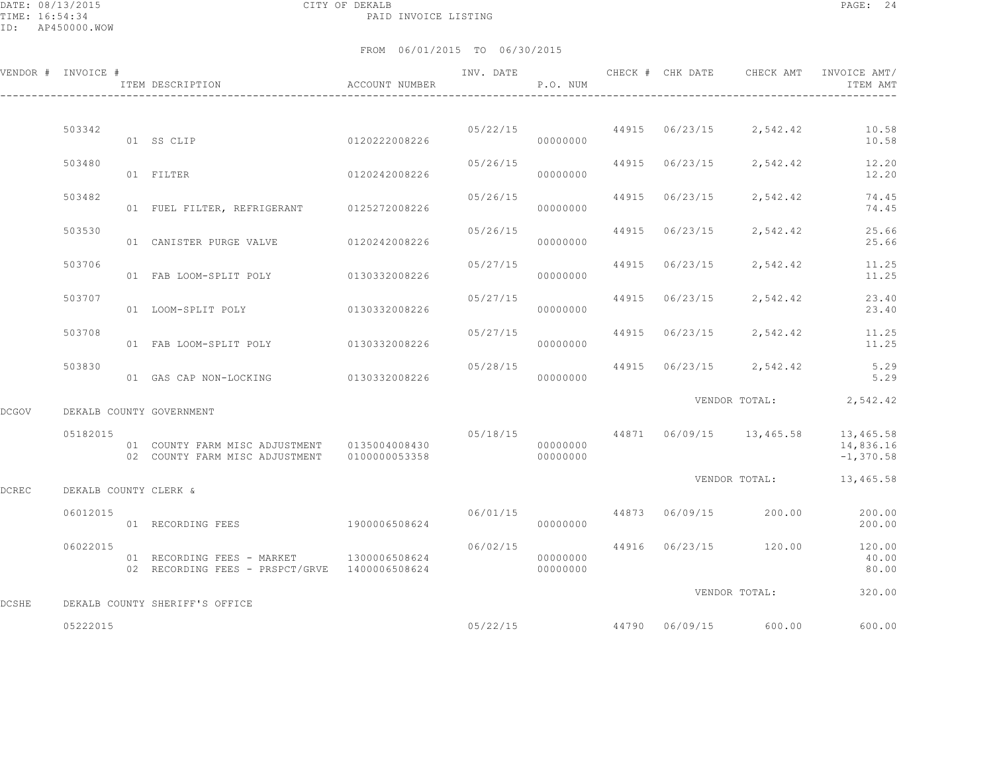DATE: 08/13/2015 CITY OF DEKALB PAGE: 24 PAID INVOICE LISTING

ID: AP450000.WOW

|       | VENDOR # INVOICE #    | ITEM DESCRIPTION                                                                                 | <b>ACCOUNT NUMBER</b> | INV. DATE | P.O. NUM             | CHECK # CHK DATE | CHECK AMT                            | INVOICE AMT/<br>ITEM AMT                       |
|-------|-----------------------|--------------------------------------------------------------------------------------------------|-----------------------|-----------|----------------------|------------------|--------------------------------------|------------------------------------------------|
|       |                       |                                                                                                  |                       |           |                      |                  |                                      |                                                |
|       | 503342                | 01 SS CLIP                                                                                       | 0120222008226         |           | 00000000             |                  | $05/22/15$ 44915 $06/23/15$ 2,542.42 | 10.58<br>10.58                                 |
|       | 503480                | 01 FILTER                                                                                        | 0120242008226         | 05/26/15  | 00000000             | 44915 06/23/15   |                                      | 2,542.42 12.20<br>12.20                        |
|       | 503482                | 01 FUEL FILTER, REFRIGERANT 0125272008226                                                        |                       | 05/26/15  | 00000000             | 44915 06/23/15   | 2,542.42                             | 74.45<br>74.45                                 |
|       | 503530                | 01 CANISTER PURGE VALVE                                                                          | 0120242008226         | 05/26/15  | 00000000             | 44915 06/23/15   | 2,542.42                             | 25.66<br>25.66                                 |
|       | 503706                | 01 FAB LOOM-SPLIT POLY 0130332008226                                                             |                       | 05/27/15  | 00000000             | 44915 06/23/15   | 2,542.42                             | 11.25<br>11.25                                 |
|       | 503707                | 01 LOOM-SPLIT POLY 0130332008226                                                                 |                       | 05/27/15  | 00000000             |                  | 44915 06/23/15 2,542.42              | 23.40<br>23.40                                 |
|       | 503708                | 01 FAB LOOM-SPLIT POLY 0130332008226                                                             |                       | 05/27/15  | 00000000             |                  | 44915 06/23/15 2,542.42              | 11.25<br>11.25                                 |
|       | 503830                | 01 GAS CAP NON-LOCKING                                                                           | 0130332008226         | 05/28/15  | 00000000             |                  | 44915 06/23/15 2,542.42              | 5.29<br>5.29                                   |
|       |                       | DEKALB COUNTY GOVERNMENT                                                                         |                       |           |                      |                  |                                      | VENDOR TOTAL: 2,542.42                         |
| DCGOV |                       |                                                                                                  |                       |           |                      |                  |                                      | 05/18/15 44871 06/09/15 13,465.58 13,465.58    |
|       | 05182015              | 01 COUNTY FARM MISC ADJUSTMENT   0135004008430<br>02 COUNTY FARM MISC ADJUSTMENT   0100000053358 |                       |           | 00000000<br>00000000 |                  |                                      | 14,836.16<br>$-1,370.58$                       |
| DCREC | DEKALB COUNTY CLERK & |                                                                                                  |                       |           |                      |                  |                                      | VENDOR TOTAL: 13,465.58                        |
|       | 06012015              | 01 RECORDING FEES                                                                                | 1900006508624         | 06/01/15  | 00000000             |                  |                                      | 44873 06/09/15 200.00 200.00<br>200.00         |
|       | 06022015              | 01 RECORDING FEES - MARKET 1300006508624<br>02 RECORDING FEES - PRSPCT/GRVE 1400006508624        |                       | 06/02/15  | 00000000<br>00000000 |                  |                                      | 44916 06/23/15 120.00 120.00<br>40.00<br>80.00 |
| DCSHE |                       | DEKALB COUNTY SHERIFF'S OFFICE                                                                   |                       |           |                      |                  | VENDOR TOTAL:                        | 320.00                                         |
|       | 05222015              |                                                                                                  |                       |           | 05/22/15             |                  | 44790 06/09/15 600.00                | 600.00                                         |
|       |                       |                                                                                                  |                       |           |                      |                  |                                      |                                                |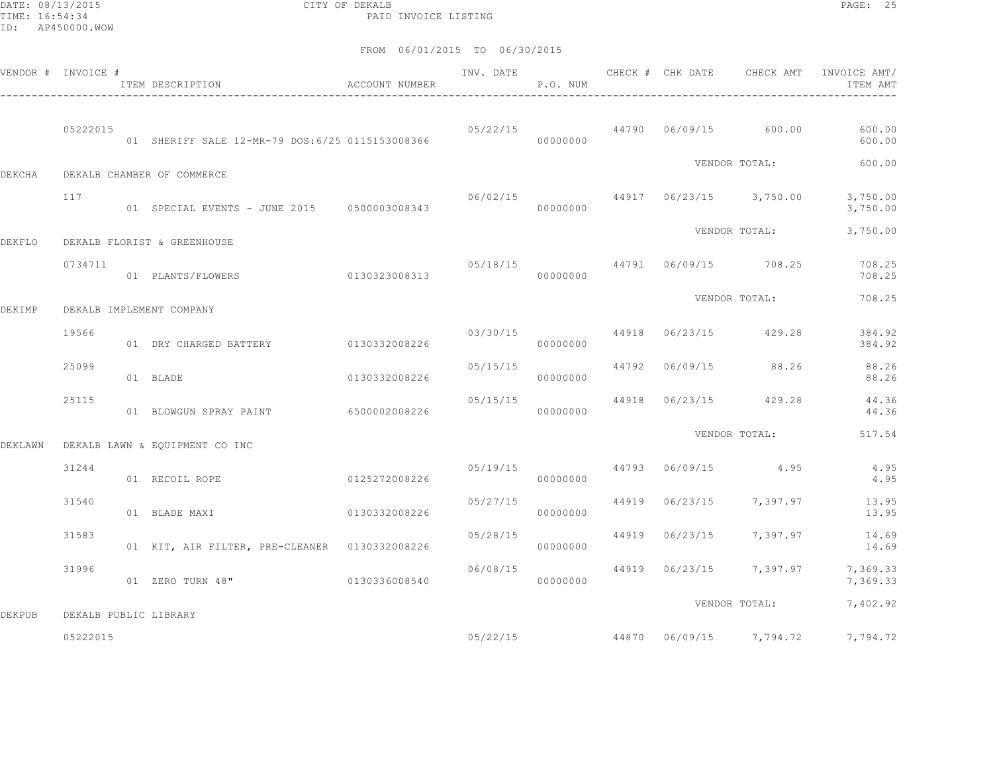DATE: 08/13/2015 CITY OF DEKALB PAGE: 25 PAID INVOICE LISTING

| VENDOR # INVOICE # |                       | ACCOUNT NUMBER<br>ITEM DESCRIPTION              |               | INV. DATE | P.O. NUM |  | CHECK # CHK DATE CHECK AMT           | INVOICE AMT/<br>ITEM AMT                  |
|--------------------|-----------------------|-------------------------------------------------|---------------|-----------|----------|--|--------------------------------------|-------------------------------------------|
|                    | 05222015              | 01 SHERIFF SALE 12-MR-79 DOS:6/25 0115153008366 |               |           | 00000000 |  | $05/22/15$ $44790$ $06/09/15$ 600.00 | 600.00<br>600.00                          |
| <b>DEKCHA</b>      |                       | DEKALB CHAMBER OF COMMERCE                      |               |           |          |  | VENDOR TOTAL:                        | 600.00                                    |
|                    | 117                   | 01 SPECIAL EVENTS - JUNE 2015 0500003008343     |               |           | 00000000 |  | $06/02/15$ 44917 06/23/15 3,750.00   | 3,750.00<br>3,750.00                      |
| DEKFLO             |                       | DEKALB FLORIST & GREENHOUSE                     |               |           |          |  | VENDOR TOTAL:                        | 3,750.00                                  |
|                    | 0734711               | 01 PLANTS/FLOWERS                               | 0130323008313 |           | 00000000 |  | 05/18/15 44791 06/09/15 708.25       | 708.25<br>708.25                          |
| DEKIMP             |                       | DEKALB IMPLEMENT COMPANY                        |               |           |          |  | VENDOR TOTAL:                        | 708.25                                    |
|                    | 19566                 | 01 DRY CHARGED BATTERY                          | 0130332008226 | 03/30/15  | 00000000 |  | 44918 06/23/15 429.28                | 384.92<br>384.92                          |
|                    | 25099                 | 01 BLADE                                        | 0130332008226 | 05/15/15  | 00000000 |  | 44792 06/09/15 88.26                 | 88.26<br>88.26                            |
|                    | 25115                 | 01 BLOWGUN SPRAY PAINT 6500002008226            |               | 05/15/15  | 00000000 |  | 44918 06/23/15 429.28                | 44.36<br>44.36                            |
| DEKLAWN            |                       | DEKALB LAWN & EQUIPMENT CO INC                  |               |           |          |  | VENDOR TOTAL:                        | 517.54                                    |
|                    | 31244                 | 01 RECOIL ROPE                                  | 0125272008226 |           | 00000000 |  | $05/19/15$ 44793 $06/09/15$ 4.95     | 4.95<br>4.95                              |
|                    | 31540                 | 01 BLADE MAXI                                   | 0130332008226 | 05/27/15  | 00000000 |  | 44919 06/23/15 7,397.97              | 13.95<br>13.95                            |
|                    | 31583                 | 01 KIT, AIR FILTER, PRE-CLEANER 0130332008226   |               | 05/28/15  | 00000000 |  | 44919 06/23/15 7,397.97              | 14.69<br>14.69                            |
|                    | 31996                 | 01 ZERO TURN 48" 0130336008540                  |               | 06/08/15  | 00000000 |  | 44919 06/23/15 7,397.97              | 7,369.33<br>7,369.33                      |
| <b>DEKPUB</b>      | DEKALB PUBLIC LIBRARY |                                                 |               |           |          |  | VENDOR TOTAL:                        | 7,402.92                                  |
|                    | 05222015              |                                                 |               |           |          |  |                                      | 05/22/15 44870 06/09/15 7,794.72 7,794.72 |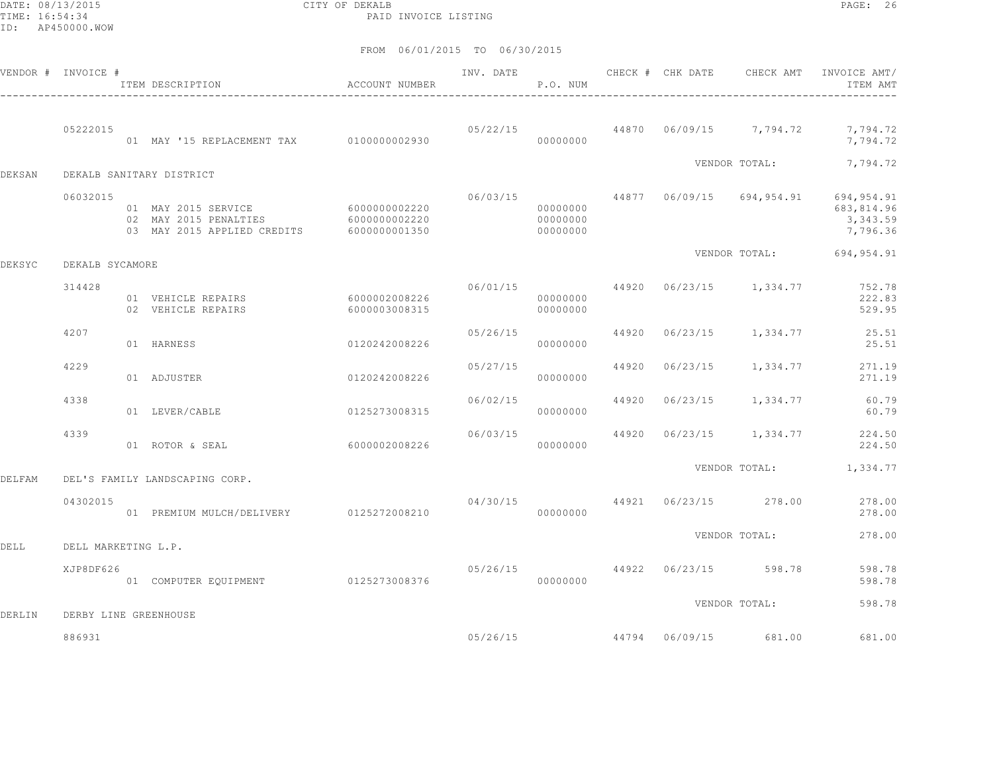DATE: 08/13/2015 CITY OF DEKALB PAGE: 26 PAID INVOICE LISTING

|        | VENDOR # INVOICE #    | ITEM DESCRIPTION                                                                                        | ACCOUNT NUMBER                 | INV. DATE | P.O. NUM                         |       | CHECK # CHK DATE | CHECK AMT               | INVOICE AMT/<br>ITEM AMT                                                   |
|--------|-----------------------|---------------------------------------------------------------------------------------------------------|--------------------------------|-----------|----------------------------------|-------|------------------|-------------------------|----------------------------------------------------------------------------|
|        | 05222015              | 01 MAY '15 REPLACEMENT TAX 0100000002930                                                                |                                |           | 05/22/15<br>00000000             |       |                  | 44870 06/09/15 7,794.72 | 7,794.72<br>7,794.72                                                       |
| DEKSAN |                       | DEKALB SANITARY DISTRICT                                                                                |                                |           |                                  |       |                  | VENDOR TOTAL:           | 7,794.72                                                                   |
|        | 06032015              | 01 MAY 2015 SERVICE 6000000002220<br>02 MAY 2015 PENALTIES<br>03 MAY 2015 APPLIED CREDITS 6000000001350 | 6000000002220                  | 06/03/15  | 00000000<br>00000000<br>00000000 |       |                  |                         | 44877 06/09/15 694,954.91 694,954.91<br>683,814.96<br>3,343.59<br>7,796.36 |
| DEKSYC | DEKALB SYCAMORE       |                                                                                                         |                                |           |                                  |       |                  | VENDOR TOTAL:           | 694,954.91                                                                 |
|        | 314428                | 01 VEHICLE REPAIRS<br>02 VEHICLE REPAIRS                                                                | 6000002008226<br>6000003008315 | 06/01/15  | 00000000<br>00000000             | 44920 |                  | 06/23/15 1,334.77       | 752.78<br>222.83<br>529.95                                                 |
|        | 4207                  | 01 HARNESS                                                                                              | 0120242008226                  | 05/26/15  | 00000000                         | 44920 |                  | 06/23/15 1,334.77       | 25.51<br>25.51                                                             |
|        | 4229                  | 01 ADJUSTER                                                                                             | 0120242008226                  | 05/27/15  | 00000000                         | 44920 | 06/23/15         | 1,334.77                | 271.19<br>271.19                                                           |
|        | 4338                  | 01 LEVER/CABLE                                                                                          | 0125273008315                  | 06/02/15  | 00000000                         | 44920 |                  | 06/23/15 1,334.77       | 60.79<br>60.79                                                             |
|        | 4339                  | 01 ROTOR & SEAL                                                                                         | 60000002008226                 | 06/03/15  | 00000000                         | 44920 |                  | 06/23/15 1,334.77       | 224.50<br>224.50                                                           |
| DELFAM |                       | DEL'S FAMILY LANDSCAPING CORP.                                                                          |                                |           |                                  |       |                  | VENDOR TOTAL:           | 1,334.77                                                                   |
|        | 04302015              | 01 PREMIUM MULCH/DELIVERY 0125272008210                                                                 |                                |           | 04/30/15<br>00000000             | 44921 |                  | 06/23/15 278.00         | 278.00<br>278.00                                                           |
| DELL   | DELL MARKETING L.P.   |                                                                                                         |                                |           |                                  |       |                  | VENDOR TOTAL:           | 278.00                                                                     |
|        | XJP8DF626             | 01 COMPUTER EQUIPMENT 0125273008376                                                                     |                                | 05/26/15  | 00000000                         |       | 44922 06/23/15   | 598.78                  | 598.78<br>598.78                                                           |
| DERLIN | DERBY LINE GREENHOUSE |                                                                                                         |                                |           |                                  |       |                  | VENDOR TOTAL:           | 598.78                                                                     |
|        | 886931                |                                                                                                         |                                |           | 05/26/15                         |       |                  | 44794 06/09/15 681.00   | 681.00                                                                     |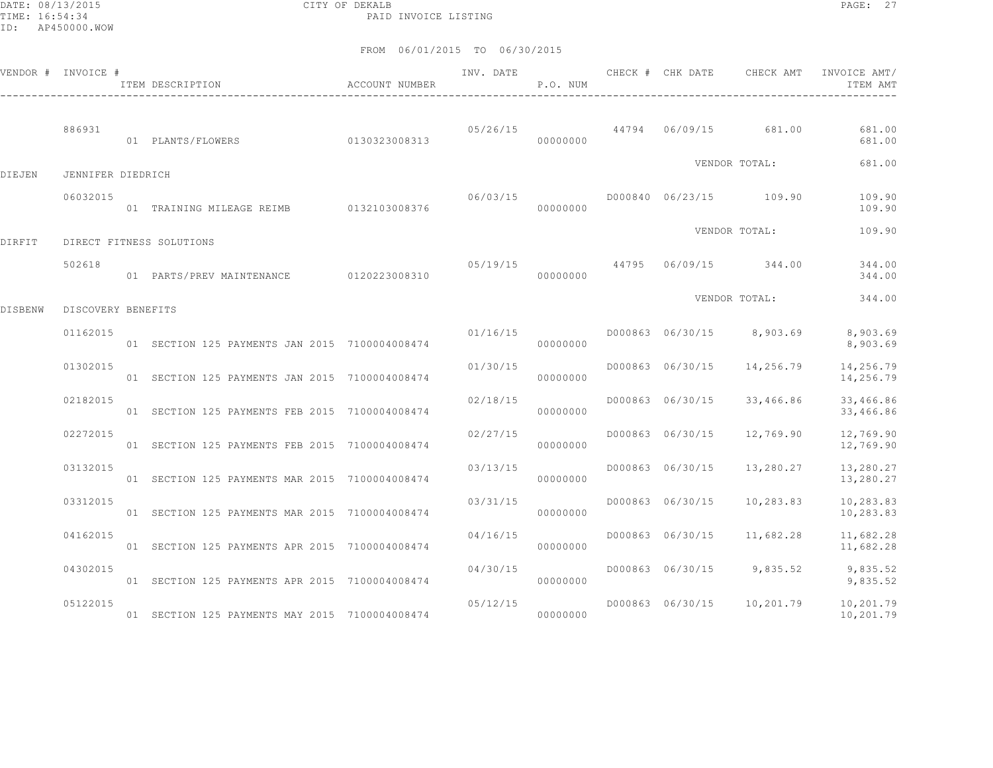DATE: 08/13/2015 CITY OF DEKALB PAGE: 27 PAID INVOICE LISTING

|         | VENDOR # INVOICE # | ITEM DESCRIPTION <b>ACCOUNT</b> NUMBER                            | INV. DATE | P.O. NUM |                  |                            | CHECK # CHK DATE 6 CHECK AMT INVOICE AMT/<br>ITEM AMT |
|---------|--------------------|-------------------------------------------------------------------|-----------|----------|------------------|----------------------------|-------------------------------------------------------|
|         | 886931             | 01 PLANTS/FLOWERS 0130323008313                                   |           | 00000000 |                  |                            | 05/26/15 44794 06/09/15 681.00 681.00<br>681.00       |
| DIEJEN  | JENNIFER DIEDRICH  |                                                                   |           |          |                  | VENDOR TOTAL:              | 681.00                                                |
|         | 06032015           | $\overline{01}$ TRAINING MILEAGE REIMB $\overline{0132103008376}$ |           | 00000000 |                  |                            | 109.90<br>109.90                                      |
| DIRFIT  |                    | DIRECT FITNESS SOLUTIONS                                          |           |          |                  | VENDOR TOTAL:              | 109.90                                                |
|         | 502618             | 01 PARTS/PREV MAINTENANCE 0120223008310                           |           | 00000000 |                  |                            | 05/19/15 44795 06/09/15 344.00 344.00<br>344.00       |
| DISBENW | DISCOVERY BENEFITS |                                                                   |           |          |                  | VENDOR TOTAL:              | 344.00                                                |
|         | 01162015           | 01 SECTION 125 PAYMENTS JAN 2015 7100004008474                    | 01/16/15  | 00000000 |                  | D000863 06/30/15 8,903.69  | 8,903.69<br>8,903.69                                  |
|         | 01302015           | 01 SECTION 125 PAYMENTS JAN 2015 7100004008474                    | 01/30/15  | 00000000 |                  | D000863 06/30/15 14,256.79 | 14,256.79<br>14,256.79                                |
|         | 02182015           | 01 SECTION 125 PAYMENTS FEB 2015 7100004008474                    | 02/18/15  | 00000000 | D000863 06/30/15 | 33,466.86                  | 33,466.86<br>33,466.86                                |
|         | 02272015           | 01 SECTION 125 PAYMENTS FEB 2015 7100004008474                    | 02/27/15  | 00000000 | D000863 06/30/15 | 12,769.90                  | 12,769.90<br>12,769.90                                |
|         | 03132015           | 01 SECTION 125 PAYMENTS MAR 2015 7100004008474                    | 03/13/15  | 00000000 | D000863 06/30/15 | 13,280.27                  | 13,280.27<br>13,280.27                                |
|         | 03312015           | 01 SECTION 125 PAYMENTS MAR 2015 7100004008474                    | 03/31/15  | 00000000 | D000863 06/30/15 |                            | 10,283.83   10,283.83<br>10,283.83                    |
|         | 04162015           | 01 SECTION 125 PAYMENTS APR 2015 7100004008474                    | 04/16/15  | 00000000 |                  | D000863 06/30/15 11,682.28 | 11,682.28<br>11,682.28                                |
|         | 04302015           | 01 SECTION 125 PAYMENTS APR 2015 7100004008474                    | 04/30/15  | 00000000 |                  | D000863 06/30/15 9,835.52  | 9,835.52<br>9,835.52                                  |
|         | 05122015           | 01 SECTION 125 PAYMENTS MAY 2015 7100004008474                    | 05/12/15  | 00000000 |                  |                            | D000863 06/30/15 10,201.79 10,201.79<br>10,201.79     |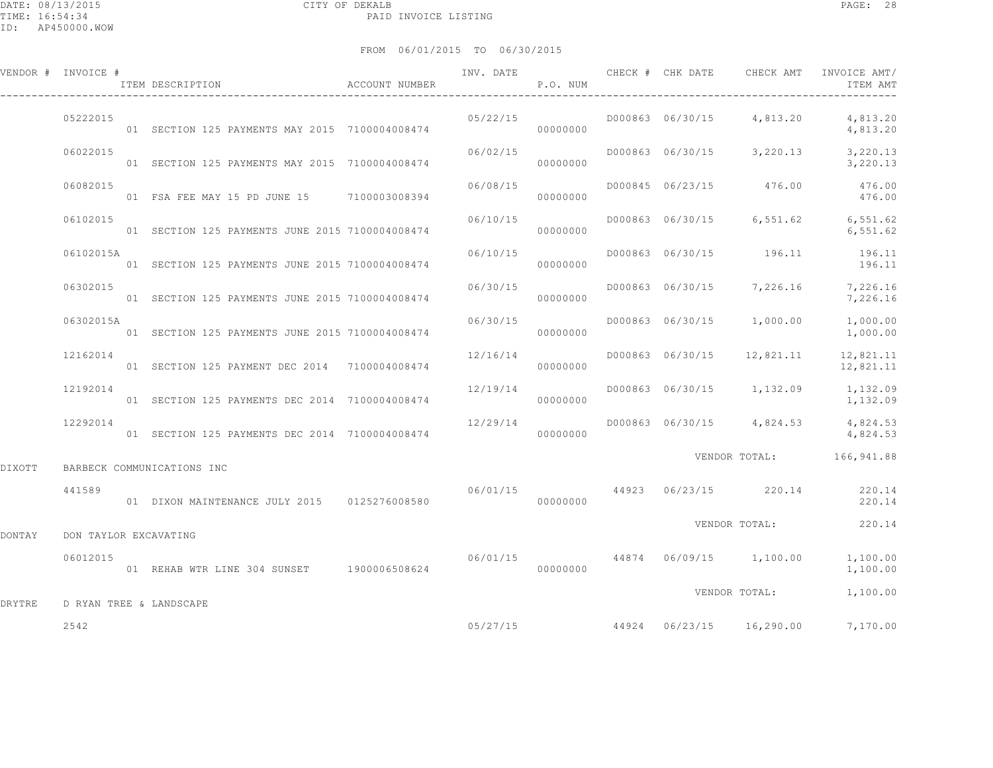|        | VENDOR # INVOICE #    | ITEM DESCRIPTION                                | ACCOUNT NUMBER | INV. DATE | P.O. NUM |  | CHECK # CHK DATE CHECK AMT         | INVOICE AMT/<br>ITEM AMT                                  |
|--------|-----------------------|-------------------------------------------------|----------------|-----------|----------|--|------------------------------------|-----------------------------------------------------------|
|        | 05222015              | 01 SECTION 125 PAYMENTS MAY 2015 7100004008474  |                | 05/22/15  | 00000000 |  | D000863 06/30/15 4,813.20          | 4,813.20<br>4,813.20                                      |
|        | 06022015              | 01 SECTION 125 PAYMENTS MAY 2015 7100004008474  |                | 06/02/15  | 00000000 |  |                                    | D000863 06/30/15 3,220.13 3,220.13<br>3,220.13            |
|        | 06082015              | 01 FSA FEE MAY 15 PD JUNE 15 7100003008394      |                | 06/08/15  | 00000000 |  | D000845 06/23/15 476.00            | 476.00<br>476.00                                          |
|        | 06102015              | 01 SECTION 125 PAYMENTS JUNE 2015 7100004008474 |                | 06/10/15  | 00000000 |  |                                    | D000863 06/30/15 6,551.62 6,551.62<br>6,551.62            |
|        | 06102015A             | 01 SECTION 125 PAYMENTS JUNE 2015 7100004008474 |                | 06/10/15  | 00000000 |  | D000863 06/30/15 196.11            | 196.11<br>196.11                                          |
|        | 06302015              | 01 SECTION 125 PAYMENTS JUNE 2015 7100004008474 |                | 06/30/15  | 00000000 |  |                                    | D000863 06/30/15 7,226.16 7,226.16<br>7,226.16            |
|        | 06302015A             | 01 SECTION 125 PAYMENTS JUNE 2015 7100004008474 |                | 06/30/15  | 00000000 |  | D000863 06/30/15 1,000.00          | 1,000.00<br>1,000.00                                      |
|        | 12162014              | 01 SECTION 125 PAYMENT DEC 2014 7100004008474   |                | 12/16/14  | 00000000 |  | D000863 06/30/15 12,821.11         | 12,821.11<br>12,821.11                                    |
|        | 12192014              | 01 SECTION 125 PAYMENTS DEC 2014 7100004008474  |                | 12/19/14  | 00000000 |  | D000863 06/30/15 1,132.09          | 1,132.09<br>1,132.09                                      |
|        | 12292014              | 01 SECTION 125 PAYMENTS DEC 2014 7100004008474  |                | 12/29/14  | 00000000 |  |                                    | D000863 06/30/15 4,824.53 4,824.53<br>4,824.53            |
| DIXOTT |                       | BARBECK COMMUNICATIONS INC                      |                |           |          |  |                                    | VENDOR TOTAL: 166,941.88                                  |
|        | 441589                | 01 DIXON MAINTENANCE JULY 2015 0125276008580    |                | 00000000  |          |  |                                    | $06/01/15$ $44923$ $06/23/15$ $220.14$ $220.14$<br>220.14 |
| DONTAY | DON TAYLOR EXCAVATING |                                                 |                |           |          |  |                                    | VENDOR TOTAL: 220.14                                      |
|        | 06012015              | 01 REHAB WTR LINE 304 SUNSET 1900006508624      |                |           | 00000000 |  | $06/01/15$ 44874 06/09/15 1,100.00 | 1,100.00<br>1,100.00                                      |
| DRYTRE |                       | D RYAN TREE & LANDSCAPE                         |                |           |          |  | VENDOR TOTAL:                      | 1,100.00                                                  |
|        | 2542                  |                                                 |                |           |          |  |                                    | $05/27/15$ $44924$ $06/23/15$ $16,290.00$ $7,170.00$      |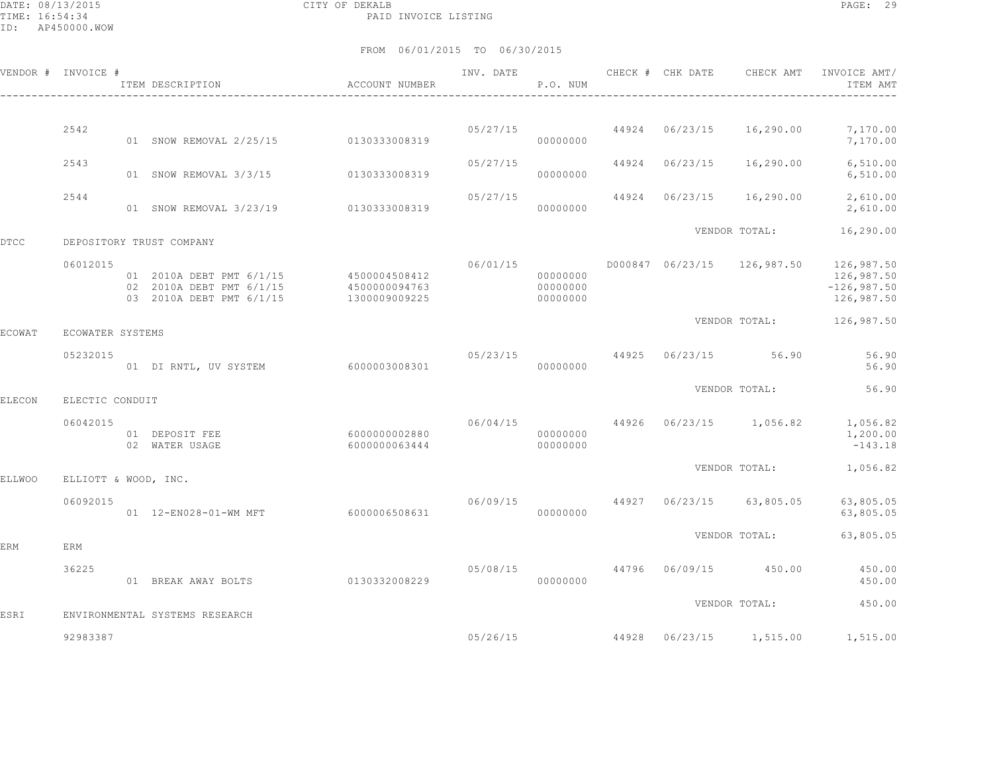DATE: 08/13/2015 CITY OF DEKALB PAGE: 29 PAID INVOICE LISTING

|        | VENDOR # INVOICE #   | ITEM DESCRIPTION                                                                               | ACCOUNT NUMBER                 | INV. DATE | P.O. NUM                            | CHECK # CHK DATE | CHECK AMT                                               | INVOICE AMT/<br>ITEM AMT                  |
|--------|----------------------|------------------------------------------------------------------------------------------------|--------------------------------|-----------|-------------------------------------|------------------|---------------------------------------------------------|-------------------------------------------|
|        |                      |                                                                                                |                                |           |                                     |                  |                                                         |                                           |
|        | 2542                 | 01 SNOW REMOVAL 2/25/15 0130333008319                                                          |                                |           | 05/27/15 44924 06/23/15<br>00000000 |                  | 16,290.00                                               | 7,170.00<br>7,170.00                      |
|        | 2543                 | 01 SNOW REMOVAL 3/3/15 0130333008319                                                           |                                | 05/27/15  | 00000000                            | 44924 06/23/15   | 16,290.00                                               | 6,510.00<br>6,510.00                      |
|        | 2544                 | 01 SNOW REMOVAL 3/23/19 0130333008319                                                          |                                | 05/27/15  | 00000000                            | 44924 06/23/15   | 16,290.00                                               | 2,610.00<br>2,610.00                      |
| DTCC   |                      | DEPOSITORY TRUST COMPANY                                                                       |                                |           |                                     |                  | VENDOR TOTAL:                                           | 16,290.00                                 |
|        | 06012015             | 01 2010A DEBT PMT 6/1/15 4500004508412<br>02 2010A DEBT PMT 6/1/15<br>03 2010A DEBT PMT 6/1/15 | 4500000094763<br>1300009009225 |           | 00000000<br>00000000<br>00000000    |                  | 06/01/15   0000847   06/23/15   126,987.50   126,987.50 | 126,987.50<br>$-126,987.50$<br>126,987.50 |
| ECOWAT | ECOWATER SYSTEMS     |                                                                                                |                                |           |                                     |                  | VENDOR TOTAL:                                           | 126,987.50                                |
|        | 05232015             | 01 DI RNTL, UV SYSTEM 6000003008301                                                            |                                | 05/23/15  | 00000000                            |                  | 44925 06/23/15 56.90                                    | 56.90<br>56.90                            |
| ELECON | ELECTIC CONDUIT      |                                                                                                |                                |           |                                     |                  | VENDOR TOTAL:                                           | 56.90                                     |
|        | 06042015             | 01 DEPOSIT FEE<br>02 WATER USAGE                                                               | 6000000002880<br>6000000063444 |           | 00000000<br>00000000                |                  | $06/04/15$ $44926$ $06/23/15$ $1,056.82$ $1,056.82$     | 1,200.00<br>$-143.18$                     |
| ELLWOO | ELLIOTT & WOOD, INC. |                                                                                                |                                |           |                                     |                  | VENDOR TOTAL: 1,056.82                                  |                                           |
|        | 06092015             | 01  12-EN028-01-WM MFT 6000006508631                                                           |                                |           | 00000000                            |                  | $06/09/15$ 44927 06/23/15 63,805.05                     | 63,805.05<br>63,805.05                    |
| ERM    | ERM                  |                                                                                                |                                |           |                                     |                  | VENDOR TOTAL:                                           | 63,805.05                                 |
|        | 36225                | 01 BREAK AWAY BOLTS                                                                            | 0130332008229                  | 05/08/15  | 00000000                            |                  | 44796 06/09/15 450.00                                   | 450.00<br>450.00                          |
| ESRI   |                      | ENVIRONMENTAL SYSTEMS RESEARCH                                                                 |                                |           |                                     |                  | VENDOR TOTAL:                                           | 450.00                                    |
|        | 92983387             |                                                                                                |                                | 05/26/15  |                                     |                  | 44928 06/23/15 1,515.00                                 | 1,515.00                                  |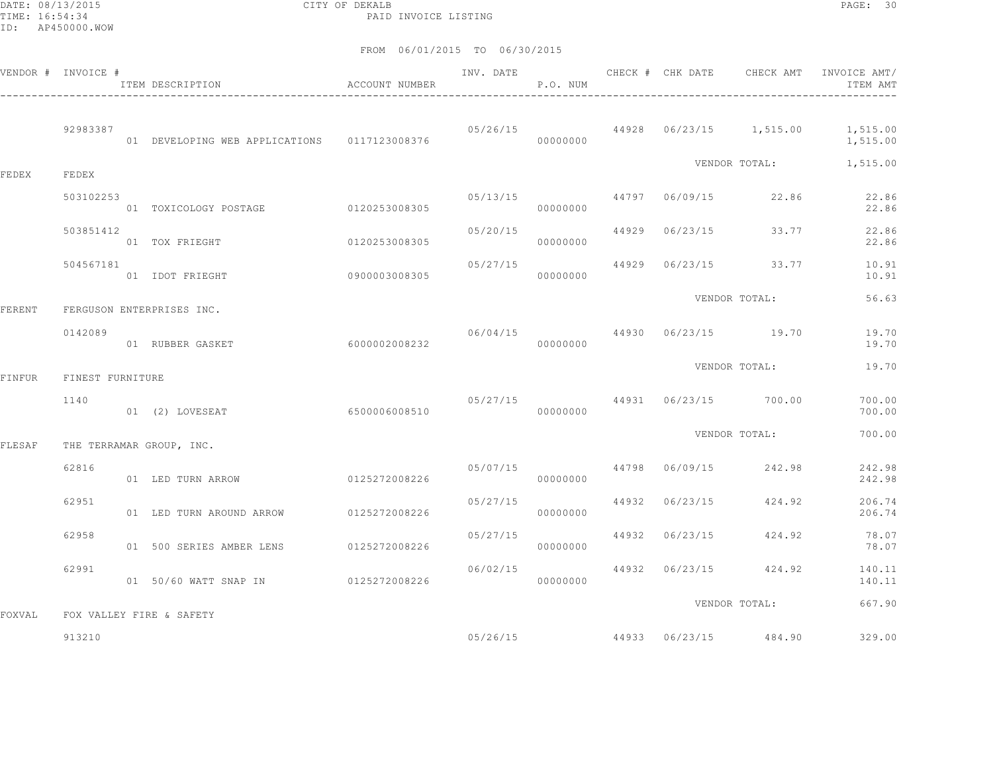DATE: 08/13/2015 CITY OF DEKALB PAGE: 30 PAID INVOICE LISTING

|        | VENDOR # INVOICE # | ITEM DESCRIPTION                               | ACCOUNT NUMBER | INV. DATE | P.O. NUM |                         | CHECK # CHK DATE CHECK AMT        | INVOICE AMT/<br>ITEM AMT                              |
|--------|--------------------|------------------------------------------------|----------------|-----------|----------|-------------------------|-----------------------------------|-------------------------------------------------------|
|        | 92983387           | 01 DEVELOPING WEB APPLICATIONS   0117123008376 |                |           | 00000000 |                         |                                   | 05/26/15 44928 06/23/15 1,515.00 1,515.00<br>1,515.00 |
| FEDEX  | FEDEX              |                                                |                |           |          |                         | VENDOR TOTAL:                     | 1,515.00                                              |
|        | 503102253          | 01 TOXICOLOGY POSTAGE 0120253008305            |                | 05/13/15  | 00000000 |                         | 44797 06/09/15 22.86              | 22.86<br>22.86                                        |
|        | 503851412          | 01 TOX FRIEGHT                                 | 0120253008305  | 05/20/15  | 00000000 | 44929 06/23/15          | 33.77                             | 22.86<br>22.86                                        |
|        | 504567181          | 09000003008305<br>01 IDOT FRIEGHT              |                | 05/27/15  | 00000000 |                         | 44929 06/23/15 33.77              | 10.91<br>10.91                                        |
| FERENT |                    | FERGUSON ENTERPRISES INC.                      |                |           |          |                         | VENDOR TOTAL:                     | 56.63                                                 |
|        | 0142089            | 01 RUBBER GASKET                               | 6000002008232  |           | 00000000 |                         | $06/04/15$ 44930 $06/23/15$ 19.70 | 19.70<br>19.70                                        |
| FINFUR | FINEST FURNITURE   |                                                |                |           |          |                         | VENDOR TOTAL:                     | 19.70                                                 |
|        | 1140               | 01 (2) LOVESEAT                                | 6500006008510  | 05/27/15  | 00000000 |                         | 44931 06/23/15 700.00             | 700.00<br>700.00                                      |
| FLESAF |                    | THE TERRAMAR GROUP, INC.                       |                |           |          |                         | VENDOR TOTAL:                     | 700.00                                                |
|        | 62816              | 01 LED TURN ARROW                              | 0125272008226  |           | 00000000 | 05/07/15 44798 06/09/15 | 242.98                            | 242.98<br>242.98                                      |
|        | 62951              | 01 LED TURN AROUND ARROW 0125272008226         |                | 05/27/15  | 00000000 | 44932 06/23/15          | 424.92                            | 206.74<br>206.74                                      |
|        | 62958              | 01 500 SERIES AMBER LENS 0125272008226         |                | 05/27/15  | 00000000 |                         | 44932 06/23/15 424.92             | 78.07<br>78.07                                        |
|        | 62991              | 01 50/60 WATT SNAP IN 0125272008226            |                | 06/02/15  | 00000000 |                         | 44932 06/23/15 424.92             | 140.11<br>140.11                                      |
| FOXVAL |                    | FOX VALLEY FIRE & SAFETY                       |                |           |          |                         | VENDOR TOTAL:                     | 667.90                                                |
|        | 913210             |                                                |                |           | 05/26/15 |                         | 44933 06/23/15 484.90             | 329.00                                                |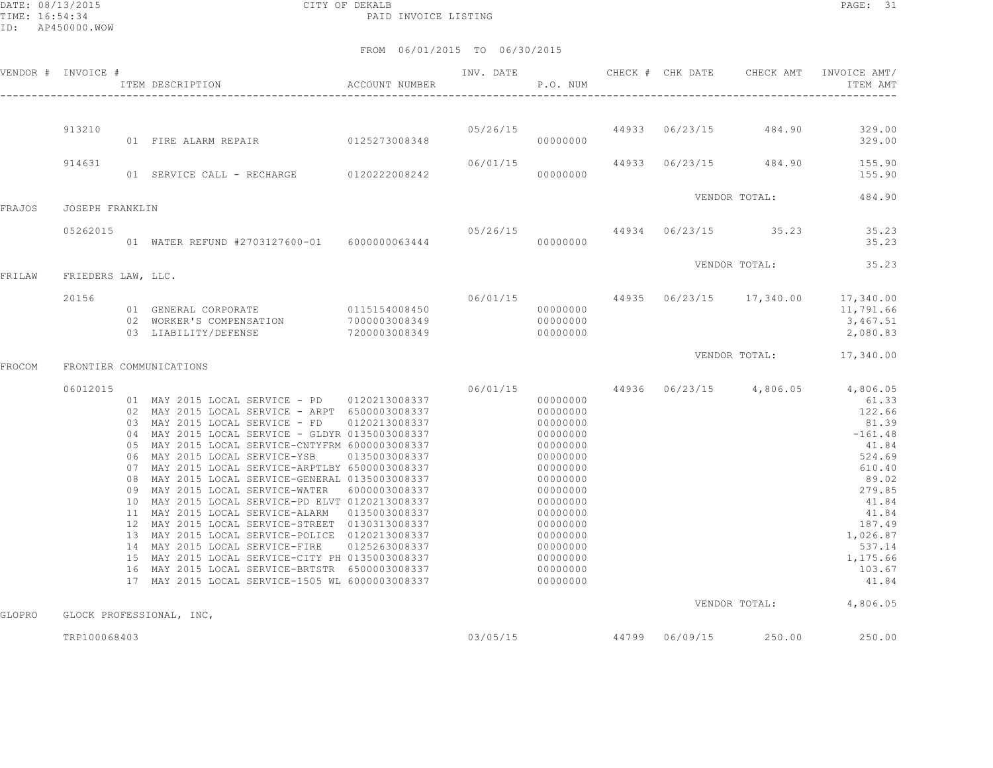DATE: 08/13/2015 CITY OF DEKALB PAGE: 31 PAID INVOICE LISTING

|        | VENDOR # INVOICE # | ACCOUNT NUMBER<br>ITEM DESCRIPTION                                                                                                                                                                                                                                                                                                                                                                                                                                                                                                                                                                                                                                                                                                                                                                                               |                                                 | INV. DATE | P.O. NUM                                                                                                                                                                                                             |  | CHECK # CHK DATE CHECK AMT            | INVOICE AMT/<br>ITEM AMT                                                                                                                                                                                   |
|--------|--------------------|----------------------------------------------------------------------------------------------------------------------------------------------------------------------------------------------------------------------------------------------------------------------------------------------------------------------------------------------------------------------------------------------------------------------------------------------------------------------------------------------------------------------------------------------------------------------------------------------------------------------------------------------------------------------------------------------------------------------------------------------------------------------------------------------------------------------------------|-------------------------------------------------|-----------|----------------------------------------------------------------------------------------------------------------------------------------------------------------------------------------------------------------------|--|---------------------------------------|------------------------------------------------------------------------------------------------------------------------------------------------------------------------------------------------------------|
|        |                    |                                                                                                                                                                                                                                                                                                                                                                                                                                                                                                                                                                                                                                                                                                                                                                                                                                  |                                                 |           |                                                                                                                                                                                                                      |  |                                       |                                                                                                                                                                                                            |
|        | 913210             | 01 FIRE ALARM REPAIR 0125273008348                                                                                                                                                                                                                                                                                                                                                                                                                                                                                                                                                                                                                                                                                                                                                                                               |                                                 |           | 00000000                                                                                                                                                                                                             |  | $05/26/15$ 44933 $06/23/15$ 484.90    | 329.00<br>329.00                                                                                                                                                                                           |
|        | 914631             | 01 SERVICE CALL - RECHARGE 0120222008242                                                                                                                                                                                                                                                                                                                                                                                                                                                                                                                                                                                                                                                                                                                                                                                         |                                                 | 06/01/15  | 00000000                                                                                                                                                                                                             |  | 44933 06/23/15 484.90                 | 155.90<br>155.90                                                                                                                                                                                           |
| FRAJOS | JOSEPH FRANKLIN    |                                                                                                                                                                                                                                                                                                                                                                                                                                                                                                                                                                                                                                                                                                                                                                                                                                  |                                                 |           |                                                                                                                                                                                                                      |  | VENDOR TOTAL:                         | 484.90                                                                                                                                                                                                     |
|        | 05262015           | 01 WATER REFUND #2703127600-01 6000000063444                                                                                                                                                                                                                                                                                                                                                                                                                                                                                                                                                                                                                                                                                                                                                                                     |                                                 | 05/26/15  | 00000000                                                                                                                                                                                                             |  | 44934 06/23/15 35.23                  | 35.23<br>35.23                                                                                                                                                                                             |
| FRILAW | FRIEDERS LAW, LLC. |                                                                                                                                                                                                                                                                                                                                                                                                                                                                                                                                                                                                                                                                                                                                                                                                                                  |                                                 |           |                                                                                                                                                                                                                      |  | VENDOR TOTAL:                         | 35.23                                                                                                                                                                                                      |
|        | 20156              | 01 GENERAL CORPORATE 0115154008450<br>02 WORKER'S COMPENSATION<br>03 LIABILITY/DEFENSE                                                                                                                                                                                                                                                                                                                                                                                                                                                                                                                                                                                                                                                                                                                                           | $7000003008349$<br>7200003008349                |           | 00000000<br>00000000<br>00000000                                                                                                                                                                                     |  | $06/01/15$ 44935 $06/23/15$ 17,340.00 | 17,340.00<br>11,791.66<br>3,467.51<br>2,080.83                                                                                                                                                             |
| FROCOM |                    | FRONTIER COMMUNICATIONS                                                                                                                                                                                                                                                                                                                                                                                                                                                                                                                                                                                                                                                                                                                                                                                                          |                                                 |           |                                                                                                                                                                                                                      |  | VENDOR TOTAL:                         | 17,340.00                                                                                                                                                                                                  |
|        | 06012015           | 01 MAY 2015 LOCAL SERVICE - PD 0120213008337<br>02 MAY 2015 LOCAL SERVICE - ARPT 6500003008337<br>03 MAY 2015 LOCAL SERVICE - FD 0120213008337<br>04 MAY 2015 LOCAL SERVICE - GLDYR 0135003008337<br>05 MAY 2015 LOCAL SERVICE-CNTYFRM 6000003008337<br>06 MAY 2015 LOCAL SERVICE-YSB<br>07 MAY 2015 LOCAL SERVICE-ARPTLBY 6500003008337<br>08 MAY 2015 LOCAL SERVICE-GENERAL 0135003008337<br>09 MAY 2015 LOCAL SERVICE-WATER<br>10 MAY 2015 LOCAL SERVICE-PD ELVT 0120213008337<br>11 MAY 2015 LOCAL SERVICE-ALARM 0135003008337<br>12 MAY 2015 LOCAL SERVICE-STREET 0130313008337<br>13 MAY 2015 LOCAL SERVICE-POLICE 0120213008337<br>14 MAY 2015 LOCAL SERVICE-FIRE<br>15 MAY 2015 LOCAL SERVICE-CITY PH 0135003008337<br>16 MAY 2015 LOCAL SERVICE-BRTSTR 6500003008337<br>17 MAY 2015 LOCAL SERVICE-1505 WL 6000003008337 | 0135003008337<br>6000003008337<br>0125263008337 |           | 06/01/15<br>00000000<br>00000000<br>00000000<br>00000000<br>00000000<br>00000000<br>00000000<br>00000000<br>00000000<br>00000000<br>00000000<br>00000000<br>00000000<br>00000000<br>00000000<br>00000000<br>00000000 |  |                                       | 44936 06/23/15 4,806.05 4,806.05<br>61.33<br>122.66<br>81.39<br>$-161.48$<br>41.84<br>524.69<br>610.40<br>89.02<br>279.85<br>41.84<br>41.84<br>187.49<br>1,026.87<br>537.14<br>1,175.66<br>103.67<br>41.84 |
| GLOPRO |                    | GLOCK PROFESSIONAL, INC,                                                                                                                                                                                                                                                                                                                                                                                                                                                                                                                                                                                                                                                                                                                                                                                                         |                                                 |           |                                                                                                                                                                                                                      |  |                                       | VENDOR TOTAL: 4,806.05                                                                                                                                                                                     |
|        | TRP100068403       |                                                                                                                                                                                                                                                                                                                                                                                                                                                                                                                                                                                                                                                                                                                                                                                                                                  |                                                 | 03/05/15  |                                                                                                                                                                                                                      |  | 44799 06/09/15 250.00                 | 250.00                                                                                                                                                                                                     |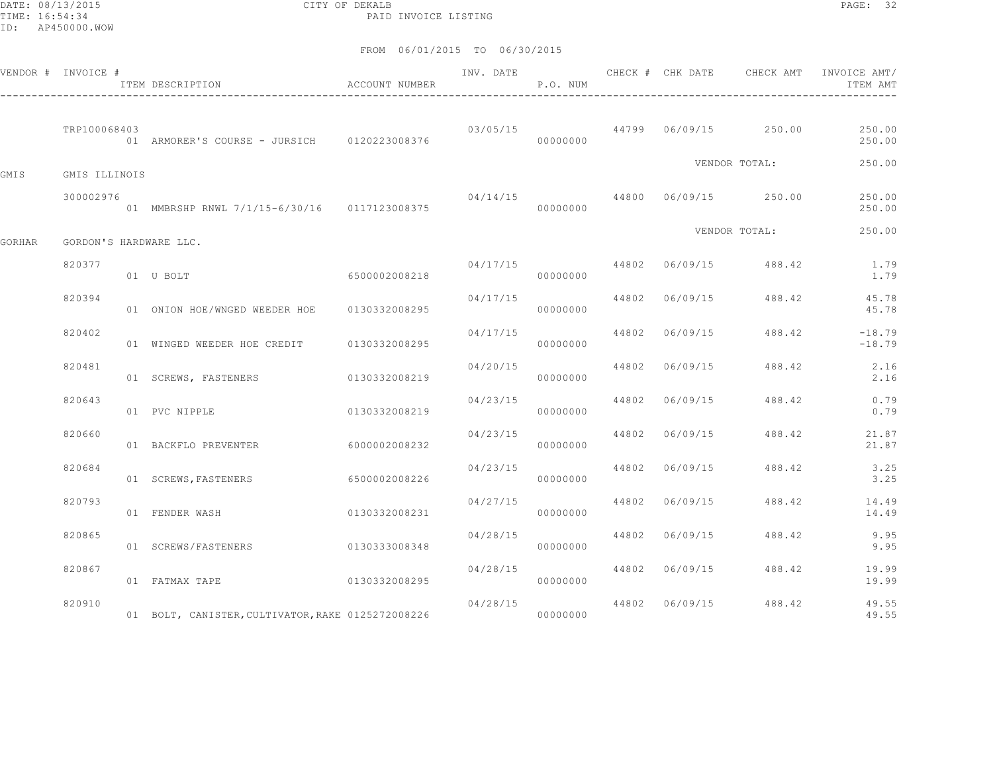DATE: 08/13/2015 CITY OF DEKALB PAGE: 32 PAID INVOICE LISTING

|        | VENDOR # INVOICE # | ITEM DESCRIPTION                                  | ACCOUNT NUMBER |          | P.O. NUM |       |                |                                        | INV. DATE 6 CHECK # CHK DATE CHECK AMT INVOICE AMT/<br>ITEM AMT |
|--------|--------------------|---------------------------------------------------|----------------|----------|----------|-------|----------------|----------------------------------------|-----------------------------------------------------------------|
|        | TRP100068403       |                                                   |                |          |          |       |                | $03/05/15$ 44799 06/09/15 250.00       | 250.00<br>250.00                                                |
| GMIS   | GMIS ILLINOIS      |                                                   |                |          |          |       |                | VENDOR TOTAL:                          | 250.00                                                          |
|        | 300002976          | 01 MMBRSHP RNWL 7/1/15-6/30/16 0117123008375      |                |          | 00000000 |       |                | $04/14/15$ $44800$ $06/09/15$ $250.00$ | 250.00<br>250.00                                                |
| GORHAR |                    | GORDON'S HARDWARE LLC.                            |                |          |          |       |                | VENDOR TOTAL:                          | 250.00                                                          |
|        | 820377             | 01 U BOLT                                         | 6500002008218  |          | 00000000 |       |                | $04/17/15$ 44802 06/09/15 488.42       | 1.79<br>1.79                                                    |
|        | 820394             | 01 ONION HOE/WNGED WEEDER HOE 0130332008295       |                | 04/17/15 | 00000000 |       | 44802 06/09/15 | 488.42                                 | 45.78<br>45.78                                                  |
|        | 820402             | 01 WINGED WEEDER HOE CREDIT 0130332008295         |                | 04/17/15 | 00000000 | 44802 | 06/09/15       | 488.42                                 | $-18.79$<br>$-18.79$                                            |
|        | 820481             | 01 SCREWS, FASTENERS                              | 0130332008219  | 04/20/15 | 00000000 | 44802 | 06/09/15       | 488.42                                 | 2.16<br>2.16                                                    |
|        | 820643             | 01 PVC NIPPLE                                     | 0130332008219  | 04/23/15 | 00000000 |       | 44802 06/09/15 | 488.42                                 | 0.79<br>0.79                                                    |
|        | 820660             | 01 BACKFLO PREVENTER                              | 6000002008232  | 04/23/15 | 00000000 |       | 44802 06/09/15 | 488.42                                 | 21.87<br>21.87                                                  |
|        | 820684             | 01 SCREWS, FASTENERS                              | 6500002008226  | 04/23/15 | 00000000 |       | 44802 06/09/15 | 488.42                                 | 3.25<br>3.25                                                    |
|        | 820793             | 01 FENDER WASH                                    | 0130332008231  | 04/27/15 | 00000000 | 44802 | 06/09/15       | 488.42                                 | 14.49<br>14.49                                                  |
|        | 820865             | 01 SCREWS/FASTENERS                               | 0130333008348  | 04/28/15 | 00000000 |       | 44802 06/09/15 | 488.42                                 | 9.95<br>9.95                                                    |
|        | 820867             | 01 FATMAX TAPE                                    | 0130332008295  | 04/28/15 | 00000000 |       | 44802 06/09/15 | 488.42                                 | 19.99<br>19.99                                                  |
|        | 820910             | 01 BOLT, CANISTER, CULTIVATOR, RAKE 0125272008226 |                |          |          |       |                | $04/28/15$ 44802 06/09/15 488.42       | 49.55<br>49.55                                                  |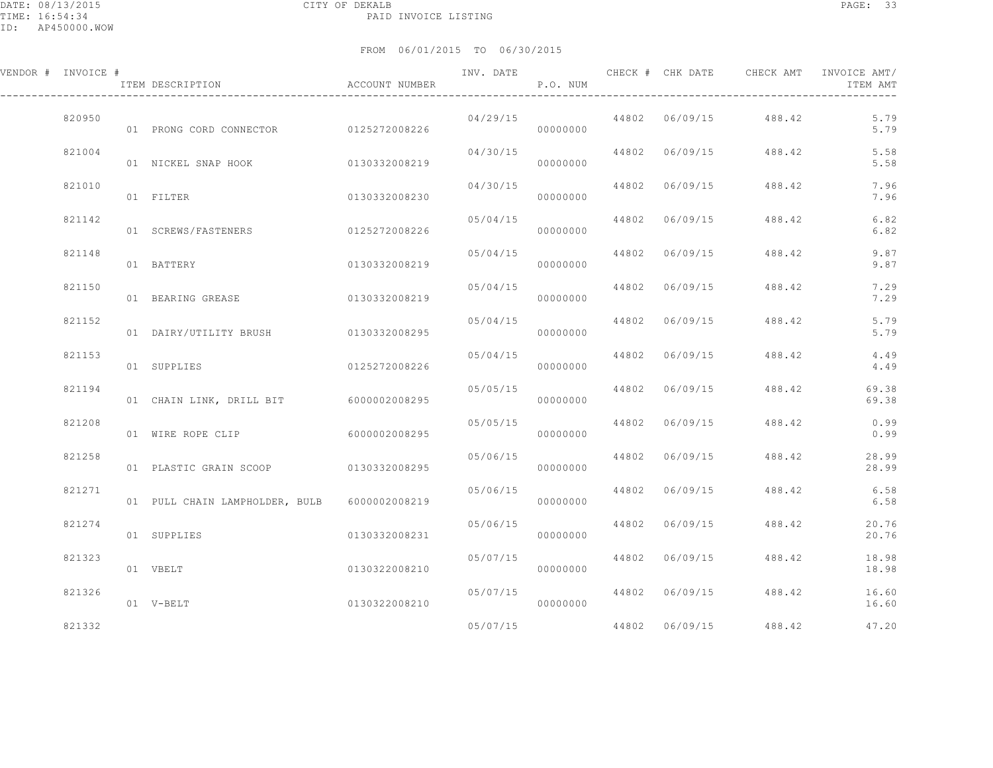| VENDOR # INVOICE # | ITEM DESCRIPTION                             | ACCOUNT NUMBER |                           | P.O. NUM             |                |                       | ITEM AMT               |
|--------------------|----------------------------------------------|----------------|---------------------------|----------------------|----------------|-----------------------|------------------------|
| 820950             | 01 PRONG CORD CONNECTOR 0125272008226        |                | 04/29/15                  | 00000000             |                | 44802 06/09/15 488.42 | 5.79<br>5.79           |
| 821004             | 01 NICKEL SNAP HOOK 0130332008219            |                | $04/30/15$ 44802 06/09/15 | 00000000             |                |                       | 5.58<br>488.42<br>5.58 |
| 821010             | 01 FILTER                                    | 0130332008230  | 04/30/15                  | 00000000             | 44802 06/09/15 | 488.42                | 7.96<br>7.96           |
| 821142             | 01 SCREWS/FASTENERS                          | 0125272008226  | 05/04/15                  | 00000000             | 44802 06/09/15 | 488.42                | 6.82<br>6.82           |
| 821148             | 01 BATTERY                                   | 0130332008219  | 05/04/15                  | 00000000             | 44802 06/09/15 | 488.42                | 9.87<br>9.87           |
| 821150             | 01 BEARING GREASE 6130332008219              |                | 05/04/15 44802 06/09/15   | 00000000             |                | 488.42                | 7.29<br>7.29           |
| 821152             | 01 DAIRY/UTILITY BRUSH 0130332008295         |                | 05/04/15                  | 00000000             | 44802 06/09/15 | 488.42                | 5.79<br>5.79           |
| 821153             | 01 SUPPLIES                                  | 0125272008226  | 05/04/15                  | 00000000             | 44802 06/09/15 | 488.42                | 4.49<br>4.49           |
| 821194             | 01 CHAIN LINK, DRILL BIT 6000002008295       |                | 05/05/15                  | 00000000             | 44802 06/09/15 | 488.42                | 69.38<br>69.38         |
| 821208             | 01 WIRE ROPE CLIP                            | 6000002008295  | 05/05/15                  | 00000000             | 44802 06/09/15 | 488.42                | 0.99<br>0.99           |
| 821258             | 01 PLASTIC GRAIN SCOOP 0130332008295         |                | 05/06/15                  | 00000000             | 44802 06/09/15 | 488.42                | 28.99<br>28.99         |
| 821271             | 01 PULL CHAIN LAMPHOLDER, BULB 6000002008219 |                | 05/06/15                  | 00000000             | 44802 06/09/15 | 488.42                | 6.58<br>6.58           |
| 821274             | 01 SUPPLIES                                  | 0130332008231  | 05/06/15                  | 00000000             | 44802 06/09/15 | 488.42                | 20.76<br>20.76         |
| 821323             | 01 VBELT                                     | 0130322008210  |                           | 05/07/15<br>00000000 | 44802 06/09/15 | 488.42                | 18.98<br>18.98         |
| 821326             | 01 V-BELT                                    | 0130322008210  | 05/07/15                  | 00000000             | 44802 06/09/15 | 488.42                | 16.60<br>16.60         |
| 821332             |                                              |                | 05/07/15                  |                      | 44802 06/09/15 | 488.42                | 47.20                  |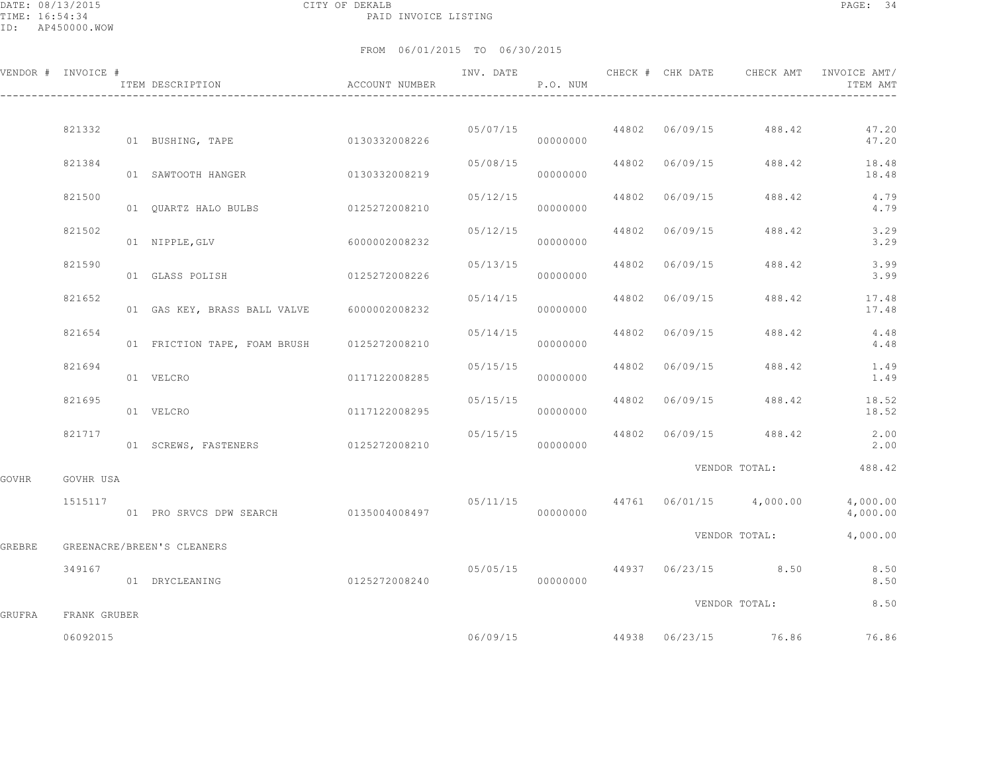DATE: 08/13/2015 CITY OF DEKALB PAGE: 34 PAID INVOICE LISTING

|        | VENDOR # INVOICE #       | ITEM DESCRIPTION<br>$\,$ ACCOUNT NUMBER    |               | INV. DATE | P.O. NUM |                |                                          | ITEM AMT                                                                                                                                                                                                                             |
|--------|--------------------------|--------------------------------------------|---------------|-----------|----------|----------------|------------------------------------------|--------------------------------------------------------------------------------------------------------------------------------------------------------------------------------------------------------------------------------------|
|        |                          |                                            |               |           |          |                |                                          |                                                                                                                                                                                                                                      |
|        | 821332                   | 01 BUSHING, TAPE                           | 0130332008226 |           | 00000000 |                | $05/07/15$ 44802 06/09/15 488.42         | 47.20<br>47.20                                                                                                                                                                                                                       |
|        | 821384                   | 01 SAWTOOTH HANGER                         | 0130332008219 | 05/08/15  | 00000000 |                | 44802 06/09/15 488.42                    | 18.48<br>18.48                                                                                                                                                                                                                       |
|        | 821500                   |                                            |               | 05/12/15  | 00000000 | 44802 06/09/15 | 488.42                                   | 4.79<br>4.79                                                                                                                                                                                                                         |
|        | 821502                   | 01 NIPPLE, GLV                             | 6000002008232 | 05/12/15  | 00000000 | 44802 06/09/15 | 488.42                                   | 3.29<br>3.29                                                                                                                                                                                                                         |
|        | 821590                   | 01 GLASS POLISH                            | 0125272008226 | 05/13/15  | 00000000 | 44802 06/09/15 | 488.42                                   | 3.99<br>3.99                                                                                                                                                                                                                         |
|        | 821652                   | 01 GAS KEY, BRASS BALL VALVE 6000002008232 |               | 05/14/15  | 00000000 | 44802 06/09/15 | 488.42                                   | 17.48<br>17.48                                                                                                                                                                                                                       |
|        | 821654                   | 01 FRICTION TAPE, FOAM BRUSH 0125272008210 |               | 05/14/15  | 00000000 | 44802 06/09/15 | 488.42                                   | 4.48<br>4.48                                                                                                                                                                                                                         |
|        | 821694                   | 01 VELCRO                                  | 0117122008285 | 05/15/15  | 00000000 |                | 44802 06/09/15 488.42                    | 1.49<br>1.49                                                                                                                                                                                                                         |
|        | 821695                   | 01 VELCRO                                  | 0117122008295 | 05/15/15  | 00000000 |                | 44802 06/09/15 488.42                    | 18.52<br>18.52                                                                                                                                                                                                                       |
|        | 821717                   | 01 SCREWS, FASTENERS 0125272008210         |               | 05/15/15  | 00000000 |                | 44802 06/09/15 488.42                    | 2.00<br>2,00                                                                                                                                                                                                                         |
| GOVHR  | GOVHR USA                |                                            |               |           |          |                |                                          | VENDOR TOTAL: 488.42                                                                                                                                                                                                                 |
|        | 1515117                  | 01 PRO SRVCS DPW SEARCH 0135004008497      |               |           | 00000000 |                | $05/11/15$ $44761$ $06/01/15$ $4,000.00$ | 4,000.00<br>4,000.00                                                                                                                                                                                                                 |
| GREBRE |                          | GREENACRE/BREEN'S CLEANERS                 |               |           |          |                | VENDOR TOTAL:                            | 4,000.00                                                                                                                                                                                                                             |
|        | 349167                   | 01 DRYCLEANING                             | 0125272008240 |           | 00000000 |                |                                          | $0.5/0.5/15$ $0.5/0.5/15$ $0.5/0.5/15$ $0.5/0.5/15$ $0.5/0.5/15$ $0.5/0.5/15$ $0.5/0.5/15$ $0.5/0.5/15$ $0.5/0.5/15$ $0.5/0.5/15$ $0.5/0.5/15$ $0.5/0.5/15$ $0.5/0.5/15$ $0.5/0.5/15$ $0.5/0.5/15$ $0.5/0.5/15$ $0.5/0.5/15$<br>8.50 |
|        |                          |                                            |               |           |          |                | VENDOR TOTAL:                            | 8.50                                                                                                                                                                                                                                 |
| GRUFRA | FRANK GRUBER<br>06092015 |                                            |               |           |          |                | 06/09/15 44938 06/23/15 76.86            | 76.86                                                                                                                                                                                                                                |
|        |                          |                                            |               |           |          |                |                                          |                                                                                                                                                                                                                                      |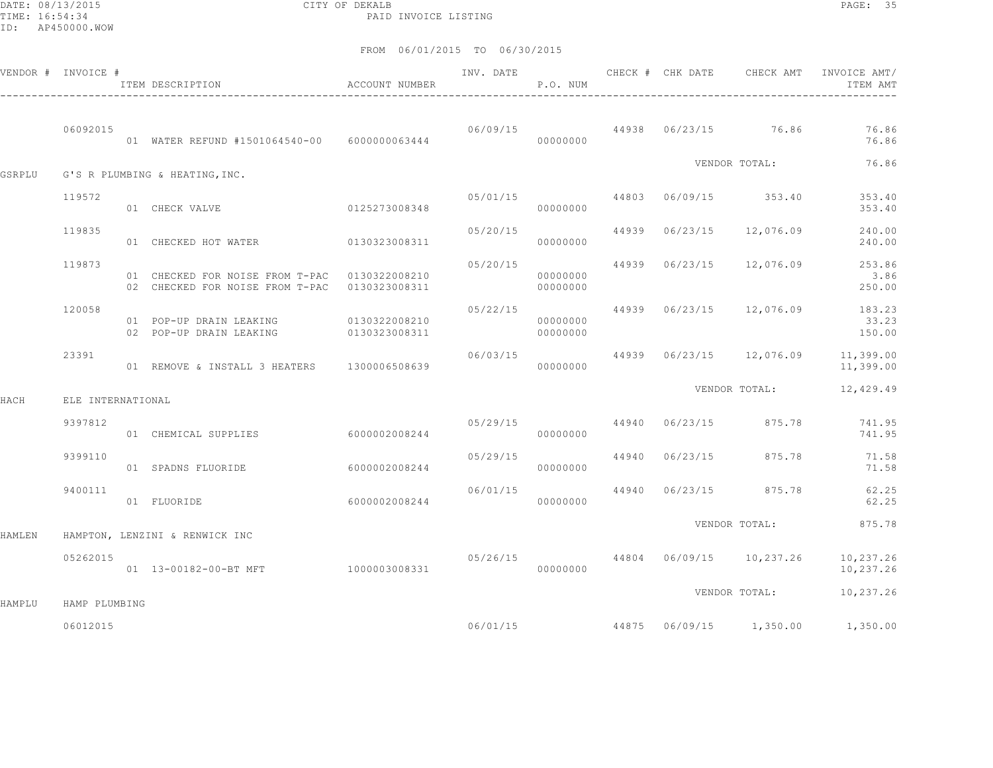DATE: 08/13/2015 CITY OF DEKALB PAGE: 35 PAID INVOICE LISTING

|        | VENDOR # INVOICE # | ITEM DESCRIPTION                                                                               | ACCOUNT NUMBER                 | INV. DATE | P.O. NUM             | CHECK # CHK DATE | CHECK AMT                         | INVOICE AMT/<br>ITEM AMT                              |
|--------|--------------------|------------------------------------------------------------------------------------------------|--------------------------------|-----------|----------------------|------------------|-----------------------------------|-------------------------------------------------------|
|        | 06092015           | 01 WATER REFUND #1501064540-00 6000000063444                                                   |                                |           | 00000000             |                  | 06/09/15 44938 06/23/15 76.86     | 76.86<br>76.86                                        |
| GSRPLU |                    | G'S R PLUMBING & HEATING, INC.                                                                 |                                |           |                      |                  | VENDOR TOTAL:                     | 76.86                                                 |
|        | 119572             | 01 CHECK VALVE                                                                                 | 0125273008348                  | 05/01/15  | 00000000             |                  | 44803 06/09/15 353.40             | 353.40<br>353.40                                      |
|        | 119835             | 01 CHECKED HOT WATER 0130323008311                                                             |                                | 05/20/15  | 00000000             |                  | 44939 06/23/15 12,076.09          | 240.00<br>240.00                                      |
|        | 119873             | 01 CHECKED FOR NOISE FROM T-PAC 0130322008210<br>02 CHECKED FOR NOISE FROM T-PAC 0130323008311 |                                | 05/20/15  | 00000000<br>00000000 |                  | 44939 06/23/15 12,076.09          | 253.86<br>3.86<br>250.00                              |
|        | 120058             | 01 POP-UP DRAIN LEAKING<br>02 POP-UP DRAIN LEAKING                                             | 0130322008210<br>0130323008311 | 05/22/15  | 00000000<br>00000000 |                  |                                   | 44939  06/23/15  12,076.09  183.23<br>33.23<br>150.00 |
|        | 23391              | 01 REMOVE & INSTALL 3 HEATERS 1300006508639                                                    |                                | 06/03/15  | 00000000             |                  |                                   | 44939 06/23/15 12,076.09 11,399.00<br>11,399.00       |
| HACH   | ELE INTERNATIONAL  |                                                                                                |                                |           |                      |                  | VENDOR TOTAL:                     | 12,429.49                                             |
|        | 9397812            | 01 CHEMICAL SUPPLIES 6000002008244                                                             |                                | 05/29/15  | 00000000             |                  | 44940 06/23/15 875.78             | 741.95<br>741.95                                      |
|        | 9399110            | 01 SPADNS FLUORIDE                                                                             | 6000002008244                  | 05/29/15  | 00000000             |                  | 44940 06/23/15 875.78             | 71.58<br>71.58                                        |
|        | 9400111            | 01 FLUORIDE                                                                                    | 6000002008244                  | 06/01/15  | 44940<br>00000000    |                  | 06/23/15 875.78                   | 62.25<br>62.25                                        |
| HAMLEN |                    | HAMPTON, LENZINI & RENWICK INC                                                                 |                                |           |                      |                  | VENDOR TOTAL:                     | 875.78                                                |
|        | 05262015           | 01  13-00182-00-BT MFT  1000003008331                                                          |                                |           | 00000000             |                  | 05/26/15 44804 06/09/15 10,237.26 | 10,237.26<br>10,237.26                                |
| HAMPLU | HAMP PLUMBING      |                                                                                                |                                |           |                      |                  | VENDOR TOTAL:                     | 10,237.26                                             |
|        | 06012015           |                                                                                                |                                |           | 06/01/15             |                  | 44875 06/09/15 1,350.00           | 1,350.00                                              |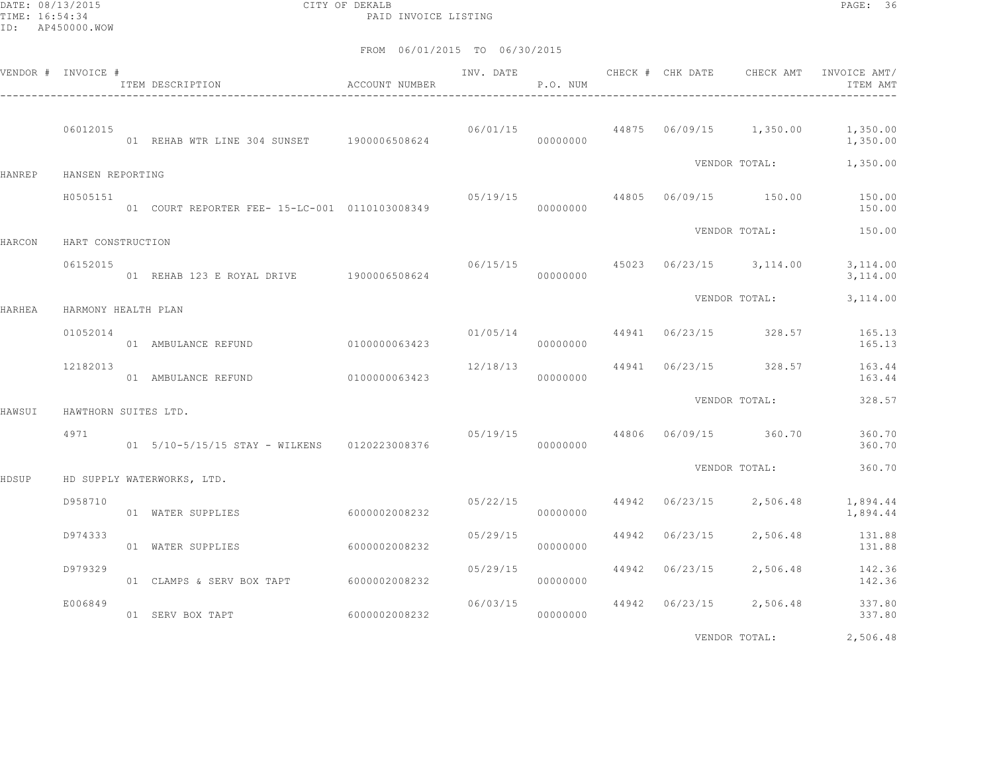DATE: 08/13/2015 CITY OF DEKALB PAGE: 36 PAID INVOICE LISTING

|               | VENDOR # INVOICE #   | ITEM DESCRIPTION                               | <b>ACCOUNT NUMBER</b> | INV. DATE | P.O. NUM |       | CHECK # CHK DATE | CHECK AMT                        | INVOICE AMT/<br>ITEM AMT |
|---------------|----------------------|------------------------------------------------|-----------------------|-----------|----------|-------|------------------|----------------------------------|--------------------------|
|               | 06012015             | 01 REHAB WTR LINE 304 SUNSET 1900006508624     |                       | 06/01/15  | 00000000 |       |                  | 44875 06/09/15 1,350.00          | 1,350.00<br>1,350.00     |
| <b>HANREP</b> | HANSEN REPORTING     |                                                |                       |           |          |       |                  | VENDOR TOTAL:                    | 1,350.00                 |
|               | H0505151             | 01 COURT REPORTER FEE- 15-LC-001 0110103008349 |                       | 05/19/15  | 00000000 |       |                  | 44805 06/09/15 150.00            | 150.00<br>150.00         |
| HARCON        | HART CONSTRUCTION    |                                                |                       |           |          |       |                  | VENDOR TOTAL:                    | 150.00                   |
|               | 06152015             | 01 REHAB 123 E ROYAL DRIVE 1900006508624       |                       |           | 00000000 |       |                  | 06/15/15 45023 06/23/15 3,114.00 | 3,114.00<br>3,114.00     |
| HARHEA        | HARMONY HEALTH PLAN  |                                                |                       |           |          |       |                  | VENDOR TOTAL:                    | 3,114.00                 |
|               | 01052014             | 01 AMBULANCE REFUND                            | 0100000063423         | 01/05/14  | 00000000 |       |                  | 44941 06/23/15 328.57            | 165.13<br>165.13         |
|               | 12182013             | 01 AMBULANCE REFUND                            | 0100000063423         | 12/18/13  | 00000000 |       |                  | 44941 06/23/15 328.57            | 163.44<br>163.44         |
| HAWSUI        | HAWTHORN SUITES LTD. |                                                |                       |           |          |       |                  | VENDOR TOTAL:                    | 328.57                   |
|               | 4971                 | 01 5/10-5/15/15 STAY - WILKENS 0120223008376   |                       | 05/19/15  | 00000000 |       |                  | 44806 06/09/15 360.70            | 360.70<br>360.70         |
| HDSUP         |                      | HD SUPPLY WATERWORKS, LTD.                     |                       |           |          |       |                  | VENDOR TOTAL:                    | 360.70                   |
|               | D958710              | 01 WATER SUPPLIES                              | 6000002008232         | 05/22/15  | 00000000 | 44942 | 06/23/15         | 2,506.48                         | 1,894.44<br>1,894.44     |
|               | D974333              | 01 WATER SUPPLIES                              | 6000002008232         | 05/29/15  | 00000000 | 44942 | 06/23/15         | 2,506.48                         | 131.88<br>131.88         |
|               | D979329              | 01 CLAMPS & SERV BOX TAPT 6000002008232        |                       | 05/29/15  | 00000000 | 44942 | 06/23/15         | 2,506.48                         | 142.36<br>142.36         |
|               | E006849              | 01 SERV BOX TAPT                               | 60000002008232        | 06/03/15  | 00000000 |       |                  | 44942 06/23/15 2,506.48          | 337.80<br>337.80         |
|               |                      |                                                |                       |           |          |       |                  | VENDOR TOTAL:                    | 2,506.48                 |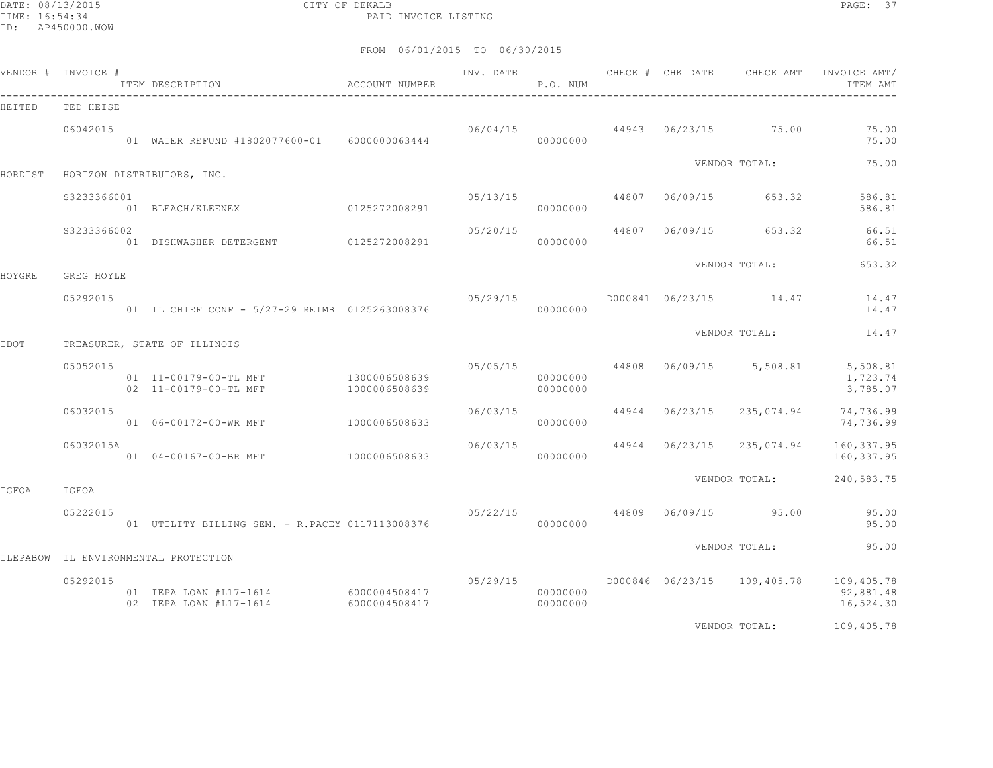DATE: 08/13/2015 CITY OF DEKALB PAGE: 37 PAID INVOICE LISTING

|         | VENDOR # INVOICE # | ITEM DESCRIPTION<br>_________________________________          | ACCOUNT NUMBER | INV. DATE | P.O. NUM             |       | CHECK # CHK DATE | CHECK AMT               | INVOICE AMT/<br>ITEM AMT             |
|---------|--------------------|----------------------------------------------------------------|----------------|-----------|----------------------|-------|------------------|-------------------------|--------------------------------------|
| HEITED  | TED HEISE          |                                                                |                |           |                      |       |                  |                         |                                      |
|         | 06042015           | 01 WATER REFUND #1802077600-01 6000000063444                   |                | 06/04/15  | 00000000             |       |                  | 44943 06/23/15 75.00    | 75.00<br>75.00                       |
| HORDIST |                    | HORIZON DISTRIBUTORS, INC.                                     |                |           |                      |       |                  | VENDOR TOTAL:           | 75.00                                |
|         | \$3233366001       | 01 BLEACH/KLEENEX 0125272008291                                |                | 05/13/15  | 00000000             | 44807 | 06/09/15         | 653.32                  | 586.81<br>586.81                     |
|         | \$3233366002       | 01 DISHWASHER DETERGENT 0125272008291                          |                | 05/20/15  | 00000000             | 44807 | 06/09/15         | 653.32                  | 66.51<br>66.51                       |
| HOYGRE  | GREG HOYLE         |                                                                |                |           |                      |       |                  | VENDOR TOTAL:           | 653.32                               |
|         | 05292015           | 01 IL CHIEF CONF - 5/27-29 REIMB 0125263008376                 |                | 05/29/15  | 00000000             |       |                  | D000841 06/23/15 14.47  | 14.47<br>14.47                       |
| IDOT    |                    | TREASURER, STATE OF ILLINOIS                                   |                |           |                      |       |                  | VENDOR TOTAL:           | 14.47                                |
|         | 05052015           | 01 11-00179-00-TL MFT 1300006508639<br>02 11-00179-00-TL MFT   | 1000006508639  | 05/05/15  | 00000000<br>00000000 |       |                  | 44808 06/09/15 5,508.81 | 5,508.81<br>1,723.74<br>3,785.07     |
|         | 06032015           | 01  06-00172-00-WR MFT                                         | 1000006508633  | 06/03/15  | 00000000             | 44944 | 06/23/15         | 235,074.94              | 74,736.99<br>74,736.99               |
|         | 06032015A          | 01 04-00167-00-BR MFT                                          | 1000006508633  | 06/03/15  | 00000000             | 44944 | 06/23/15         | 235,074.94              | 160,337.95<br>160, 337.95            |
| IGFOA   | IGFOA              |                                                                |                |           |                      |       |                  | VENDOR TOTAL:           | 240,583.75                           |
|         | 05222015           | 01 UTILITY BILLING SEM. - R.PACEY 0117113008376                |                | 05/22/15  | 00000000             |       | 44809 06/09/15   | 95.00                   | 95.00<br>95.00                       |
|         |                    | ILEPABOW IL ENVIRONMENTAL PROTECTION                           |                |           |                      |       |                  | VENDOR TOTAL:           | 95.00                                |
|         | 05292015           | 01 IEPA LOAN #L17-1614 6000004508417<br>02 IEPA LOAN #L17-1614 | 6000004508417  |           | 00000000<br>00000000 |       |                  |                         | 109,405.78<br>92,881.48<br>16,524.30 |
|         |                    |                                                                |                |           |                      |       |                  | VENDOR TOTAL:           | 109,405.78                           |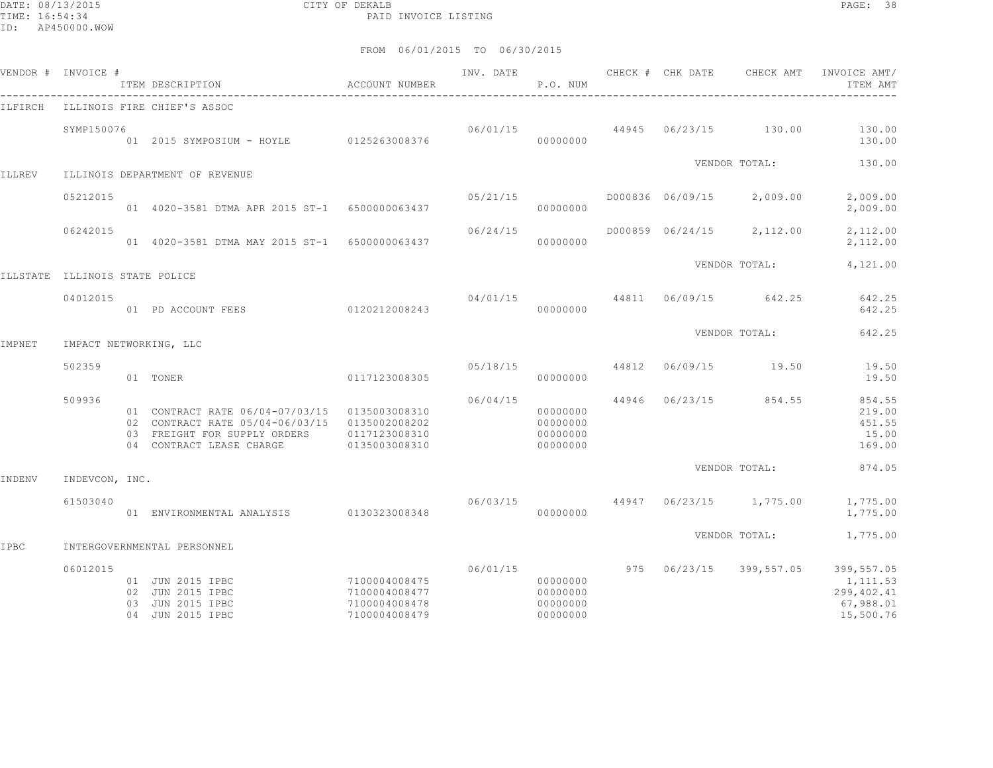DATE: 08/13/2015 CITY OF DEKALB PAGE: 38 PAID INVOICE LISTING

| VENDOR # | INVOICE #             |          | ITEM DESCRIPTION                                                                                                               | ACCOUNT NUMBER                                                   | INV. DATE | P.O. NUM                                     |       | CHECK # CHK DATE | CHECK AMT           | INVOICE AMT/<br>ITEM AMT                                       |
|----------|-----------------------|----------|--------------------------------------------------------------------------------------------------------------------------------|------------------------------------------------------------------|-----------|----------------------------------------------|-------|------------------|---------------------|----------------------------------------------------------------|
| ILFIRCH  |                       |          | ILLINOIS FIRE CHIEF'S ASSOC                                                                                                    |                                                                  |           |                                              |       |                  |                     |                                                                |
|          | SYMP150076            |          | 01  2015  SYMPOSIUM - HOYLE  0125263008376                                                                                     |                                                                  | 06/01/15  | 00000000                                     | 44945 |                  | 06/23/15 130.00     | 130.00<br>130.00                                               |
| ILLREV   |                       |          | ILLINOIS DEPARTMENT OF REVENUE                                                                                                 |                                                                  |           |                                              |       |                  | VENDOR TOTAL:       | 130.00                                                         |
|          | 05212015              |          | 01 4020-3581 DTMA APR 2015 ST-1 6500000063437                                                                                  |                                                                  | 05/21/15  | 00000000                                     |       | D000836 06/09/15 | 2,009.00            | 2,009.00<br>2,009.00                                           |
|          | 06242015              |          | 01 4020-3581 DTMA MAY 2015 ST-1 6500000063437                                                                                  |                                                                  | 06/24/15  | 00000000                                     |       | D000859 06/24/15 | 2,112.00            | 2,112.00<br>2,112.00                                           |
| ILLSTATE | ILLINOIS STATE POLICE |          |                                                                                                                                |                                                                  |           |                                              |       |                  | VENDOR TOTAL:       | 4,121.00                                                       |
|          | 04012015              |          | 01 PD ACCOUNT FEES 0120212008243                                                                                               |                                                                  | 04/01/15  | 00000000                                     | 44811 | 06/09/15         | 642.25              | 642.25<br>642.25                                               |
| IMPNET   |                       |          | IMPACT NETWORKING, LLC                                                                                                         |                                                                  |           |                                              |       |                  | VENDOR TOTAL:       | 642.25                                                         |
|          | 502359                |          | 01 TONER                                                                                                                       | 0117123008305                                                    | 05/18/15  | 00000000                                     | 44812 | 06/09/15         | 19.50               | 19.50<br>19.50                                                 |
|          | 509936                |          | 01 CONTRACT RATE 06/04-07/03/15<br>02 CONTRACT RATE 05/04-06/03/15<br>03 FREIGHT FOR SUPPLY ORDERS<br>04 CONTRACT LEASE CHARGE | 0135003008310<br>0135002008202<br>0117123008310<br>0135003008310 | 06/04/15  | 00000000<br>00000000<br>00000000<br>00000000 | 44946 | 06/23/15         | 854.55              | 854.55<br>219.00<br>451.55<br>15.00<br>169.00                  |
| INDENV   | INDEVCON, INC.        |          |                                                                                                                                |                                                                  |           |                                              |       |                  | VENDOR TOTAL:       | 874.05                                                         |
|          | 61503040              |          | 01 ENVIRONMENTAL ANALYSIS 0130323008348                                                                                        |                                                                  | 06/03/15  | 00000000                                     | 44947 |                  | $06/23/15$ 1,775.00 | 1,775.00<br>1,775.00                                           |
| IPBC     |                       |          | INTERGOVERNMENTAL PERSONNEL                                                                                                    |                                                                  |           |                                              |       |                  | VENDOR TOTAL:       | 1,775.00                                                       |
|          | 06012015              | 02<br>03 | 01 JUN 2015 IPBC<br>JUN 2015 IPBC<br>JUN 2015 IPBC<br>04 JUN 2015 IPBC                                                         | 7100004008475<br>7100004008477<br>7100004008478<br>7100004008479 | 06/01/15  | 00000000<br>00000000<br>00000000<br>00000000 | 975   | 06/23/15         | 399,557.05          | 399,557.05<br>1,111.53<br>299,402.41<br>67,988.01<br>15,500.76 |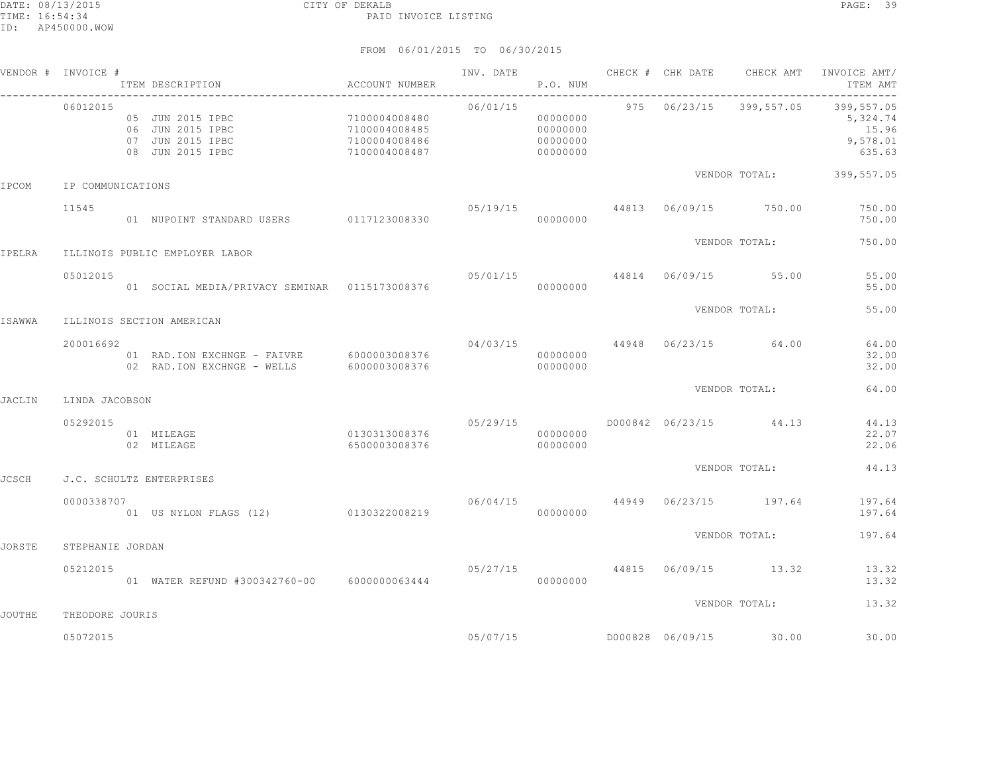|               | VENDOR # INVOICE # | ITEM DESCRIPTION                                                             | ACCOUNT NUMBER                                                     |          | P.O. NUM                                     |  |                                  | INV. DATE 6 CHECK # CHK DATE CHECK AMT INVOICE AMT<br>ITEM AMT                   |
|---------------|--------------------|------------------------------------------------------------------------------|--------------------------------------------------------------------|----------|----------------------------------------------|--|----------------------------------|----------------------------------------------------------------------------------|
|               | 06012015           | 05 JUN 2015 IPBC<br>06 JUN 2015 IPBC<br>07 JUN 2015 IPBC<br>08 JUN 2015 IPBC | 7100004008480<br>7100004008485<br>$7100004008486$<br>7100004008487 | 06/01/15 | 00000000<br>00000000<br>00000000<br>00000000 |  |                                  | 975  06/23/15  399,557.05  399,557.05<br>5,324.74<br>15.96<br>9,578.01<br>635.63 |
| IPCOM         | IP COMMUNICATIONS  |                                                                              |                                                                    |          |                                              |  |                                  | VENDOR TOTAL: 399,557.05                                                         |
|               | 11545              | 01 NUPOINT STANDARD USERS 0117123008330                                      |                                                                    |          | 00000000                                     |  | 05/19/15 44813 06/09/15 750.00   | 750.00<br>750.00                                                                 |
| IPELRA        |                    | ILLINOIS PUBLIC EMPLOYER LABOR                                               |                                                                    |          |                                              |  | VENDOR TOTAL:                    | 750.00                                                                           |
|               | 05012015           | 01 SOCIAL MEDIA/PRIVACY SEMINAR  0115173008376                               |                                                                    |          | 00000000                                     |  | 05/01/15 44814 06/09/15 55.00    | 55.00<br>55.00                                                                   |
| ISAWWA        |                    | ILLINOIS SECTION AMERICAN                                                    |                                                                    |          |                                              |  | VENDOR TOTAL:                    | 55.00                                                                            |
|               | 200016692          | 01 RAD. ION EXCHNGE - FAIVRE 6000003008376<br>02 RAD.ION EXCHNGE - WELLS     | 6000003008376                                                      |          | 00000000<br>00000000                         |  | $04/03/15$ 44948 06/23/15 64.00  | 64.00<br>32.00<br>32.00                                                          |
| <b>JACLIN</b> | LINDA JACOBSON     |                                                                              |                                                                    |          |                                              |  | VENDOR TOTAL:                    | 64.00                                                                            |
|               | 05292015           | 0130313008376<br>01 MILEAGE<br>02 MILEAGE                                    | 6500003008376                                                      | 05/29/15 | 00000000<br>00000000                         |  | D000842 06/23/15 44.13           | 44.13<br>22.07<br>22.06                                                          |
| <b>JCSCH</b>  |                    | J.C. SCHULTZ ENTERPRISES                                                     |                                                                    |          |                                              |  | VENDOR TOTAL:                    | 44.13                                                                            |
|               | 0000338707         | 01 US NYLON FLAGS (12) 0130322008219                                         |                                                                    |          | 00000000                                     |  | $06/04/15$ 44949 06/23/15 197.64 | 197.64<br>197.64                                                                 |
| <b>JORSTE</b> | STEPHANIE JORDAN   |                                                                              |                                                                    |          |                                              |  | VENDOR TOTAL:                    | 197.64                                                                           |
|               | 05212015           | 01 WATER REFUND #300342760-00 6000000063444                                  |                                                                    |          | 00000000                                     |  | 05/27/15 44815 06/09/15 13.32    | 13.32<br>13.32                                                                   |
| JOUTHE        | THEODORE JOURIS    |                                                                              |                                                                    |          |                                              |  | VENDOR TOTAL:                    | 13.32                                                                            |
|               | 05072015           |                                                                              |                                                                    |          |                                              |  |                                  | 30.00                                                                            |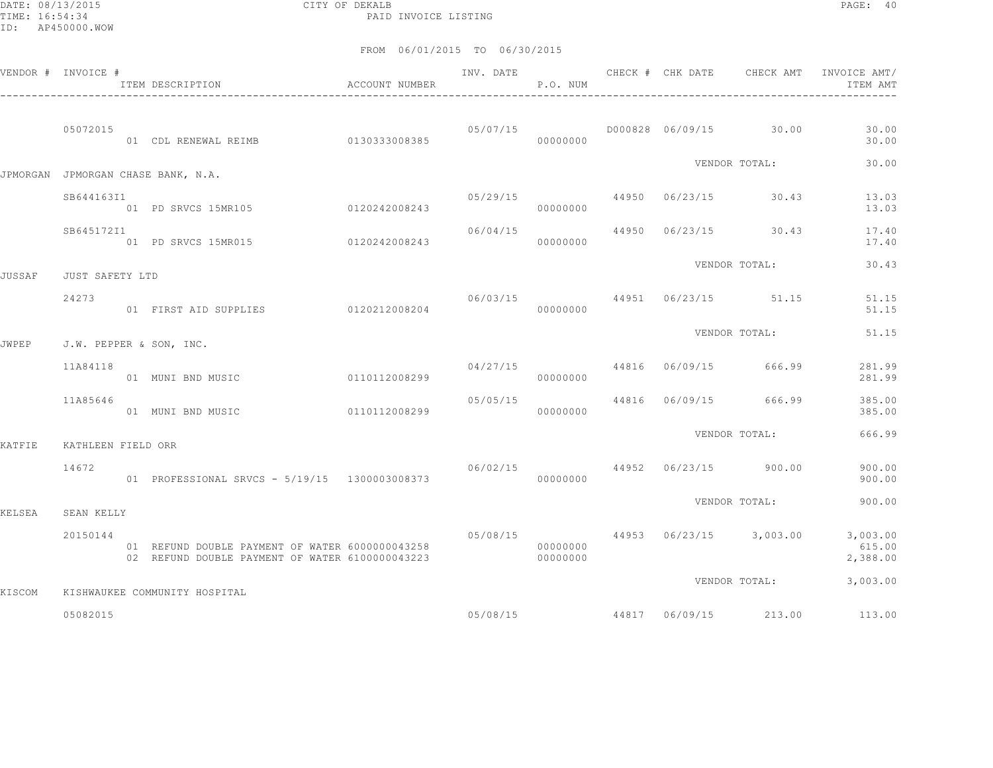DATE: 08/13/2015 CITY OF DEKALB PAGE: 40 PAID INVOICE LISTING

|               | VENDOR # INVOICE # | ITEM DESCRIPTION                                                                                   | ACCOUNT NUMBER |                                | INV. DATE<br>P.O. NUM |  | CHECK # CHK DATE CHECK AMT     | INVOICE AMT/<br>ITEM AMT                                        |
|---------------|--------------------|----------------------------------------------------------------------------------------------------|----------------|--------------------------------|-----------------------|--|--------------------------------|-----------------------------------------------------------------|
|               | 05072015           | 01 CDL RENEWAL REIMB 0130333008385                                                                 |                | 05/07/15                       | 00000000              |  | D000828 06/09/15 30.00         | 30.00<br>30.00                                                  |
|               |                    | JPMORGAN JPMORGAN CHASE BANK, N.A.                                                                 |                |                                |                       |  | VENDOR TOTAL:                  | 30.00                                                           |
|               | SB644163I1         | 01 PD SRVCS 15MR105 0120242008243 000000000                                                        |                |                                |                       |  |                                | $0.5/29/15$ $44950$ $0.6/23/15$ $30.43$ $13.03$<br>13.03        |
|               | SB645172I1         | 01 PD SRVCS 15MR015 0120242008243                                                                  |                |                                | 00000000              |  |                                | $06/04/15$ $44950$ $06/23/15$ $30.43$ $17.40$<br>17.40          |
| <b>JUSSAF</b> | JUST SAFETY LTD    |                                                                                                    |                |                                |                       |  | VENDOR TOTAL:                  | 30.43                                                           |
|               | 24273              | 01 FIRST AID SUPPLIES 0120212008204                                                                |                |                                | 00000000              |  |                                | 06/03/15   44951   06/23/15   51.15   51.15<br>51.15            |
| <b>JWPEP</b>  |                    | J.W. PEPPER & SON, INC.                                                                            |                |                                |                       |  | VENDOR TOTAL:                  | 51.15                                                           |
|               | 11A84118           | 01 MUNI BND MUSIC                                                                                  | 0110112008299  |                                | 00000000              |  | 04/27/15 44816 06/09/15 666.99 | 281.99<br>281.99                                                |
|               | 11A85646           | 01 MUNI BND MUSIC                                                                                  | 0110112008299  | 05/05/15                       | 00000000              |  | 44816 06/09/15 666.99          | 385.00<br>385.00                                                |
| KATFIE        | KATHLEEN FIELD ORR |                                                                                                    |                |                                |                       |  | VENDOR TOTAL:                  | 666.99                                                          |
|               | 14672              | 01 PROFESSIONAL SRVCS - 5/19/15 1300003008373                                                      |                | 06/02/15 44952 06/23/15 900.00 | 00000000              |  |                                | 900.00<br>900.00                                                |
| KELSEA        | SEAN KELLY         |                                                                                                    |                |                                |                       |  | VENDOR TOTAL:                  | 900.00                                                          |
|               | 20150144           | 01 REFUND DOUBLE PAYMENT OF WATER 6000000043258<br>02 REFUND DOUBLE PAYMENT OF WATER 6100000043223 |                |                                | 00000000<br>00000000  |  |                                | 05/08/15 44953 06/23/15 3,003.00 3,003.00<br>615.00<br>2,388.00 |
| KISCOM        |                    | KISHWAUKEE COMMUNITY HOSPITAL                                                                      |                |                                |                       |  | VENDOR TOTAL:                  | 3,003.00                                                        |
|               | 05082015           |                                                                                                    |                |                                |                       |  |                                | 05/08/15 44817 06/09/15 213.00 113.00                           |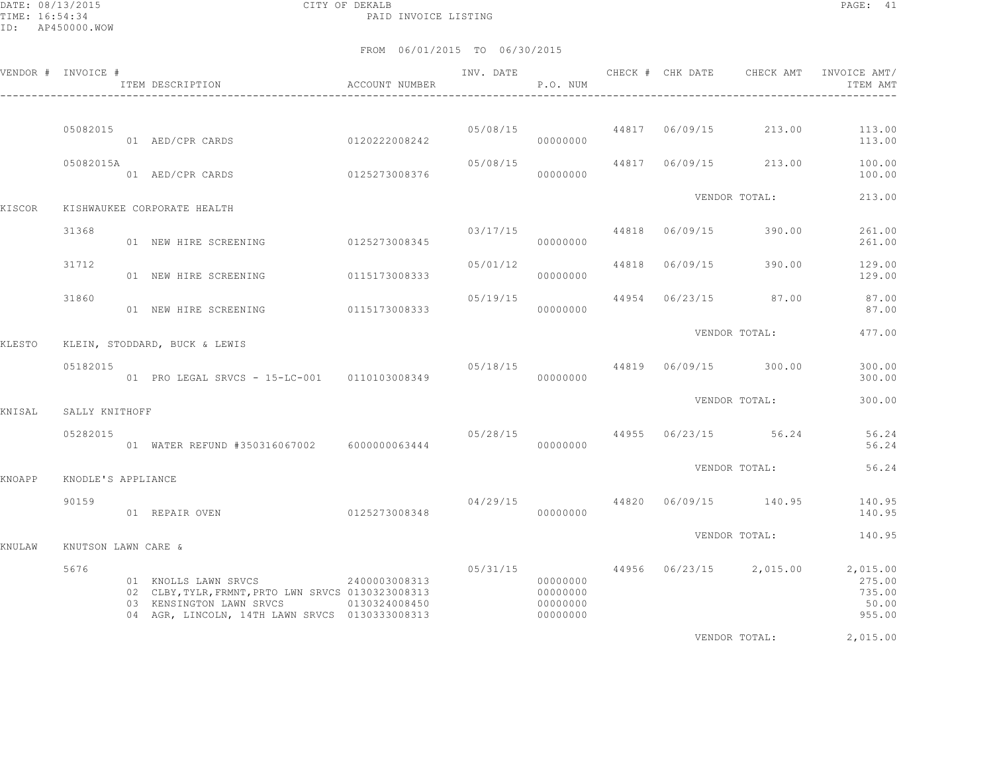DATE: 08/13/2015 CITY OF DEKALB PAGE: 41 PAID INVOICE LISTING

FROM 06/01/2015 TO 06/30/2015

|        | VENDOR # INVOICE #  | ITEM DESCRIPTION<br>$\hfill$<br>ACCOUNT NUMBER                                                                                                                         |               |          | P.O. NUM                                     |                |                                                                                                                                                                                                                                | ITEM AMT                            |
|--------|---------------------|------------------------------------------------------------------------------------------------------------------------------------------------------------------------|---------------|----------|----------------------------------------------|----------------|--------------------------------------------------------------------------------------------------------------------------------------------------------------------------------------------------------------------------------|-------------------------------------|
|        |                     |                                                                                                                                                                        |               |          |                                              |                |                                                                                                                                                                                                                                |                                     |
|        | 05082015            | 01 AED/CPR CARDS                                                                                                                                                       | 0120222008242 |          | 00000000                                     |                | $05/08/15$ 44817 06/09/15 213.00                                                                                                                                                                                               | 113.00<br>113.00                    |
|        | 05082015A           | 01 AED/CPR CARDS                                                                                                                                                       | 0125273008376 | 05/08/15 | 00000000                                     | 44817 06/09/15 | 213.00                                                                                                                                                                                                                         | 100.00<br>100.00                    |
| KISCOR |                     | KISHWAUKEE CORPORATE HEALTH                                                                                                                                            |               |          |                                              |                | VENDOR TOTAL:                                                                                                                                                                                                                  | 213.00                              |
|        | 31368               | 01 NEW HIRE SCREENING                                                                                                                                                  | 0125273008345 |          | 03/17/15<br>00000000                         | 44818 06/09/15 | 390.00                                                                                                                                                                                                                         | 261.00<br>261.00                    |
|        | 31712               | 01 NEW HIRE SCREENING                                                                                                                                                  | 0115173008333 | 05/01/12 | 00000000                                     | 44818 06/09/15 | 390.00                                                                                                                                                                                                                         | 129.00<br>129.00                    |
|        | 31860               | 01 NEW HIRE SCREENING 0115173008333                                                                                                                                    |               | 05/19/15 | 00000000                                     |                | 44954 06/23/15 87.00                                                                                                                                                                                                           | 87.00<br>87.00                      |
| KLESTO |                     | KLEIN, STODDARD, BUCK & LEWIS                                                                                                                                          |               |          |                                              |                | VENDOR TOTAL:                                                                                                                                                                                                                  | 477.00                              |
|        | 05182015            | 01 PRO LEGAL SRVCS - 15-LC-001  0110103008349                                                                                                                          |               | 00000000 |                                              |                | 05/18/15 44819 06/09/15 300.00                                                                                                                                                                                                 | 300.00<br>300.00                    |
| KNISAL | SALLY KNITHOFF      |                                                                                                                                                                        |               |          |                                              |                | VENDOR TOTAL:                                                                                                                                                                                                                  | 300.00                              |
|        | 05282015            | 01 WATER REFUND #350316067002 6000000063444                                                                                                                            |               |          | 00000000                                     |                | $05/28/15$ 44955 06/23/15 56.24                                                                                                                                                                                                | 56.24<br>56.24                      |
| KNOAPP | KNODLE'S APPLIANCE  |                                                                                                                                                                        |               |          |                                              |                | VENDOR TOTAL:                                                                                                                                                                                                                  | 56.24                               |
|        | 90159               | 01 REPAIR OVEN                                                                                                                                                         | 0125273008348 | 04/29/15 | 00000000                                     |                | 44820 06/09/15 140.95                                                                                                                                                                                                          | 140.95<br>140.95                    |
| KNULAW | KNUTSON LAWN CARE & |                                                                                                                                                                        |               |          |                                              |                | VENDOR TOTAL:                                                                                                                                                                                                                  | 140.95                              |
|        | 5676                | 01 KNOLLS LAWN SRVCS 2400003008313<br>02 CLBY, TYLR, FRMNT, PRTO LWN SRVCS 0130323008313<br>03 KENSINGTON LAWN SRVCS<br>04 AGR, LINCOLN, 14TH LAWN SRVCS 0130333008313 | 0130324008450 |          | 00000000<br>00000000<br>00000000<br>00000000 |                | 05/31/15 44956 06/23/15 2,015.00 2,015.00                                                                                                                                                                                      | 275.00<br>735.00<br>50.00<br>955.00 |
|        |                     |                                                                                                                                                                        |               |          |                                              |                | i delle sin i la lingua di construction della construction della construction della construction della construction della construction della construction della construction della construction della construction della const | $\sim$ $\sim$ $\sim$ $\sim$         |

VENDOR TOTAL: 2,015.00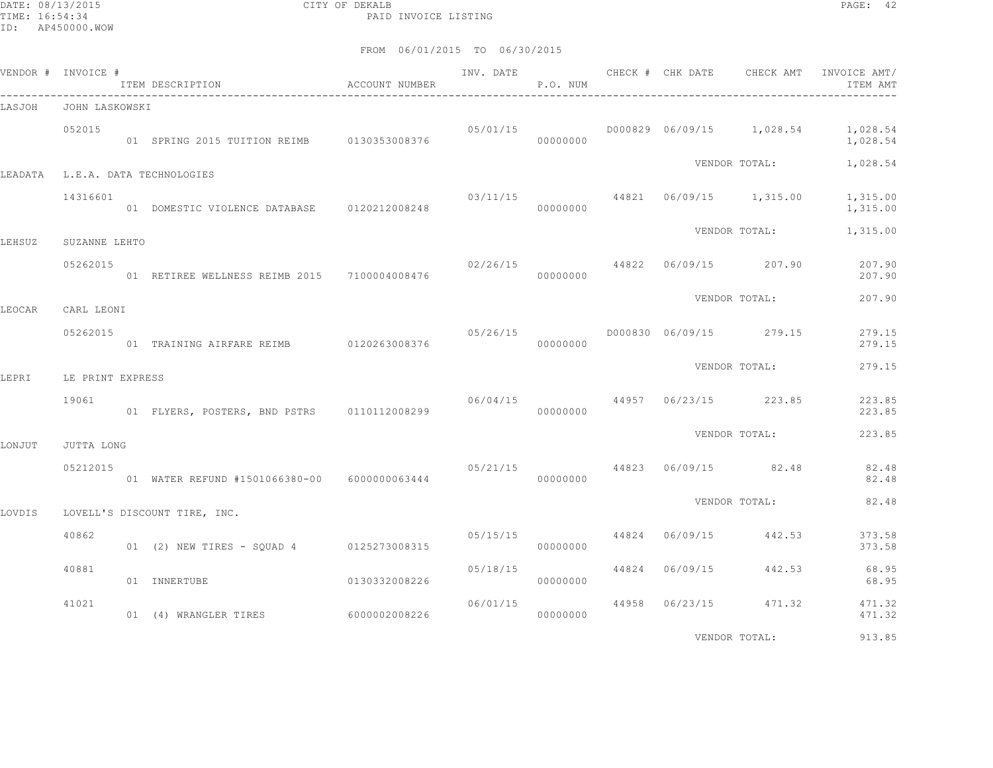DATE: 08/13/2015 CITY OF DEKALB PAGE: 42 PAID INVOICE LISTING

| VENDOR # INVOICE # |                  | ITEM DESCRIPTION                             | ACCOUNT NUMBER | INV. DATE | <b>P.O. NUM</b> |  | CHECK # CHK DATE CHECK AMT               | INVOICE AMT/<br>ITEM AMT                       |
|--------------------|------------------|----------------------------------------------|----------------|-----------|-----------------|--|------------------------------------------|------------------------------------------------|
| LASJOH             | JOHN LASKOWSKI   | ----------------------------------           |                |           |                 |  |                                          |                                                |
|                    | 052015           |                                              |                | 05/01/15  | 00000000        |  |                                          | D000829 06/09/15 1,028.54 1,028.54<br>1,028.54 |
|                    |                  | LEADATA L.E.A. DATA TECHNOLOGIES             |                |           |                 |  | VENDOR TOTAL:                            | 1,028.54                                       |
|                    | 14316601         | 01 DOMESTIC VIOLENCE DATABASE 0120212008248  |                |           | 00000000        |  | $03/11/15$ $44821$ $06/09/15$ $1,315.00$ | 1,315.00<br>1,315.00                           |
| LEHSUZ             | SUZANNE LEHTO    |                                              |                |           |                 |  | VENDOR TOTAL:                            | 1,315.00                                       |
|                    | 05262015         | 01 RETIREE WELLNESS REIMB 2015 7100004008476 |                |           | 00000000        |  | $02/26/15$ 44822 06/09/15 207.90         | 207.90<br>207.90                               |
| LEOCAR             | CARL LEONI       |                                              |                |           |                 |  | VENDOR TOTAL:                            | 207.90                                         |
|                    | 05262015         | 01 TRAINING AIRFARE REIMB 0120263008376      |                |           | 00000000        |  |                                          | 279.15<br>279.15                               |
| LEPRI              | LE PRINT EXPRESS |                                              |                |           |                 |  | VENDOR TOTAL:                            | 279.15                                         |
|                    | 19061            | 01 FLYERS, POSTERS, BND PSTRS 0110112008299  |                | 06/04/15  | 00000000        |  | 44957 06/23/15 223.85                    | 223.85<br>223.85                               |
| LONJUT             | JUTTA LONG       |                                              |                |           |                 |  | VENDOR TOTAL:                            | 223.85                                         |
|                    | 05212015         | 01 WATER REFUND #1501066380-00 6000000063444 |                |           | 00000000        |  | $05/21/15$ 44823 06/09/15 82.48          | 82.48<br>82.48                                 |
|                    |                  |                                              |                |           |                 |  | VENDOR TOTAL:                            | 82.48                                          |
| LOVDIS             |                  | LOVELL'S DISCOUNT TIRE, INC.                 |                |           |                 |  |                                          |                                                |
|                    | 40862            | 01 (2) NEW TIRES - SQUAD 4 0125273008315     |                | 05/15/15  | 00000000        |  | 44824 06/09/15 442.53                    | 373.58<br>373.58                               |
|                    | 40881            | 01 INNERTUBE                                 | 0130332008226  | 05/18/15  | 00000000        |  | 44824 06/09/15 442.53                    | 68.95<br>68.95                                 |
|                    | 41021            | 01 (4) WRANGLER TIRES 6000002008226          |                | 06/01/15  | 00000000        |  | 44958 06/23/15 471.32                    | 471.32<br>471.32                               |
|                    |                  |                                              |                |           |                 |  | VENDOR TOTAL:                            | 913.85                                         |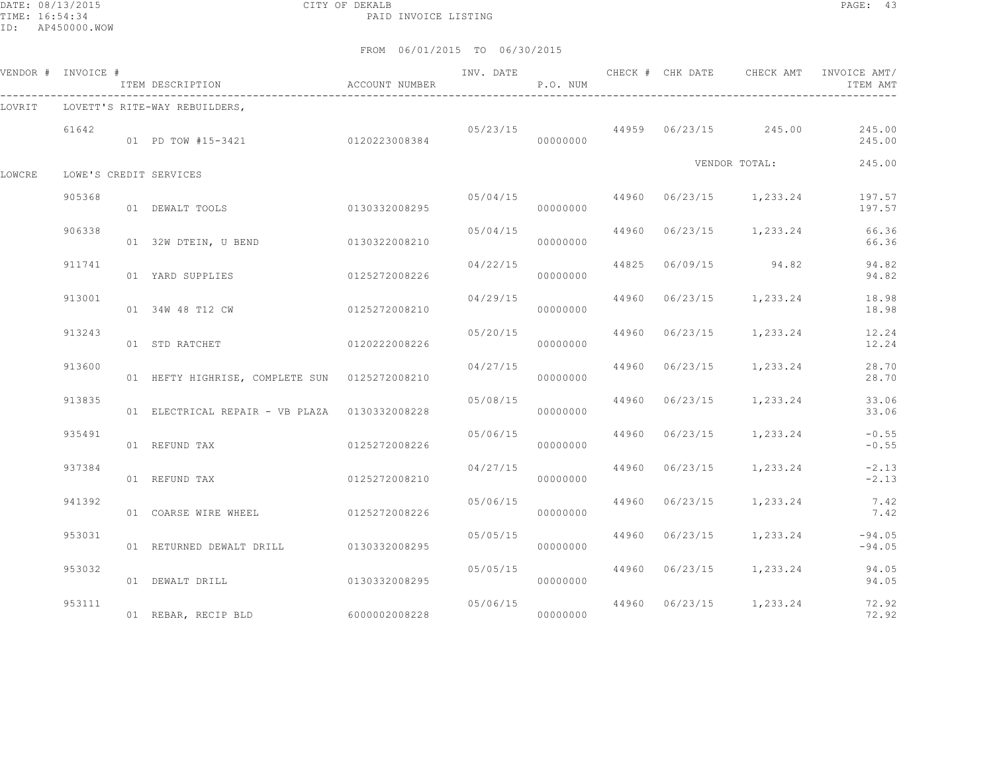DATE: 08/13/2015 CITY OF DEKALB PAGE: 43 PAID INVOICE LISTING

|        | VENDOR # INVOICE # | ITEM DESCRIPTION                              | ACCOUNT NUMBER |                       | P.O. NUM |  |                                          | INV. DATE 6 CHECK # CHK DATE CHECK AMT INVOICE AMT/<br>ITEM AMT |
|--------|--------------------|-----------------------------------------------|----------------|-----------------------|----------|--|------------------------------------------|-----------------------------------------------------------------|
| LOVRIT |                    | LOVETT'S RITE-WAY REBUILDERS,                 |                |                       |          |  |                                          |                                                                 |
|        | 61642              | 01 PD TOW #15-3421                            | 0120223008384  |                       | 00000000 |  | $0.5/23/15$ $44959$ $0.6/23/15$ $245.00$ | 245.00<br>245.00                                                |
| LOWCRE |                    | LOWE'S CREDIT SERVICES                        |                |                       |          |  | VENDOR TOTAL:                            | 245.00                                                          |
|        | 905368             | 01 DEWALT TOOLS                               | 0130332008295  | 05/04/15              | 00000000 |  | 44960 06/23/15 1,233.24                  | 197.57<br>197.57                                                |
|        | 906338             | 01 32W DTEIN, U BEND                          | 0130322008210  | 05/04/15              | 00000000 |  | 44960 06/23/15 1,233.24                  | 66.36<br>66.36                                                  |
|        | 911741             | 01 YARD SUPPLIES                              | 0125272008226  | 04/22/15              | 00000000 |  | 44825 06/09/15 94.82                     | 94.82<br>94.82                                                  |
|        | 913001             | 01 34W 48 T12 CW                              | 0125272008210  | 04/29/15              | 00000000 |  | 44960 06/23/15 1,233.24                  | 18.98<br>18.98                                                  |
|        | 913243             | 01 STD RATCHET                                | 0120222008226  | 05/20/15              | 00000000 |  | 44960 06/23/15 1,233.24                  | 12.24<br>12.24                                                  |
|        | 913600             | 01 HEFTY HIGHRISE, COMPLETE SUN 0125272008210 |                | 04/27/15              | 00000000 |  | 44960 06/23/15 1,233.24                  | 28.70<br>28.70                                                  |
|        | 913835             | 01 ELECTRICAL REPAIR - VB PLAZA 0130332008228 |                | 05/08/15              | 00000000 |  | 44960 06/23/15 1,233.24                  | 33.06<br>33.06                                                  |
|        | 935491             | 01 REFUND TAX                                 | 0125272008226  | 05/06/15              | 00000000 |  | 44960 06/23/15 1,233.24                  | $-0.55$<br>$-0.55$                                              |
|        | 937384             | 01 REFUND TAX                                 | 0125272008210  | 04/27/15              | 00000000 |  | 44960 06/23/15 1,233.24                  | $-2.13$<br>$-2.13$                                              |
|        | 941392             | 01 COARSE WIRE WHEEL                          | 0125272008226  | 05/06/15              | 00000000 |  | 44960 06/23/15 1,233.24                  | 7.42<br>7.42                                                    |
|        | 953031             | 01 RETURNED DEWALT DRILL 0130332008295        |                | 05/05/15              | 00000000 |  | 44960 06/23/15 1,233.24                  | $-94.05$<br>$-94.05$                                            |
|        | 953032             | 01 DEWALT DRILL                               | 0130332008295  | 05/05/15              | 00000000 |  | 44960 06/23/15 1,233.24                  | 94.05<br>94.05                                                  |
|        | 953111             | 01 REBAR, RECIP BLD                           | 60000002008228 | 05/06/15<br>000000000 |          |  | 44960 06/23/15 1,233.24                  | 72.92<br>72.92                                                  |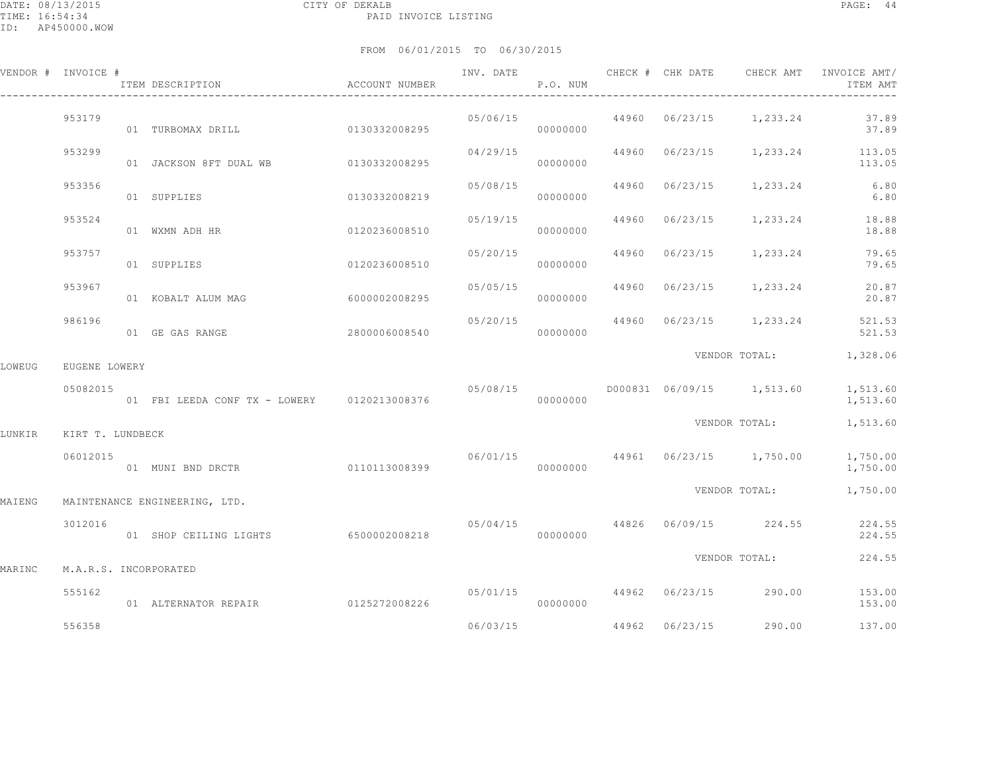|        | VENDOR # INVOICE #    | ITEM DESCRIPTION                            | ACCOUNT NUMBER |          | P.O. NUM |                |                                    | ITEM AMT               |
|--------|-----------------------|---------------------------------------------|----------------|----------|----------|----------------|------------------------------------|------------------------|
|        | 953179                | 01 TURBOMAX DRILL 0130332008295             |                | 05/06/15 | 00000000 |                | 44960 06/23/15 1,233.24            | 37.89<br>37.89         |
|        | 953299                | 01 JACKSON 8FT DUAL WB 0130332008295        |                | 04/29/15 | 00000000 |                | 44960 06/23/15 1,233.24            | 113.05<br>113.05       |
|        | 953356                | 01 SUPPLIES                                 | 0130332008219  | 05/08/15 | 00000000 |                | 44960 06/23/15 1,233.24            | 6.80<br>6.80           |
|        | 953524                | 01 WXMN ADH HR                              | 0120236008510  | 05/19/15 | 00000000 |                | 44960 06/23/15 1,233.24            | 18.88<br>18.88         |
|        | 953757                | 01 SUPPLIES                                 | 0120236008510  | 05/20/15 | 00000000 |                | 44960 06/23/15 1,233.24            | 79.65<br>79.65         |
|        | 953967                | 01 KOBALT ALUM MAG                          | 60000002008295 | 05/05/15 | 00000000 |                | 44960 06/23/15 1,233.24            | 20.87<br>20.87         |
|        | 986196                | 01 GE GAS RANGE                             | 2800006008540  | 05/20/15 | 00000000 |                | 44960 06/23/15 1,233.24            | 521.53<br>521.53       |
| LOWEUG | EUGENE LOWERY         |                                             |                |          |          |                |                                    | VENDOR TOTAL: 1,328.06 |
|        | 05082015              | 01 FBI LEEDA CONF TX - LOWERY 0120213008376 |                |          | 00000000 |                |                                    | 1,513.60<br>1,513.60   |
| LUNKIR | KIRT T. LUNDBECK      |                                             |                |          |          |                |                                    | VENDOR TOTAL: 1,513.60 |
|        | 06012015              | 01 MUNI BND DRCTR                           | 0110113008399  | 00000000 |          |                | $06/01/15$ 44961 06/23/15 1,750.00 | 1,750.00<br>1,750.00   |
| MAIENG |                       | MAINTENANCE ENGINEERING, LTD.               |                |          |          |                |                                    | VENDOR TOTAL: 1,750.00 |
|        | 3012016               | 01 SHOP CEILING LIGHTS                      | 6500002008218  |          | 00000000 |                | 05/04/15 44826 06/09/15 224.55     | 224.55<br>224.55       |
| MARINC | M.A.R.S. INCORPORATED |                                             |                |          |          |                | VENDOR TOTAL:                      | 224.55                 |
|        | 555162                | 01 ALTERNATOR REPAIR                        | 0125272008226  |          | 00000000 |                | $05/01/15$ 44962 06/23/15 290.00   | 153.00<br>153.00       |
|        | 556358                |                                             |                | 06/03/15 |          | 44962 06/23/15 | 290.00                             | 137.00                 |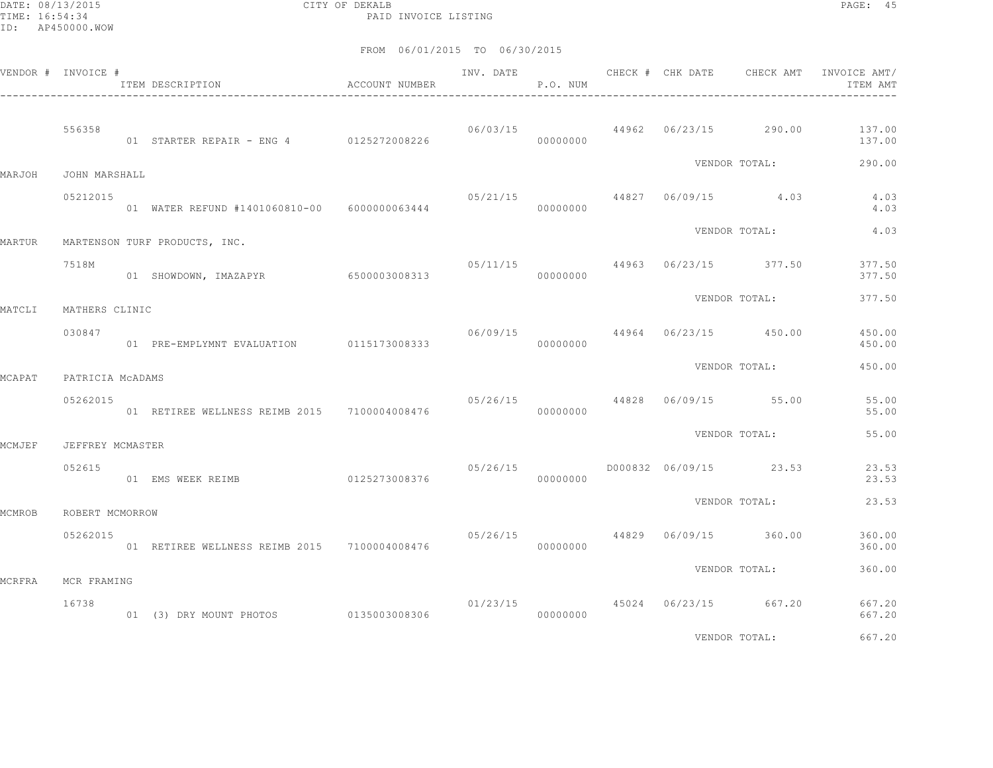DATE: 08/13/2015 CITY OF DEKALB PAGE: 45 PAID INVOICE LISTING

|               | VENDOR # INVOICE # | ITEM DESCRIPTION<br>$\,$<br>$\label{eq:acc}$ ACCOUNT NUMBER |               | INV. DATE | P.O. NUM |  |                                        | CHECK # CHK DATE 6 CHECK AMT INVOICE AMT/<br>ITEM AMT     |
|---------------|--------------------|-------------------------------------------------------------|---------------|-----------|----------|--|----------------------------------------|-----------------------------------------------------------|
|               | 556358             |                                                             |               |           |          |  |                                        | $06/03/15$ $44962$ $06/23/15$ $290.00$ $137.00$<br>137.00 |
| MARJOH        | JOHN MARSHALL      |                                                             |               |           |          |  | VENDOR TOTAL:                          | 290.00                                                    |
|               | 05212015           | 01 WATER REFUND #1401060810-00 6000000063444                |               | 05/21/15  | 00000000 |  | 44827 06/09/15 4.03                    | 4.03<br>4.03                                              |
| MARTUR        |                    | MARTENSON TURF PRODUCTS, INC.                               |               |           |          |  | VENDOR TOTAL:                          | 4.03                                                      |
|               | 7518M              | 01 SHOWDOWN, IMAZAPYR 6500003008313                         |               |           | 00000000 |  | $05/11/15$ 44963 06/23/15 377.50       | 377.50<br>377.50                                          |
| MATCLI        | MATHERS CLINIC     |                                                             |               |           |          |  | VENDOR TOTAL:                          | 377.50                                                    |
|               | 030847             | 01 PRE-EMPLYMNT EVALUATION 0115173008333                    |               |           | 00000000 |  | $06/09/15$ 44964 06/23/15 450.00       | 450.00<br>450.00                                          |
| MCAPAT        | PATRICIA MCADAMS   |                                                             |               |           |          |  | VENDOR TOTAL:                          | 450.00                                                    |
|               | 05262015           | 01 RETIREE WELLNESS REIMB 2015 7100004008476                |               | 05/26/15  | 00000000 |  | 44828 06/09/15 55.00                   | 55.00<br>55.00                                            |
| <b>MCMJEF</b> | JEFFREY MCMASTER   |                                                             |               |           |          |  | VENDOR TOTAL:                          | 55.00                                                     |
|               | 052615             | 01 EMS WEEK REIMB                                           | 0125273008376 | 05/26/15  | 00000000 |  | D000832 06/09/15 23.53                 | 23.53<br>23.53                                            |
| MCMROB        | ROBERT MCMORROW    |                                                             |               |           |          |  | VENDOR TOTAL:                          | 23.53                                                     |
|               | 05262015           | 01 RETIREE WELLNESS REIMB 2015 7100004008476                |               | 05/26/15  | 00000000 |  | 44829 06/09/15 360.00                  | 360.00<br>360.00                                          |
| MCRFRA        | MCR FRAMING        |                                                             |               |           |          |  | VENDOR TOTAL:                          | 360.00                                                    |
|               | 16738              | 01 (3) DRY MOUNT PHOTOS 0135003008306 000000000 00000000    |               |           |          |  | $01/23/15$ $45024$ $06/23/15$ $667.20$ | 667.20<br>667.20                                          |
|               |                    |                                                             |               |           |          |  | VENDOR TOTAL:                          | 667.20                                                    |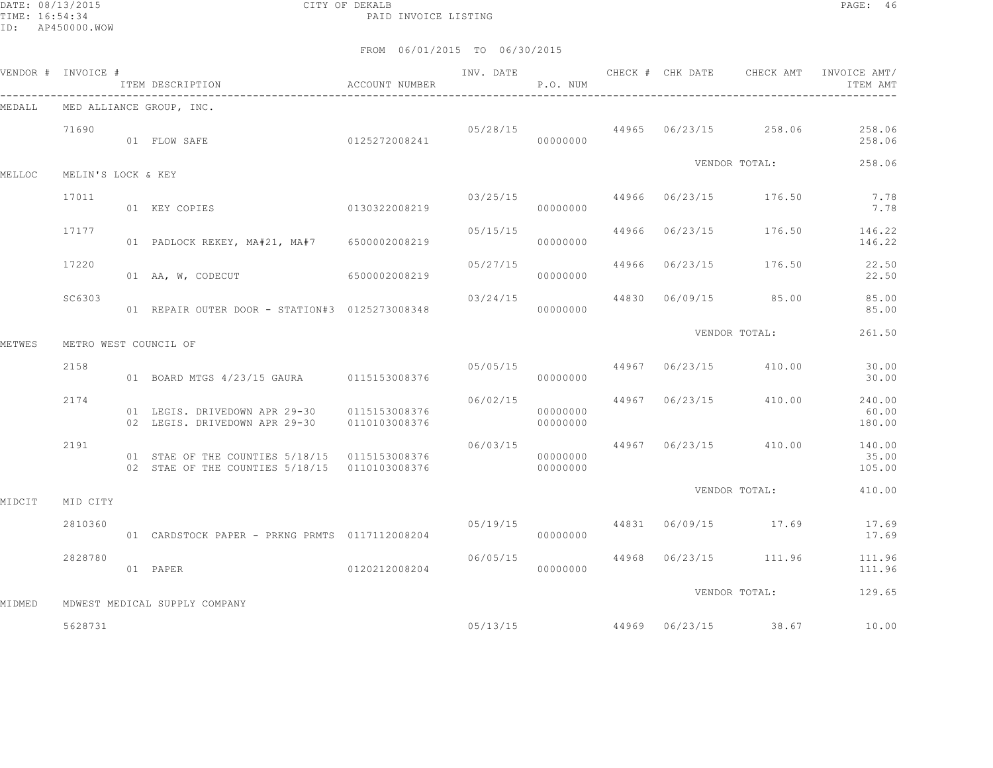DATE: 08/13/2015 CITY OF DEKALB PAGE: 46 PAID INVOICE LISTING

|        | VENDOR # INVOICE #    | ITEM DESCRIPTION<br>----------------------------------                                           | ACCOUNT NUMBER | INV. DATE | P.O. NUM             | CHECK # CHK DATE | CHECK AMT                        | INVOICE AMT/<br>ITEM AMT  |
|--------|-----------------------|--------------------------------------------------------------------------------------------------|----------------|-----------|----------------------|------------------|----------------------------------|---------------------------|
| MEDALL |                       | MED ALLIANCE GROUP, INC.                                                                         |                |           |                      |                  |                                  |                           |
|        | 71690                 | 01 FLOW SAFE                                                                                     | 0125272008241  |           | 00000000             |                  | $05/28/15$ 44965 06/23/15 258.06 | 258.06<br>258.06          |
| MELLOC | MELIN'S LOCK & KEY    |                                                                                                  |                |           |                      |                  | VENDOR TOTAL:                    | 258.06                    |
|        | 17011                 | 01 KEY COPIES                                                                                    | 0130322008219  |           | 03/25/15<br>00000000 |                  | 44966 06/23/15 176.50            | 7.78<br>7.78              |
|        | 17177                 | 01 PADLOCK REKEY, MA#21, MA#7 6500002008219                                                      |                | 05/15/15  | 00000000             |                  | 44966 06/23/15 176.50            | 146.22<br>146.22          |
|        | 17220                 | 01 AA, W, CODECUT                                                                                | 6500002008219  |           | 05/27/15<br>00000000 |                  | 44966 06/23/15 176.50            | 22.50<br>22.50            |
|        | SC6303                | 01 REPAIR OUTER DOOR - STATION#3 0125273008348                                                   |                | 03/24/15  | 00000000             |                  | 44830 06/09/15 85.00             | 85.00<br>85.00            |
| METWES | METRO WEST COUNCIL OF |                                                                                                  |                |           |                      |                  | VENDOR TOTAL:                    | 261.50                    |
|        | 2158                  | 01 BOARD MTGS 4/23/15 GAURA   0115153008376                                                      |                |           | 05/05/15<br>00000000 |                  | 44967 06/23/15 410.00            | 30.00<br>30.00            |
|        | 2174                  | 01 LEGIS. DRIVEDOWN APR 29-30 0115153008376<br>02 LEGIS. DRIVEDOWN APR 29-30 0110103008376       |                | 06/02/15  | 00000000<br>00000000 |                  | 44967 06/23/15 410.00            | 240.00<br>60.00<br>180.00 |
|        | 2191                  | 01 STAE OF THE COUNTIES 5/18/15  0115153008376<br>02 STAE OF THE COUNTIES 5/18/15  0110103008376 |                | 06/03/15  | 00000000<br>00000000 |                  | 44967 06/23/15 410.00            | 140.00<br>35.00<br>105.00 |
| MIDCIT | MID CITY              |                                                                                                  |                |           |                      |                  | VENDOR TOTAL:                    | 410.00                    |
|        | 2810360               | 01 CARDSTOCK PAPER - PRKNG PRMTS 0117112008204                                                   |                | 05/19/15  | 00000000             |                  | 44831 06/09/15 17.69             | 17.69<br>17.69            |
|        | 2828780               | 01 PAPER                                                                                         | 0120212008204  | 06/05/15  | 00000000             |                  | 44968 06/23/15 111.96            | 111.96<br>111.96          |
|        |                       |                                                                                                  |                |           |                      |                  | VENDOR TOTAL:                    | 129.65                    |
| MIDMED | 5628731               | MDWEST MEDICAL SUPPLY COMPANY                                                                    |                | 05/13/15  |                      |                  | 44969 06/23/15 38.67             | 10.00                     |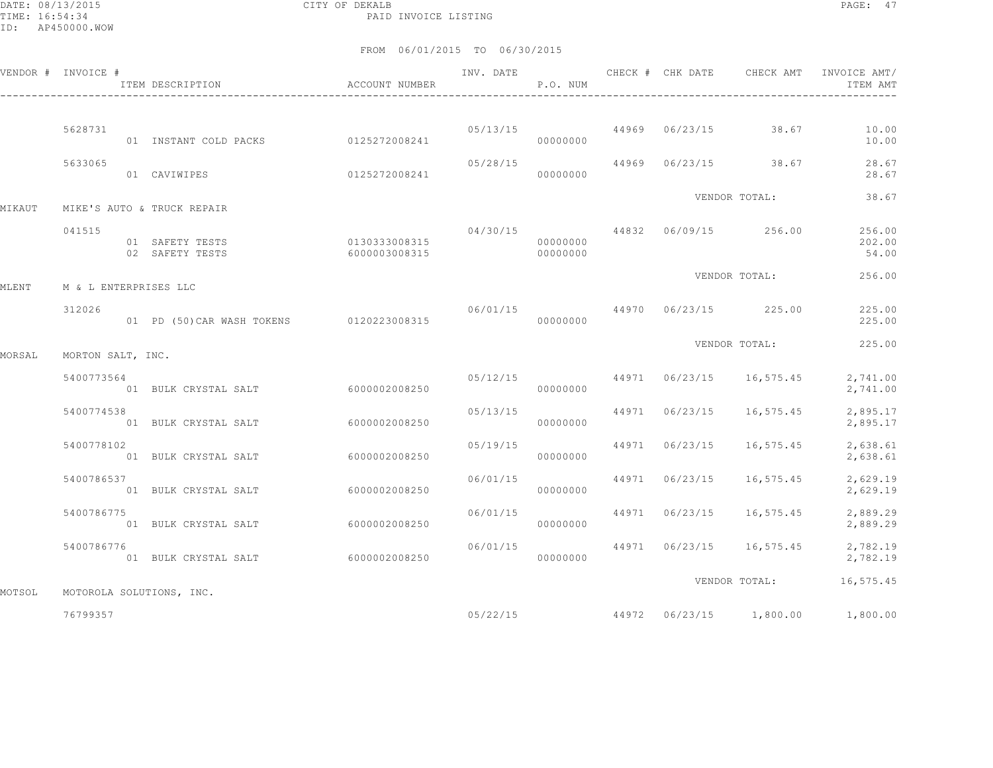DATE: 08/13/2015 CITY OF DEKALB PAGE: 47 PAID INVOICE LISTING

|        | VENDOR # INVOICE #    | ITEM DESCRIPTION                         | ACCOUNT NUMBER                          | INV. DATE | P.O. NUM             |                | CHECK # CHK DATE CHECK AMT             | INVOICE AMT/<br>ITEM AMT  |
|--------|-----------------------|------------------------------------------|-----------------------------------------|-----------|----------------------|----------------|----------------------------------------|---------------------------|
|        |                       |                                          |                                         |           |                      |                |                                        |                           |
|        | 5628731               | 01 INSTANT COLD PACKS 0125272008241      |                                         |           | 00000000             |                | $05/13/15$ $44969$ $06/23/15$ 38.67    | 10.00<br>10.00            |
|        | 5633065               | 01 CAVIWIPES                             | 0125272008241                           | 05/28/15  | 00000000             |                | 44969 06/23/15 38.67                   | 28.67<br>28.67            |
| MIKAUT |                       | MIKE'S AUTO & TRUCK REPAIR               |                                         |           |                      |                | VENDOR TOTAL:                          | 38.67                     |
|        |                       |                                          |                                         |           |                      |                | $04/30/15$ $44832$ $06/09/15$ $256.00$ |                           |
|        | 041515                | 01 SAFETY TESTS<br>02 SAFETY TESTS       | 0130333008315<br>6000003008315 00000000 |           | 00000000             |                |                                        | 256.00<br>202.00<br>54.00 |
| MLENT  | M & L ENTERPRISES LLC |                                          |                                         |           |                      |                | VENDOR TOTAL:                          | 256.00                    |
|        | 312026                | 01 PD (50) CAR WASH TOKENS 0120223008315 |                                         |           | 00000000             |                | 06/01/15 44970 06/23/15 225.00         | 225.00<br>225.00          |
| MORSAL | MORTON SALT, INC.     |                                          |                                         |           |                      |                | VENDOR TOTAL:                          | 225.00                    |
|        | 5400773564            | 01 BULK CRYSTAL SALT                     | 6000002008250                           |           | 00000000             |                | $05/12/15$ 44971 06/23/15 16,575.45    | 2,741.00<br>2,741.00      |
|        | 5400774538            | 01 BULK CRYSTAL SALT                     | 6000002008250                           | 05/13/15  | 00000000             | 44971 06/23/15 | 16,575.45                              | 2,895.17<br>2,895.17      |
|        | 5400778102            | 01 BULK CRYSTAL SALT                     | 6000002008250                           | 05/19/15  | 00000000             | 44971 06/23/15 | 16,575.45                              | 2,638.61<br>2,638.61      |
|        | 5400786537            | 01 BULK CRYSTAL SALT                     | 6000002008250                           | 06/01/15  | 00000000             | 44971 06/23/15 | 16,575.45                              | 2,629.19<br>2,629.19      |
|        | 5400786775            | 01 BULK CRYSTAL SALT                     | 6000002008250                           |           | 06/01/15<br>00000000 | 44971 06/23/15 | 16,575.45                              | 2,889.29<br>2,889.29      |
|        | 5400786776            | 01 BULK CRYSTAL SALT                     | 6000002008250                           | 06/01/15  | 00000000             |                | 44971 06/23/15 16,575.45               | 2,782.19<br>2,782.19      |
| MOTSOL |                       | MOTOROLA SOLUTIONS, INC.                 |                                         |           |                      |                | VENDOR TOTAL:                          | 16,575.45                 |
|        | 76799357              |                                          |                                         | 05/22/15  |                      |                | 44972 06/23/15 1,800.00                | 1,800.00                  |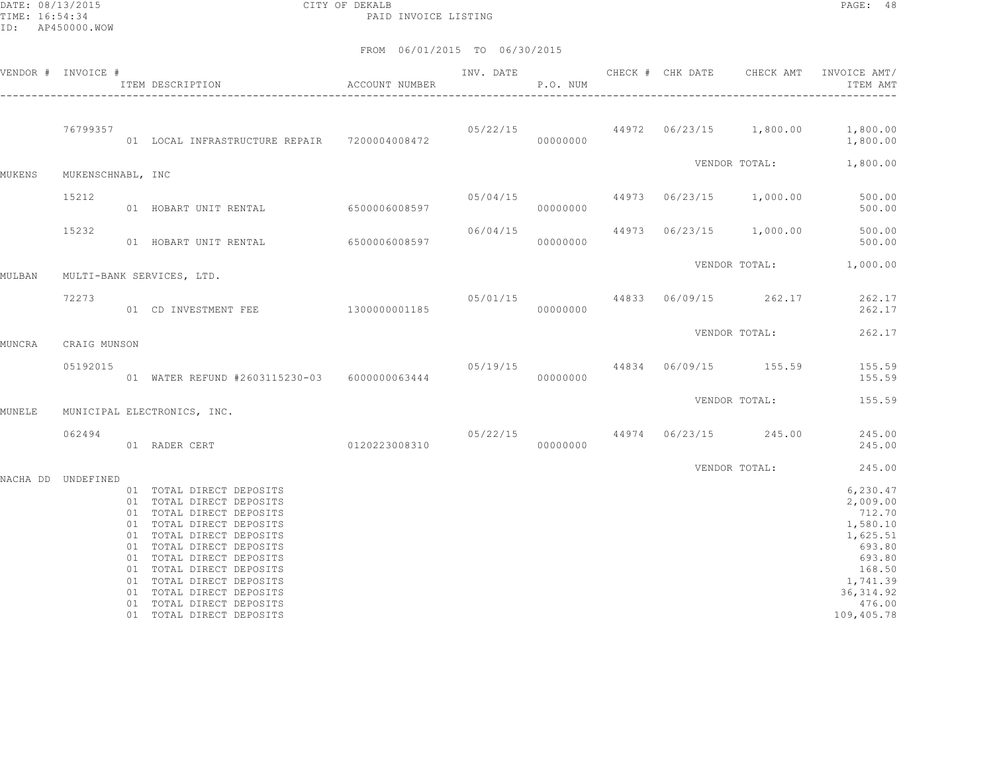DATE: 08/13/2015 CITY OF DEKALB PAGE: 48 PAID INVOICE LISTING

| VENDOR # INVOICE # |                   | ACCOUNT NUMBER<br>ITEM DESCRIPTION                                                                                                                                                                                                                                                                                                           |                                                                               | INV. DATE<br>P.O. NUM |          | CHECK # CHK DATE | CHECK AMT | INVOICE AMT/<br>ITEM AMT                                                                                                               |
|--------------------|-------------------|----------------------------------------------------------------------------------------------------------------------------------------------------------------------------------------------------------------------------------------------------------------------------------------------------------------------------------------------|-------------------------------------------------------------------------------|-----------------------|----------|------------------|-----------|----------------------------------------------------------------------------------------------------------------------------------------|
|                    | 76799357          | 01 LOCAL INFRASTRUCTURE REPAIR 7200004008472                                                                                                                                                                                                                                                                                                 |                                                                               |                       | 00000000 |                  |           | $05/22/15$ $44972$ $06/23/15$ $1,800.00$ $1,800.00$<br>1,800.00                                                                        |
| MUKENS             | MUKENSCHNABL, INC |                                                                                                                                                                                                                                                                                                                                              |                                                                               |                       |          |                  |           | VENDOR TOTAL: 1,800.00                                                                                                                 |
|                    | 15212             | 01 HOBART UNIT RENTAL                                                                                                                                                                                                                                                                                                                        | $05/04/15$<br>6500006008597 06/04/15 000000000 44973 06/23/15 1,000.00 500.00 |                       |          |                  |           |                                                                                                                                        |
|                    | 15232             | 01 HOBART UNIT RENTAL 6500006008597                                                                                                                                                                                                                                                                                                          |                                                                               |                       | 00000000 |                  |           | $06/04/15$ $44973$ $06/23/15$ $1,000.00$ 500.00<br>500.00                                                                              |
| MULBAN             |                   | MULTI-BANK SERVICES, LTD.                                                                                                                                                                                                                                                                                                                    |                                                                               |                       |          |                  |           | VENDOR TOTAL: 1,000.00                                                                                                                 |
|                    | 72273             |                                                                                                                                                                                                                                                                                                                                              |                                                                               |                       |          |                  |           |                                                                                                                                        |
| MUNCRA             | CRAIG MUNSON      |                                                                                                                                                                                                                                                                                                                                              |                                                                               |                       |          |                  |           | VENDOR TOTAL: 262.17                                                                                                                   |
|                    | 05192015          | 01 WATER REFUND #2603115230-03 6000000063444 000000000 00000000                                                                                                                                                                                                                                                                              |                                                                               |                       |          |                  |           | 05/19/15 44834 06/09/15 155.59 155.59<br>155.59                                                                                        |
| MUNELE             |                   | MUNICIPAL ELECTRONICS, INC.                                                                                                                                                                                                                                                                                                                  |                                                                               |                       |          |                  |           | VENDOR TOTAL: 155.59                                                                                                                   |
|                    | 062494            | 0120223008310<br>01 RADER CERT                                                                                                                                                                                                                                                                                                               |                                                                               | 000000000             |          |                  |           | $05/22/15$ 44974 06/23/15 245.00 245.00<br>245.00                                                                                      |
|                    |                   |                                                                                                                                                                                                                                                                                                                                              |                                                                               |                       |          |                  |           | VENDOR TOTAL: 245.00                                                                                                                   |
| NACHA DD UNDEFINED |                   | 01 TOTAL DIRECT DEPOSITS<br>01 TOTAL DIRECT DEPOSITS<br>01 TOTAL DIRECT DEPOSITS<br>01 TOTAL DIRECT DEPOSITS<br>01 TOTAL DIRECT DEPOSITS<br>01 TOTAL DIRECT DEPOSITS<br>01 TOTAL DIRECT DEPOSITS<br>01 TOTAL DIRECT DEPOSITS<br>01 TOTAL DIRECT DEPOSITS<br>01 TOTAL DIRECT DEPOSITS<br>01 TOTAL DIRECT DEPOSITS<br>01 TOTAL DIRECT DEPOSITS |                                                                               |                       |          |                  |           | 6,230.47<br>2,009.00<br>712.70<br>1,580.10<br>1,625.51<br>693.80<br>693.80<br>168.50<br>1,741.39<br>36, 314.92<br>476.00<br>109,405.78 |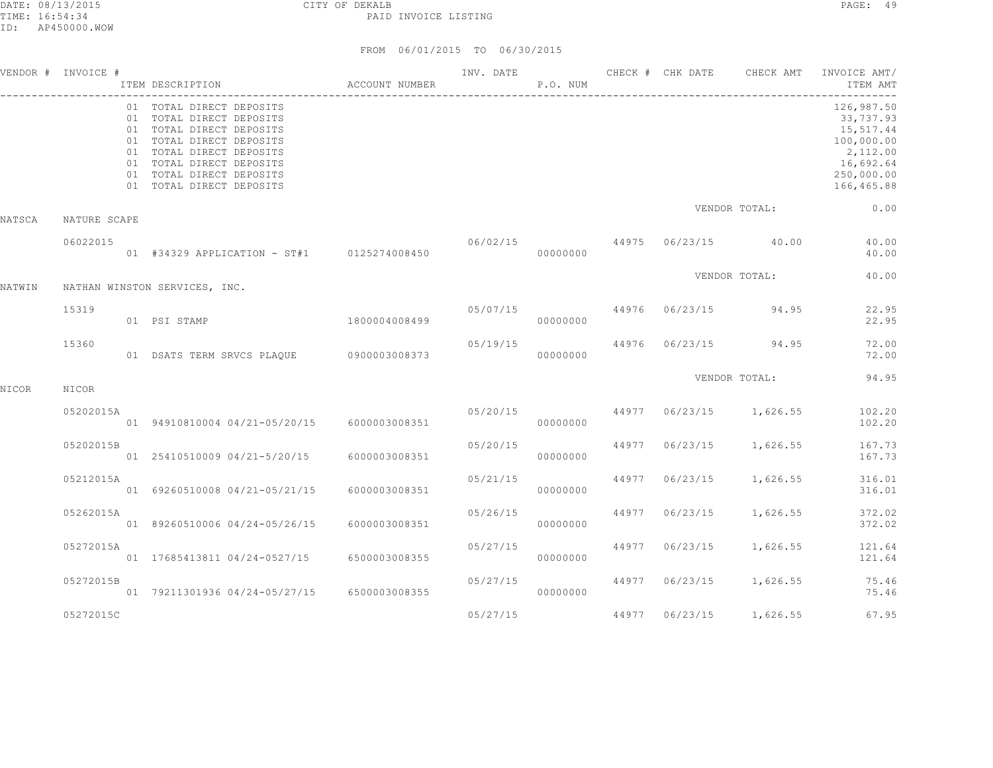|        | VENDOR # INVOICE # | ITEM DESCRIPTION                                                                                                                                                                                                             | ACCOUNT NUMBER |                                          | P.O. NUM |       |                | INV. DATE 6 CHECK # CHK DATE CHECK AMT | INVOICE AMT/<br>ITEM AMT                                                                                |
|--------|--------------------|------------------------------------------------------------------------------------------------------------------------------------------------------------------------------------------------------------------------------|----------------|------------------------------------------|----------|-------|----------------|----------------------------------------|---------------------------------------------------------------------------------------------------------|
|        |                    | 01 TOTAL DIRECT DEPOSITS<br>01 TOTAL DIRECT DEPOSITS<br>01 TOTAL DIRECT DEPOSITS<br>01 TOTAL DIRECT DEPOSITS<br>01 TOTAL DIRECT DEPOSITS<br>01 TOTAL DIRECT DEPOSITS<br>01 TOTAL DIRECT DEPOSITS<br>01 TOTAL DIRECT DEPOSITS |                |                                          |          |       |                |                                        | 126,987.50<br>33,737.93<br>15,517.44<br>100,000.00<br>2,112.00<br>16,692.64<br>250,000.00<br>166,465.88 |
| NATSCA | NATURE SCAPE       |                                                                                                                                                                                                                              |                |                                          |          |       |                | VENDOR TOTAL:                          | 0.00                                                                                                    |
|        | 06022015           | 01 #34329 APPLICATION - ST#1 0125274008450                                                                                                                                                                                   |                | 06/02/15                                 | 00000000 |       |                | 44975 06/23/15 40.00                   | 40.00<br>40.00                                                                                          |
| NATWIN |                    | NATHAN WINSTON SERVICES, INC.                                                                                                                                                                                                |                |                                          |          |       |                | VENDOR TOTAL:                          | 40.00                                                                                                   |
|        | 15319              | 01 PSI STAMP                                                                                                                                                                                                                 | 1800004008499  |                                          | 00000000 |       |                | $05/07/15$ 44976 06/23/15 94.95        | 22.95<br>22.95                                                                                          |
|        | 15360              | 01 DSATS TERM SRVCS PLAQUE 0900003008373                                                                                                                                                                                     |                | 05/19/15                                 | 00000000 |       |                | 44976 06/23/15 94.95                   | 72.00<br>72.00                                                                                          |
| NICOR  | NICOR              |                                                                                                                                                                                                                              |                |                                          |          |       |                | VENDOR TOTAL:                          | 94.95                                                                                                   |
|        | 05202015A          | 01 94910810004 04/21-05/20/15 6000003008351                                                                                                                                                                                  |                | $05/20/15$ $44977$ $06/23/15$ $1,626.55$ | 00000000 |       |                |                                        | 102.20<br>102.20                                                                                        |
|        | 05202015B          | 01 25410510009 04/21-5/20/15                                                                                                                                                                                                 | 6000003008351  | 05/20/15                                 | 00000000 | 44977 |                | $06/23/15$ 1,626.55                    | 167.73<br>167.73                                                                                        |
|        | 05212015A          | 01 69260510008 04/21-05/21/15                                                                                                                                                                                                | 6000003008351  | 05/21/15                                 | 00000000 | 44977 |                | $06/23/15$ 1,626.55                    | 316.01<br>316.01                                                                                        |
|        | 05262015A          | 01 89260510006 04/24-05/26/15                                                                                                                                                                                                | 6000003008351  | 05/26/15                                 | 00000000 | 44977 |                | $06/23/15$ 1,626.55                    | 372.02<br>372.02                                                                                        |
|        | 05272015A          | 01 17685413811 04/24-0527/15 6500003008355                                                                                                                                                                                   |                | 05/27/15                                 | 00000000 | 44977 |                | 06/23/15 1,626.55                      | 121.64<br>121.64                                                                                        |
|        | 05272015B          | 01 79211301936 04/24-05/27/15 6500003008355                                                                                                                                                                                  |                | 05/27/15                                 | 00000000 |       | 44977 06/23/15 | 1,626.55                               | 75.46<br>75.46                                                                                          |
|        | 05272015C          |                                                                                                                                                                                                                              |                | 05/27/15                                 |          |       | 44977 06/23/15 | 1,626.55                               | 67.95                                                                                                   |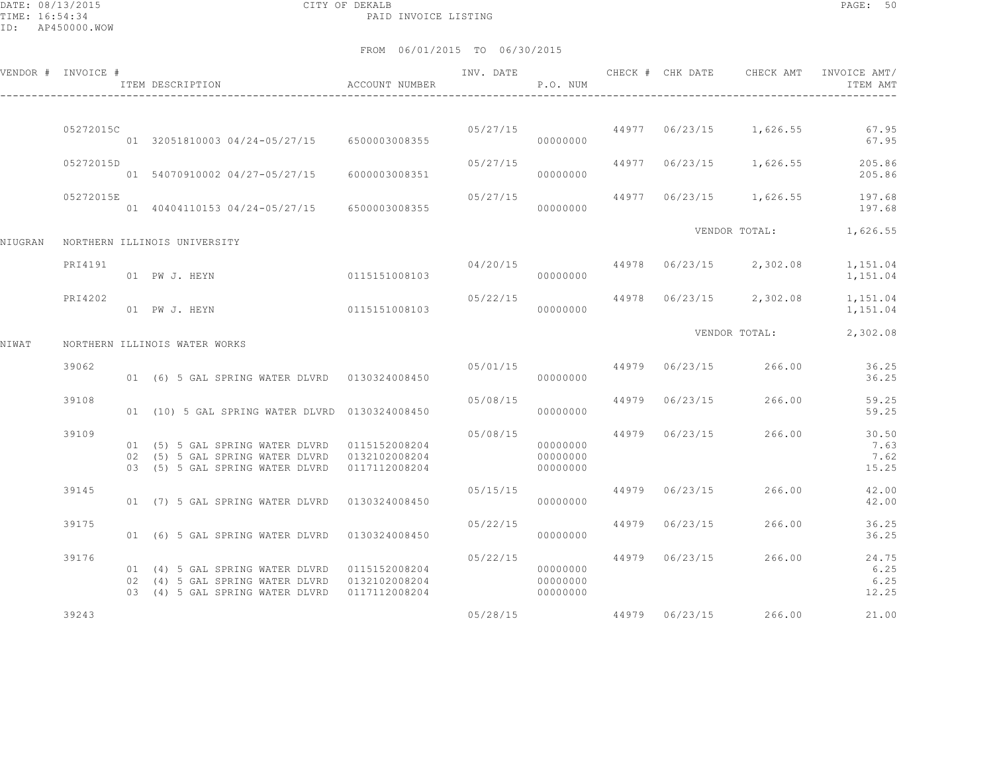DATE: 08/13/2015 CITY OF DEKALB PAGE: 50 PAID INVOICE LISTING

|         | VENDOR # INVOICE # | ITEM DESCRIPTION                                                                                                                  | ACCOUNT NUMBER | INV. DATE | P.O. NUM                         | CHECK # CHK DATE | CHECK AMT                          | INVOICE AMT/<br>ITEM AMT       |
|---------|--------------------|-----------------------------------------------------------------------------------------------------------------------------------|----------------|-----------|----------------------------------|------------------|------------------------------------|--------------------------------|
|         |                    |                                                                                                                                   |                |           |                                  |                  |                                    |                                |
|         | 05272015C          | 01 32051810003 04/24-05/27/15 6500003008355                                                                                       |                |           | 00000000                         |                  | $05/27/15$ 44977 06/23/15 1,626.55 | 67.95<br>67.95                 |
|         | 05272015D          | 01 54070910002 04/27-05/27/15 6000003008351                                                                                       |                | 05/27/15  | 00000000                         |                  | 44977 06/23/15 1,626.55            | 205.86<br>205.86               |
|         | 05272015E          | 01 40404110153 04/24-05/27/15 6500003008355                                                                                       |                | 05/27/15  | 00000000                         |                  | 44977 06/23/15 1,626.55            | 197.68<br>197.68               |
| NIUGRAN |                    | NORTHERN ILLINOIS UNIVERSITY                                                                                                      |                |           |                                  |                  | VENDOR TOTAL:                      | 1,626.55                       |
|         | PRI4191            | 01 PW J. HEYN                                                                                                                     | 0115151008103  | 04/20/15  | 00000000                         |                  | 44978 06/23/15 2,302.08            | 1,151.04<br>1,151.04           |
|         | PRI4202            | 01 PW J. HEYN                                                                                                                     | 0115151008103  | 05/22/15  | 00000000                         |                  | 44978 06/23/15 2,302.08            | 1,151.04<br>1,151.04           |
| NIWAT   |                    | NORTHERN ILLINOIS WATER WORKS                                                                                                     |                |           |                                  |                  | VENDOR TOTAL:                      | 2,302.08                       |
|         | 39062              | 01 (6) 5 GAL SPRING WATER DLVRD 0130324008450                                                                                     |                |           | 00000000                         |                  | 05/01/15 44979 06/23/15 266.00     | 36.25<br>36.25                 |
|         | 39108              | 01 (10) 5 GAL SPRING WATER DLVRD 0130324008450                                                                                    |                | 05/08/15  | 00000000                         | 44979 06/23/15   | 266.00                             | 59.25<br>59.25                 |
|         | 39109              | 01 (5) 5 GAL SPRING WATER DLVRD 0115152008204<br>02 (5) 5 GAL SPRING WATER DLVRD 0132102008204<br>03 (5) 5 GAL SPRING WATER DLVRD | 0117112008204  | 05/08/15  | 00000000<br>00000000<br>00000000 |                  | 44979 06/23/15 266.00              | 30.50<br>7.63<br>7.62<br>15.25 |
|         | 39145              | 01 (7) 5 GAL SPRING WATER DLVRD 0130324008450                                                                                     |                | 05/15/15  | 00000000                         | 44979 06/23/15   | 266.00                             | 42.00<br>42.00                 |
|         | 39175              | 01 (6) 5 GAL SPRING WATER DLVRD 0130324008450                                                                                     |                | 05/22/15  | 00000000                         | 44979 06/23/15   | 266.00                             | 36.25<br>36.25                 |
|         | 39176              | 02 (4) 5 GAL SPRING WATER DLVRD 0132102008204<br>03 (4) 5 GAL SPRING WATER DLVRD 0117112008204                                    |                | 05/22/15  | 00000000<br>00000000<br>00000000 | 44979 06/23/15   | 266.00                             | 24.75<br>6.25<br>6.25<br>12.25 |
|         | 39243              |                                                                                                                                   |                | 05/28/15  |                                  |                  | 44979 06/23/15 266.00              | 21.00                          |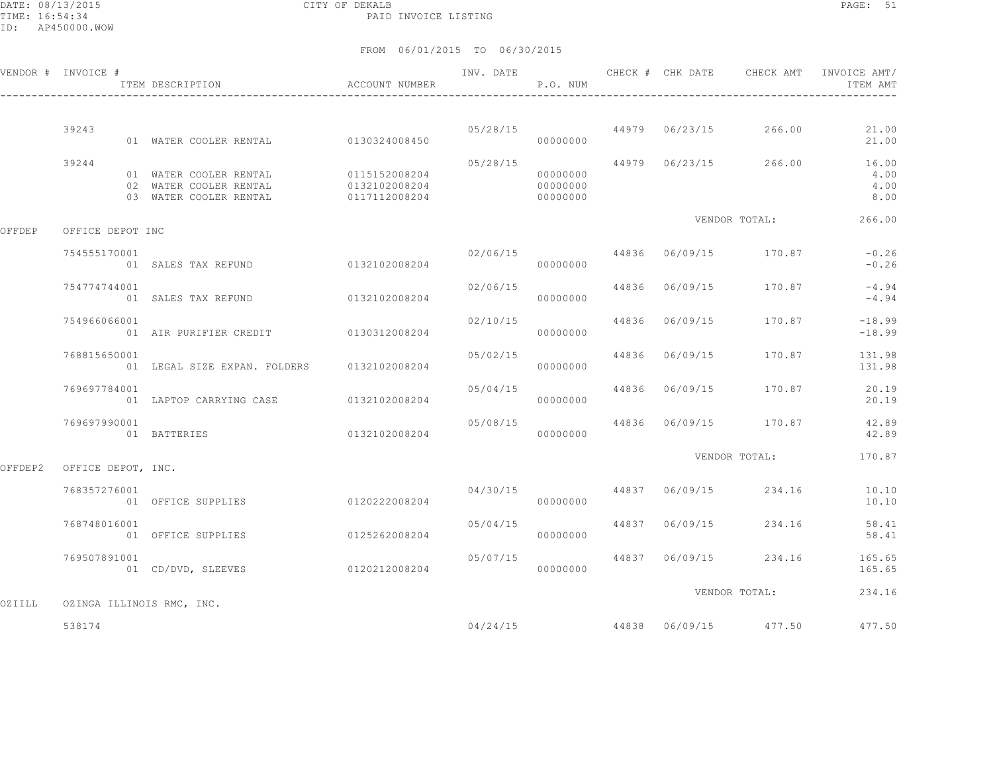DATE: 08/13/2015 CITY OF DEKALB PAGE: 51 PAID INVOICE LISTING

|         | VENDOR # INVOICE #        |                                                                                          |                                                            | INV. DATE                 | P.O. NUM |                | CHECK # CHK DATE CHECK AMT             | INVOICE AMT/<br>ITEM AMT               |
|---------|---------------------------|------------------------------------------------------------------------------------------|------------------------------------------------------------|---------------------------|----------|----------------|----------------------------------------|----------------------------------------|
|         | 39243                     | 01 WATER COOLER RENTAL 0130324008450                                                     |                                                            |                           |          |                | $05/28/15$ 44979 06/23/15 266.00       | 21.00                                  |
|         |                           |                                                                                          |                                                            |                           | 00000000 |                |                                        | 21.00                                  |
|         | 39244                     | 01 WATER COOLER RENTAL 0115152008204<br>02 WATER COOLER RENTAL<br>03 WATER COOLER RENTAL | $0132102008204$ $000000000$<br>$0117112008204$ $000000000$ | 05/28/15                  | 00000000 |                | 44979 06/23/15 266.00                  | 16.00<br>4.00<br>4.00<br>8.00          |
| OFFDEP  | OFFICE DEPOT INC          |                                                                                          |                                                            |                           |          |                | VENDOR TOTAL:                          | 266.00                                 |
|         | 754555170001              | 01 SALES TAX REFUND 0132102008204                                                        |                                                            |                           | 00000000 |                | $02/06/15$ 44836 06/09/15 170.87       | $-0.26$<br>$-0.26$                     |
|         | 754774744001              | 01 SALES TAX REFUND 0132102008204                                                        |                                                            | 02/06/15                  | 00000000 |                | 44836 06/09/15 170.87                  | $-4.94$<br>$-4.94$                     |
|         | 754966066001              | 01 AIR PURIFIER CREDIT 0130312008204                                                     |                                                            | 02/10/15                  | 00000000 | 44836 06/09/15 | 170.87                                 | $-18.99$<br>$-18.99$                   |
|         | 768815650001              | 01 LEGAL SIZE EXPAN. FOLDERS 0132102008204                                               |                                                            | 05/02/15 44836 06/09/15   | 00000000 |                | 170.87                                 | 131.98<br>131.98                       |
|         | 769697784001              | 01 LAPTOP CARRYING CASE 0132102008204                                                    |                                                            | 05/04/15                  | 00000000 |                | 44836 06/09/15 170.87                  | 20.19<br>20.19                         |
|         | 769697990001              | 01 BATTERIES                                                                             | 0132102008204                                              |                           | 00000000 |                | $05/08/15$ 44836 06/09/15 170.87       | 42.89<br>42.89                         |
| OFFDEP2 | OFFICE DEPOT, INC.        |                                                                                          |                                                            |                           |          |                | VENDOR TOTAL:                          | 170.87                                 |
|         | 768357276001              | 01 OFFICE SUPPLIES                                                                       | 0120222008204                                              |                           | 00000000 |                | $04/30/15$ $44837$ $06/09/15$ $234.16$ | 10.10<br>10.10                         |
|         | 768748016001              | 01 OFFICE SUPPLIES                                                                       | 0125262008204                                              | $05/04/15$ 44837 06/09/15 | 00000000 |                | 234.16                                 | 58.41<br>58.41                         |
|         | 769507891001              | 01 CD/DVD, SLEEVES                                                                       | 0120212008204                                              | 05/07/15                  | 00000000 |                |                                        | 44837 06/09/15 234.16 165.65<br>165.65 |
|         |                           |                                                                                          |                                                            |                           |          |                | VENDOR TOTAL:                          | 234.16                                 |
| OZIILL  | OZINGA ILLINOIS RMC, INC. |                                                                                          |                                                            |                           |          |                |                                        |                                        |
|         | 538174                    |                                                                                          |                                                            |                           |          |                | $04/24/15$ 44838 06/09/15 477.50       | 477.50                                 |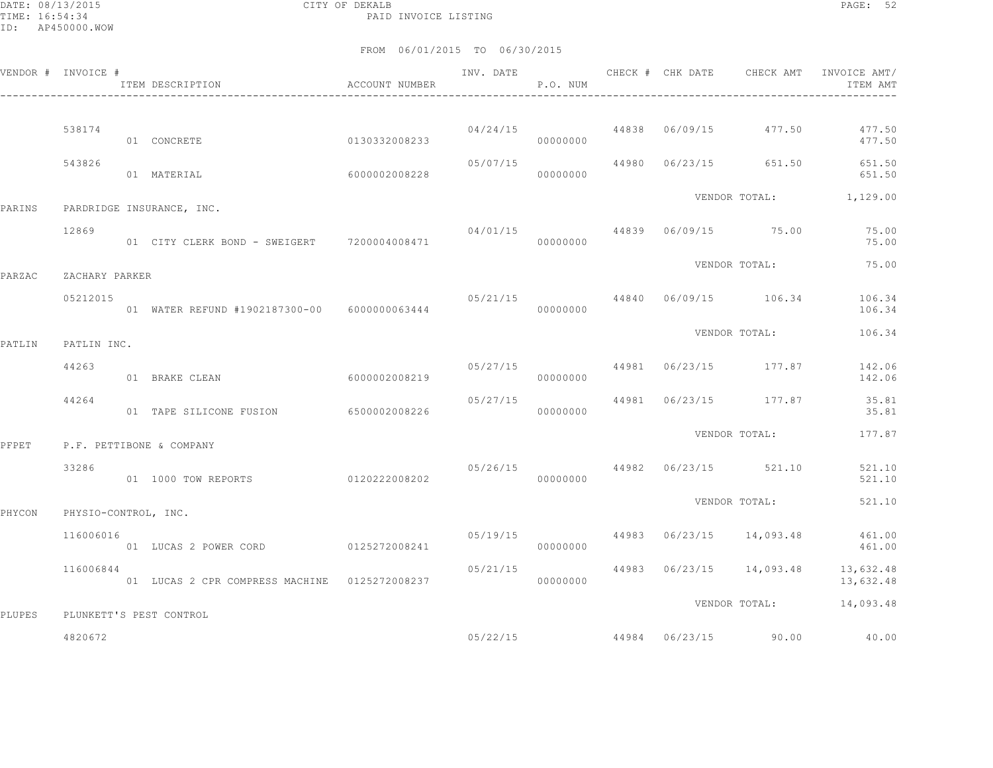DATE: 08/13/2015 CITY OF DEKALB PAGE: 52 PAID INVOICE LISTING

|        | VENDOR # INVOICE #   | ITEM DESCRIPTION                              | ACCOUNT NUMBER |                      | P.O. NUM |  |                                  | INVOICE AMT/<br>ITEM AMT                        |
|--------|----------------------|-----------------------------------------------|----------------|----------------------|----------|--|----------------------------------|-------------------------------------------------|
|        | 538174               |                                               |                |                      | 04/24/15 |  | 44838 06/09/15 477.50            | 477.50                                          |
|        |                      | 01 CONCRETE                                   | 0130332008233  |                      | 00000000 |  |                                  | 477.50                                          |
|        | 543826               | 01 MATERIAL                                   | 6000002008228  | 05/07/15             | 00000000 |  | 44980 06/23/15 651.50            | 651.50<br>651.50                                |
| PARINS |                      | PARDRIDGE INSURANCE, INC.                     |                |                      |          |  |                                  | VENDOR TOTAL: 1,129.00                          |
|        | 12869                | 01 CITY CLERK BOND - SWEIGERT 7200004008471   |                | 04/01/15<br>00000000 |          |  | 44839 06/09/15 75.00             | 75.00<br>75.00                                  |
| PARZAC | ZACHARY PARKER       |                                               |                |                      |          |  | VENDOR TOTAL:                    | 75.00                                           |
|        | 05212015             | 01 WATER REFUND #1902187300-00 6000000063444  |                |                      | 00000000 |  | $05/21/15$ 44840 06/09/15 106.34 | 106.34<br>106.34                                |
| PATLIN | PATLIN INC.          |                                               |                |                      |          |  | VENDOR TOTAL:                    | 106.34                                          |
|        | 44263                | 01 BRAKE CLEAN                                | 6000002008219  | 05/27/15             | 00000000 |  | 44981 06/23/15 177.87            | 142.06<br>142.06                                |
|        | 44264                | 01 TAPE SILICONE FUSION 6500002008226         |                | 05/27/15             | 00000000 |  | 44981 06/23/15 177.87            | 35.81<br>35.81                                  |
| PFPET  |                      | P.F. PETTIBONE & COMPANY                      |                |                      |          |  | VENDOR TOTAL:                    | 177.87                                          |
|        | 33286                | 01 1000 TOW REPORTS                           | 0120222008202  |                      | 00000000 |  | 05/26/15 44982 06/23/15 521.10   | 521.10<br>521.10                                |
| PHYCON | PHYSIO-CONTROL, INC. |                                               |                |                      |          |  | VENDOR TOTAL:                    | 521.10                                          |
|        | 116006016            | 01 LUCAS 2 POWER CORD 0125272008241           |                | 05/19/15             | 00000000 |  | 44983 06/23/15 14,093.48         | 461.00<br>461.00                                |
|        | 116006844            | 01 LUCAS 2 CPR COMPRESS MACHINE 0125272008237 |                | 05/21/15             | 00000000 |  |                                  | 44983 06/23/15 14,093.48 13,632.48<br>13,632.48 |
| PLUPES |                      | PLUNKETT'S PEST CONTROL                       |                |                      |          |  | VENDOR TOTAL:                    | 14,093.48                                       |
|        | 4820672              |                                               |                |                      | 05/22/15 |  | 44984 06/23/15 90.00             | 40.00                                           |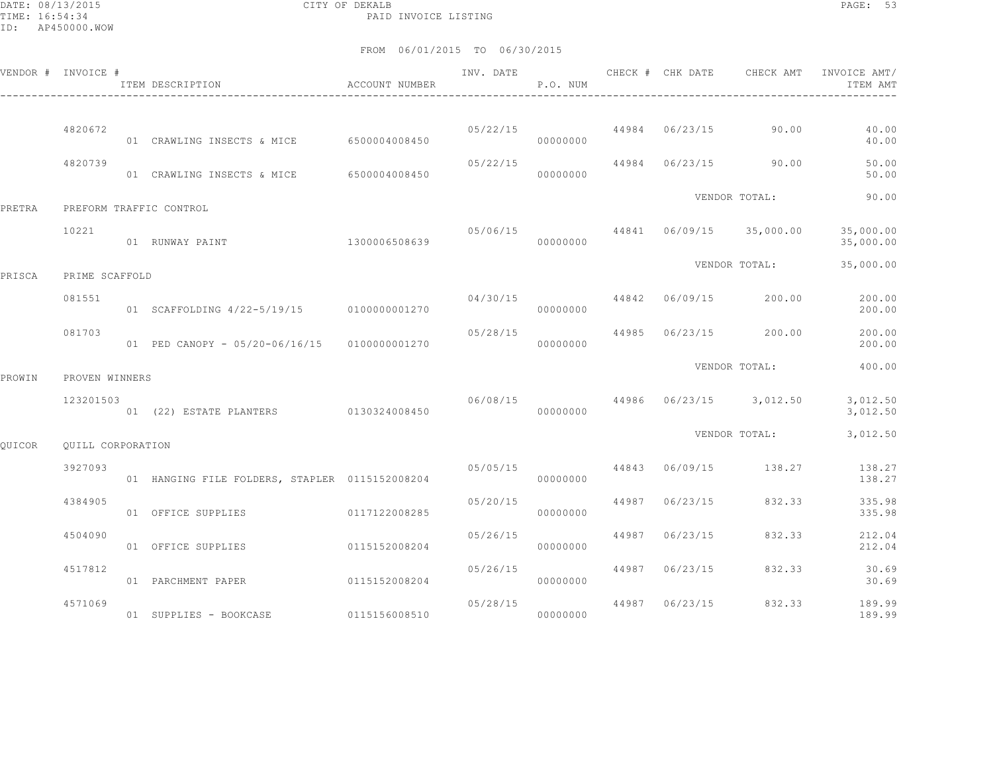DATE: 08/13/2015 CITY OF DEKALB PAGE: 53 PAID INVOICE LISTING

|               | VENDOR # INVOICE # | ITEM DESCRIPTION                               | ACCOUNT NUMBER | INV. DATE | P.O. NUM             |       | CHECK # CHK DATE        | CHECK AMT                        | INVOICE AMT/<br>ITEM AMT |
|---------------|--------------------|------------------------------------------------|----------------|-----------|----------------------|-------|-------------------------|----------------------------------|--------------------------|
|               |                    |                                                |                |           |                      |       |                         | $0.5/22/15$ 44984 06/23/15 90.00 |                          |
|               | 4820672            | 01 CRAWLING INSECTS & MICE 6500004008450       |                |           | 00000000             |       |                         |                                  | 40.00<br>40.00           |
|               | 4820739            | 01 CRAWLING INSECTS & MICE                     | 6500004008450  | 05/22/15  | 00000000             |       |                         | 44984 06/23/15 90.00             | 50.00<br>50.00           |
| PRETRA        |                    | PREFORM TRAFFIC CONTROL                        |                |           |                      |       |                         | VENDOR TOTAL:                    | 90.00                    |
|               | 10221              | 01 RUNWAY PAINT                                | 1300006508639  |           | 00000000             |       | 05/06/15 44841 06/09/15 | 35,000.00                        | 35,000.00<br>35,000.00   |
| PRISCA        | PRIME SCAFFOLD     |                                                |                |           |                      |       |                         | VENDOR TOTAL:                    | 35,000.00                |
|               | 081551             | 01 SCAFFOLDING 4/22-5/19/15 0100000001270      |                | 04/30/15  | 00000000             |       | 44842 06/09/15          | 200.00                           | 200.00<br>200.00         |
|               | 081703             | 01 PED CANOPY - 05/20-06/16/15 0100000001270   |                | 05/28/15  | 00000000             | 44985 | 06/23/15                | 200.00                           | 200.00<br>200.00         |
| PROWIN        | PROVEN WINNERS     |                                                |                |           |                      |       |                         | VENDOR TOTAL:                    | 400.00                   |
|               | 123201503          | 01 (22) ESTATE PLANTERS 0130324008450          |                | 06/08/15  | 00000000             |       |                         | 44986 06/23/15 3,012.50          | 3,012.50<br>3,012.50     |
| <b>OUICOR</b> | OUILL CORPORATION  |                                                |                |           |                      |       |                         | VENDOR TOTAL:                    | 3,012.50                 |
|               | 3927093            | 01 HANGING FILE FOLDERS, STAPLER 0115152008204 |                |           | 05/05/15<br>00000000 | 44843 | 06/09/15                | 138.27                           | 138.27<br>138.27         |
|               | 4384905            | 01 OFFICE SUPPLIES                             | 0117122008285  | 05/20/15  | 00000000             | 44987 | 06/23/15                | 832.33                           | 335.98<br>335.98         |
|               | 4504090            | 01 OFFICE SUPPLIES                             | 0115152008204  | 05/26/15  | 00000000             | 44987 | 06/23/15                | 832.33                           | 212.04<br>212.04         |
|               | 4517812            | 01 PARCHMENT PAPER                             | 0115152008204  | 05/26/15  | 00000000             | 44987 | 06/23/15                | 832.33                           | 30.69<br>30.69           |
|               | 4571069            | 01 SUPPLIES - BOOKCASE                         | 0115156008510  | 05/28/15  | 00000000             | 44987 | 06/23/15                | 832.33                           | 189.99<br>189.99         |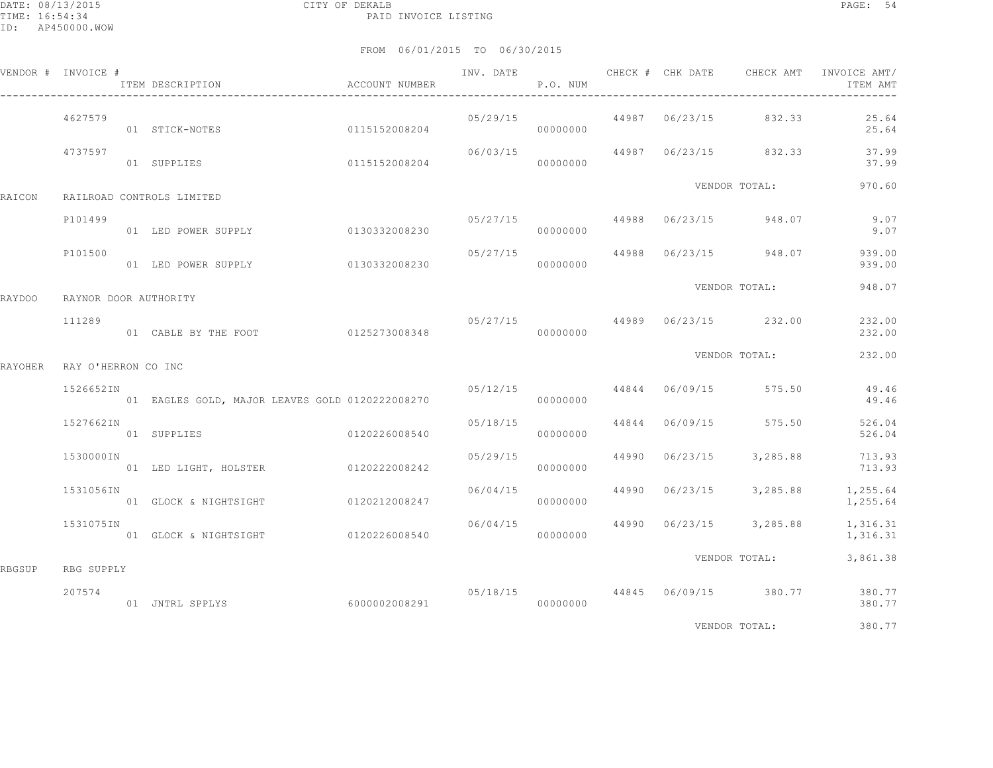|                | VENDOR # INVOICE #    | ITEM DESCRIPTION ACCOUNT NUMBER                 |          | P.O. NUM  |  | INV. DATE 6 CHECK # CHK DATE CHECK AMT | INVOICE AMT/<br>ITEM AMT                            |
|----------------|-----------------------|-------------------------------------------------|----------|-----------|--|----------------------------------------|-----------------------------------------------------|
|                | 4627579               | 0115152008204<br>01 STICK-NOTES                 |          | 00000000  |  | 05/29/15 44987 06/23/15 832.33         | 25.64<br>25.64                                      |
|                | 4737597               | 01 SUPPLIES 0115152008204                       | 06/03/15 | 00000000  |  | 44987 06/23/15 832.33                  | 37.99<br>37.99                                      |
| RAICON         |                       | RAILROAD CONTROLS LIMITED                       |          |           |  | VENDOR TOTAL:                          | 970.60                                              |
|                | P101499               | 01 LED POWER SUPPLY 0130332008230               |          | 00000000  |  | $0.5/27/15$ 44988 $0.6/23/15$ 948.07   | 9.07<br>9.07                                        |
|                | P101500               | 01 LED POWER SUPPLY 0130332008230               | 05/27/15 | 00000000  |  | 44988 06/23/15 948.07                  | 939.00<br>939.00                                    |
| RAYDOO         | RAYNOR DOOR AUTHORITY |                                                 |          |           |  | VENDOR TOTAL:                          | 948.07                                              |
|                | 111289                |                                                 |          |           |  | 05/27/15 44989 06/23/15 232.00         | 232.00<br>232.00                                    |
| <b>RAYOHER</b> | RAY O'HERRON CO INC   |                                                 |          |           |  | VENDOR TOTAL:                          | 232.00                                              |
|                | 1526652IN             | 01 EAGLES GOLD, MAJOR LEAVES GOLD 0120222008270 |          | 000000000 |  | $05/12/15$ 44844 06/09/15 575.50       | 49.46<br>49.46                                      |
|                | 1527662IN             | 01 SUPPLIES 0120226008540                       | 05/18/15 | 00000000  |  | 44844 06/09/15 575.50                  | 526.04<br>526.04                                    |
|                | 1530000IN             | 01 LED LIGHT, HOLSTER 0120222008242             | 05/29/15 | 00000000  |  | 44990 06/23/15 3,285.88                | 713.93<br>713.93                                    |
|                | 1531056IN             | 01 GLOCK & NIGHTSIGHT 0120212008247             | 06/04/15 | 00000000  |  | 44990 06/23/15 3,285.88                | 1,255.64<br>1,255.64                                |
|                | 1531075IN             | 01 GLOCK & NIGHTSIGHT 0120226008540             |          | 00000000  |  | $06/04/15$ 44990 $06/23/15$ 3,285.88   | 1,316.31<br>1,316.31                                |
| RBGSUP         | RBG SUPPLY            |                                                 |          |           |  | VENDOR TOTAL:                          | 3,861.38                                            |
|                | 207574                | 6000002008291<br>01 JNTRL SPPLYS                |          | 00000000  |  |                                        | 05/18/15  44845  06/09/15  380.77  380.77<br>380.77 |
|                |                       |                                                 |          |           |  | VENDOR TOTAL:                          | 380.77                                              |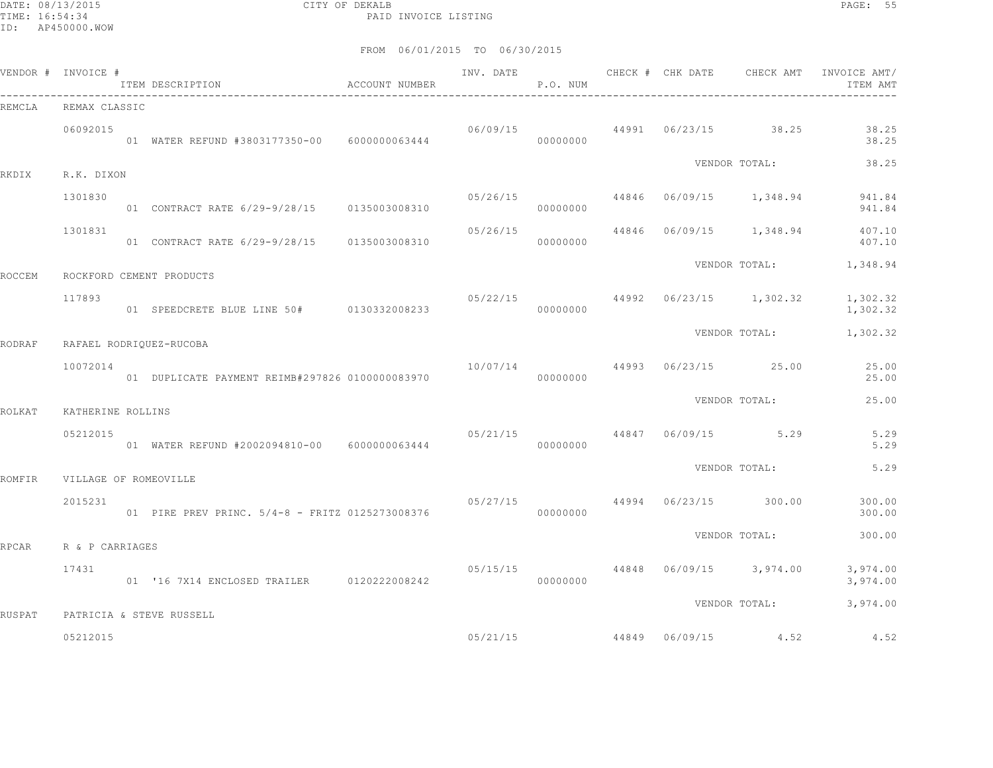DATE: 08/13/2015 CITY OF DEKALB PAGE: 55 PAID INVOICE LISTING

| VENDOR # INVOICE # |                   | ITEM DESCRIPTION<br>$\hfill$<br>ACCOUNT NUMBER  | INV. DATE | P.O. NUM |                | CHECK # CHK DATE CHECK AMT         | INVOICE AMT/<br>ITEM AMT                 |
|--------------------|-------------------|-------------------------------------------------|-----------|----------|----------------|------------------------------------|------------------------------------------|
| REMCLA             | REMAX CLASSIC     |                                                 |           |          |                |                                    |                                          |
|                    | 06092015          | 01 WATER REFUND #3803177350-00 6000000063444    | 06/09/15  | 00000000 |                | 44991 06/23/15 38.25               | 38.25<br>38.25                           |
| RKDIX              | R.K. DIXON        |                                                 |           |          |                | VENDOR TOTAL:                      | 38.25                                    |
|                    | 1301830           |                                                 | 05/26/15  | 00000000 |                |                                    | 44846 06/09/15 1,348.94 941.84<br>941.84 |
|                    | 1301831           | 01 CONTRACT RATE 6/29-9/28/15 0135003008310     | 05/26/15  | 00000000 |                |                                    | 44846 06/09/15 1,348.94 407.10<br>407.10 |
| <b>ROCCEM</b>      |                   | ROCKFORD CEMENT PRODUCTS                        |           |          |                | VENDOR TOTAL:                      | 1,348.94                                 |
|                    | 117893            | 01 SPEEDCRETE BLUE LINE 50# 0130332008233       |           | 00000000 |                | $05/22/15$ 44992 06/23/15 1,302.32 | 1,302.32<br>1,302.32                     |
| <b>RODRAF</b>      |                   | RAFAEL RODRIQUEZ-RUCOBA                         |           |          |                | VENDOR TOTAL:                      | 1,302.32                                 |
|                    | 10072014          | 01 DUPLICATE PAYMENT REIMB#297826 0100000083970 | 10/07/14  | 00000000 |                | 44993 06/23/15 25.00               | 25.00<br>25.00                           |
| ROLKAT             | KATHERINE ROLLINS |                                                 |           |          |                | VENDOR TOTAL:                      | 25.00                                    |
|                    | 05212015          | 01 WATER REFUND #2002094810-00 6000000063444    | 000000000 |          |                | $05/21/15$ $44847$ $06/09/15$ 5.29 | 5.29<br>5.29                             |
| ROMFIR             |                   | VILLAGE OF ROMEOVILLE                           |           |          |                | VENDOR TOTAL:                      | 5.29                                     |
|                    | 2015231           | 01 PIRE PREV PRINC. 5/4-8 - FRITZ 0125273008376 | 05/27/15  | 00000000 | 44994 06/23/15 | 300.00                             | 300.00<br>300.00                         |
| RPCAR              | R & P CARRIAGES   |                                                 |           |          |                | VENDOR TOTAL:                      | 300.00                                   |
|                    | 17431             | 01 '16 7X14 ENCLOSED TRAILER 0120222008242      | 05/15/15  | 00000000 |                | 44848 06/09/15 3,974.00            | 3,974.00<br>3,974.00                     |
| RUSPAT             |                   | PATRICIA & STEVE RUSSELL                        |           |          |                | VENDOR TOTAL:                      | 3,974.00                                 |
|                    | 05212015          |                                                 |           | 05/21/15 |                | 44849 06/09/15 4.52                | 4.52                                     |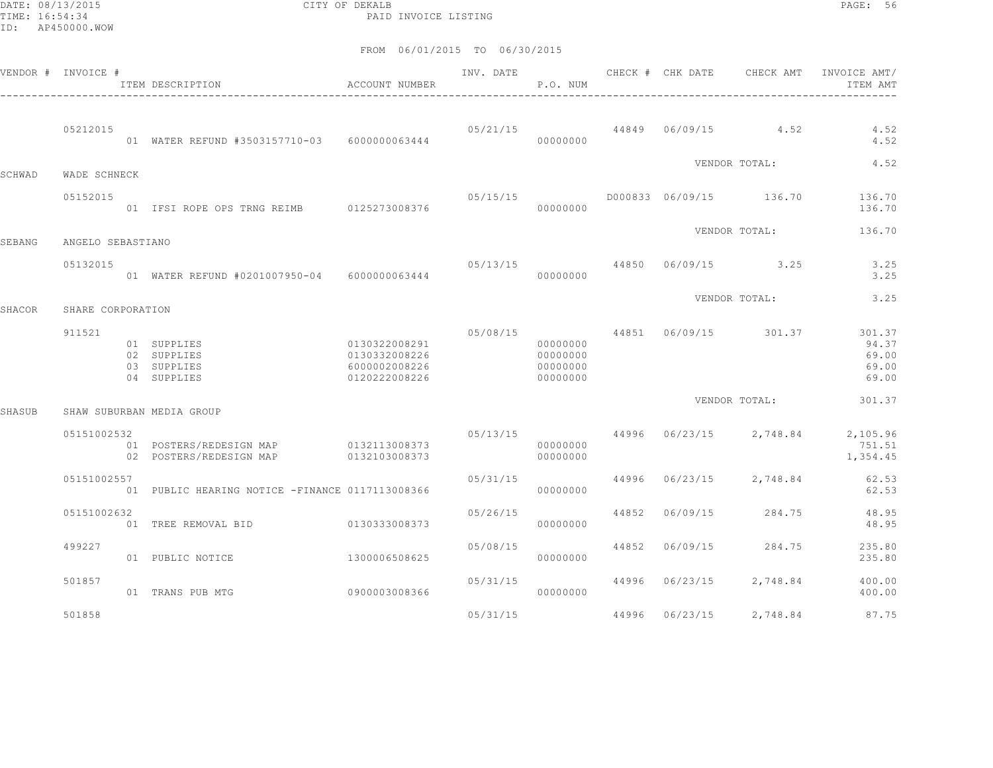DATE: 08/13/2015 CITY OF DEKALB PAGE: 56 PAID INVOICE LISTING

|        | VENDOR # INVOICE #            | ACCOUNT NUMBER<br>ITEM DESCRIPTION                       |                                                                  | INV. DATE | P.O. NUM                                     |       |                | CHECK # CHK DATE CHECK AMT      | INVOICE AMT/<br>ITEM AMT                                        |
|--------|-------------------------------|----------------------------------------------------------|------------------------------------------------------------------|-----------|----------------------------------------------|-------|----------------|---------------------------------|-----------------------------------------------------------------|
|        | 05212015                      | 01 WATER REFUND #3503157710-03 6000000063444             |                                                                  |           | 00000000                                     |       |                | $0.5/21/15$ 44849 06/09/15 4.52 | 4.52<br>4.52                                                    |
| SCHWAD | WADE SCHNECK                  |                                                          |                                                                  |           |                                              |       |                | VENDOR TOTAL:                   | 4.52                                                            |
|        | 05152015                      | 01 IFSI ROPE OPS TRNG REIMB 0125273008376                |                                                                  |           | 00000000                                     |       |                |                                 | 136.70<br>136.70                                                |
|        |                               |                                                          |                                                                  |           |                                              |       |                | VENDOR TOTAL:                   | 136.70                                                          |
| SEBANG | ANGELO SEBASTIANO<br>05132015 | 01 WATER REFUND #0201007950-04    6000000063444          |                                                                  |           | 00000000                                     |       |                | $05/13/15$ 44850 06/09/15 3.25  | 3.25<br>3.25                                                    |
| SHACOR | SHARE CORPORATION             |                                                          |                                                                  |           |                                              |       |                | VENDOR TOTAL:                   | 3.25                                                            |
|        | 911521                        | 01 SUPPLIES<br>02 SUPPLIES<br>03 SUPPLIES<br>04 SUPPLIES | 0130322008291<br>0130332008226<br>6000002008226<br>0120222008226 |           | 00000000<br>00000000<br>00000000<br>00000000 |       |                | 05/08/15 44851 06/09/15 301.37  | 301.37<br>94.37<br>69.00<br>69.00<br>69.00                      |
| SHASUB |                               | SHAW SUBURBAN MEDIA GROUP                                |                                                                  |           |                                              |       |                | VENDOR TOTAL:                   | 301.37                                                          |
|        | 05151002532                   | 02 POSTERS/REDESIGN MAP                                  | 0132103008373                                                    |           | 00000000<br>00000000                         |       |                |                                 | 05/13/15 44996 06/23/15 2,748.84 2,105.96<br>751.51<br>1,354.45 |
|        | 05151002557                   | 01 PUBLIC HEARING NOTICE -FINANCE 0117113008366          |                                                                  | 05/31/15  | 00000000                                     | 44996 | 06/23/15       | 2,748.84                        | 62.53<br>62.53                                                  |
|        | 05151002632                   | 01 TREE REMOVAL BID                                      | 0130333008373                                                    | 05/26/15  | 00000000                                     | 44852 | 06/09/15       | 284.75                          | 48.95<br>48.95                                                  |
|        | 499227                        | 01 PUBLIC NOTICE                                         | 1300006508625                                                    | 05/08/15  | 00000000                                     |       | 44852 06/09/15 | 284.75                          | 235.80<br>235.80                                                |
|        | 501857                        | 01 TRANS PUB MTG                                         | 09000003008366                                                   | 05/31/15  | 00000000                                     |       |                | 44996 06/23/15 2,748.84         | 400.00<br>400.00                                                |
|        | 501858                        |                                                          |                                                                  | 05/31/15  |                                              |       | 44996 06/23/15 | 2,748.84                        | 87.75                                                           |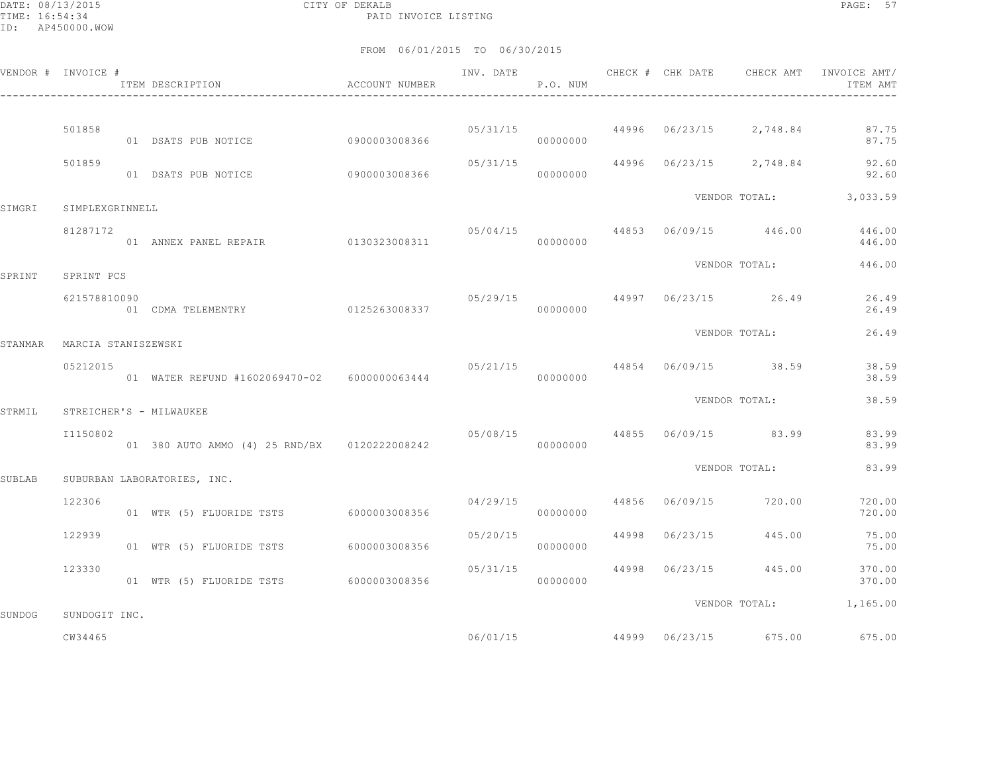DATE: 08/13/2015 CITY OF DEKALB PAGE: 57 PAID INVOICE LISTING

|         | VENDOR # INVOICE #  | ITEM DESCRIPTION<br>$\hfill$<br>ACCOUNT NUMBER |                |          | P.O. NUM  |  |                                        | ITEM AMT                               |
|---------|---------------------|------------------------------------------------|----------------|----------|-----------|--|----------------------------------------|----------------------------------------|
|         | 501858              | 01 DSATS PUB NOTICE 0900003008366              |                |          | 00000000  |  | $05/31/15$ 44996 $06/23/15$ 2,748.84   | 87.75<br>87.75                         |
|         | 501859              | 01 DSATS PUB NOTICE                            | 09000003008366 | 05/31/15 | 00000000  |  | 44996 06/23/15 2,748.84                | 92.60<br>92.60                         |
| SIMGRI  | SIMPLEXGRINNELL     |                                                |                |          |           |  |                                        | VENDOR TOTAL: 3,033.59                 |
|         | 81287172            | 01 ANNEX PANEL REPAIR 0130323008311 000000000  |                | 05/04/15 |           |  |                                        | 44853 06/09/15 446.00 446.00<br>446.00 |
| SPRINT  | SPRINT PCS          |                                                |                |          |           |  | VENDOR TOTAL:                          | 446.00                                 |
|         | 621578810090        | 01 CDMA TELEMENTRY 0125263008337               |                |          | 00000000  |  | $05/29/15$ $44997$ $06/23/15$ $26.49$  | 26.49<br>26.49                         |
| STANMAR | MARCIA STANISZEWSKI |                                                |                |          |           |  | VENDOR TOTAL:                          | 26.49                                  |
|         | 05212015            | 01 WATER REFUND #1602069470-02 6000000063444   |                |          | 00000000  |  | $05/21/15$ 44854 06/09/15 38.59        | 38.59<br>38.59                         |
| STRMIL  |                     | STREICHER'S - MILWAUKEE                        |                |          |           |  | VENDOR TOTAL:                          | 38.59                                  |
|         | I1150802            |                                                |                |          |           |  | 05/08/15 44855 06/09/15 83.99          | 83.99<br>83.99                         |
| SUBLAB  |                     | SUBURBAN LABORATORIES, INC.                    |                |          |           |  | VENDOR TOTAL:                          | 83.99                                  |
|         | 122306              | 01 WTR (5) FLUORIDE TSTS 6000003008356         |                |          | 000000000 |  | $04/29/15$ $44856$ $06/09/15$ $720.00$ | 720.00<br>720.00                       |
|         | 122939              | 01 WTR (5) FLUORIDE TSTS 6000003008356         |                | 05/20/15 | 00000000  |  | 44998 06/23/15 445.00                  | 75.00<br>75.00                         |
|         | 123330              | 01 WTR (5) FLUORIDE TSTS 6000003008356         |                | 05/31/15 | 00000000  |  | 44998 06/23/15 445.00                  | 370.00<br>370.00                       |
| SUNDOG  | SUNDOGIT INC.       |                                                |                |          |           |  |                                        | VENDOR TOTAL: 1,165.00                 |
|         | CW34465             |                                                |                |          | 06/01/15  |  | 44999 06/23/15 675.00                  | 675.00                                 |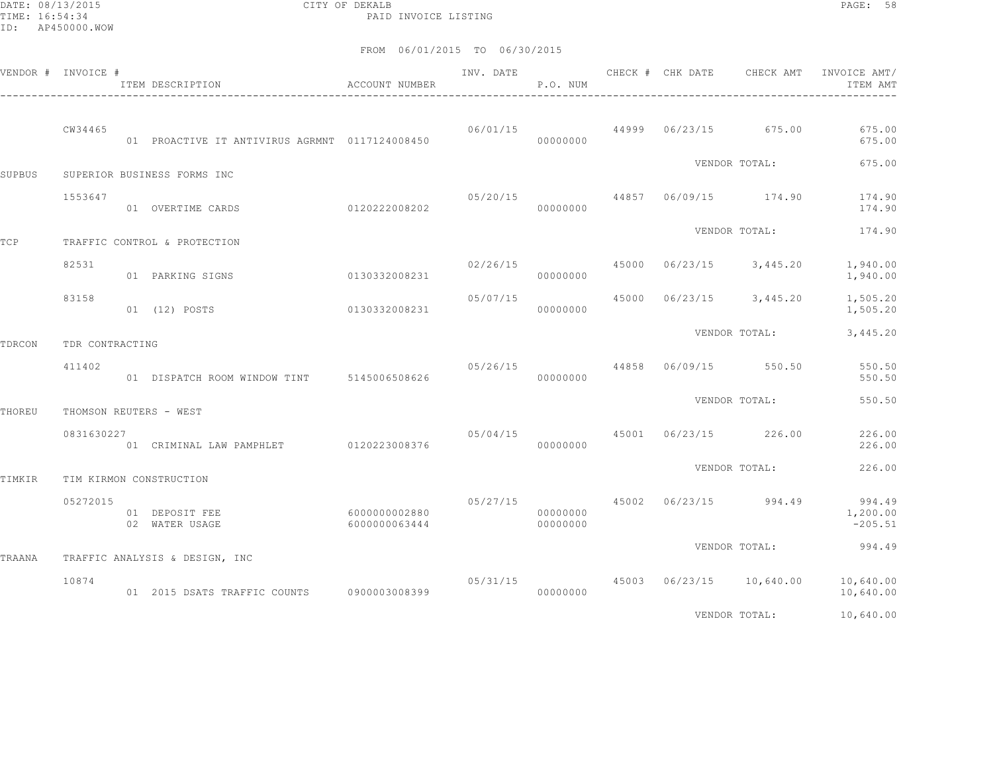DATE: 08/13/2015 CITY OF DEKALB PAGE: 58 PAID INVOICE LISTING

| VENDOR # INVOICE # |                 | ITEM DESCRIPTION                               | <b>ACCOUNT NUMBER</b>          | INV. DATE               | P.O. NUM             | CHECK # CHK DATE | CHECK AMT                      | INVOICE AMT/<br>ITEM AMT                        |
|--------------------|-----------------|------------------------------------------------|--------------------------------|-------------------------|----------------------|------------------|--------------------------------|-------------------------------------------------|
|                    | CW34465         | 01 PROACTIVE IT ANTIVIRUS AGRMNT 0117124008450 |                                |                         | 00000000             |                  | 06/01/15 44999 06/23/15 675.00 | 675.00<br>675.00                                |
| SUPBUS             |                 | SUPERIOR BUSINESS FORMS INC                    |                                |                         |                      |                  | VENDOR TOTAL:                  | 675.00                                          |
|                    | 1553647         | 01 OVERTIME CARDS                              | 0120222008202                  | 05/20/15                | 00000000             |                  | 44857 06/09/15 174.90          | 174.90<br>174.90                                |
| TCP                |                 | TRAFFIC CONTROL & PROTECTION                   |                                |                         |                      |                  | VENDOR TOTAL:                  | 174.90                                          |
|                    | 82531           | 01 PARKING SIGNS                               | 0130332008231                  | 02/26/15                | 00000000             |                  | 45000 06/23/15 3,445.20        | 1,940.00<br>1,940.00                            |
|                    | 83158           | 0130332008231<br>01 (12) POSTS                 |                                | 05/07/15                | 00000000             |                  | 45000 06/23/15 3,445.20        | 1,505.20<br>1,505.20                            |
| TDRCON             | TDR CONTRACTING |                                                |                                |                         |                      |                  | VENDOR TOTAL:                  | 3,445.20                                        |
|                    | 411402          | 01 DISPATCH ROOM WINDOW TINT 5145006508626     |                                | 05/26/15 44858 06/09/15 | 00000000             |                  | 550.50                         | 550.50<br>550.50                                |
| THOREU             |                 | THOMSON REUTERS - WEST                         |                                |                         |                      |                  | VENDOR TOTAL:                  | 550.50                                          |
|                    | 0831630227      | 01 CRIMINAL LAW PAMPHLET 0120223008376         |                                | 05/04/15                | 00000000             |                  | 45001 06/23/15 226.00          | 226.00<br>226.00                                |
| TIMKIR             |                 | TIM KIRMON CONSTRUCTION                        |                                |                         |                      |                  | VENDOR TOTAL:                  | 226.00                                          |
|                    | 05272015        | 01 DEPOSIT FEE<br>02 WATER USAGE               | 6000000002880<br>6000000063444 | 05/27/15 45002 06/23/15 | 00000000<br>00000000 |                  | 994.49                         | 994.49<br>1,200.00<br>$-205.51$                 |
| TRAANA             |                 | TRAFFIC ANALYSIS & DESIGN, INC                 |                                |                         |                      |                  | VENDOR TOTAL:                  | 994.49                                          |
|                    | 10874           | 01  2015  DSATS TRAFFIC COUNTS   0900003008399 |                                | 05/31/15                | 00000000             |                  |                                | 45003 06/23/15 10,640.00 10,640.00<br>10,640.00 |
|                    |                 |                                                |                                |                         |                      |                  | VENDOR TOTAL:                  | 10,640.00                                       |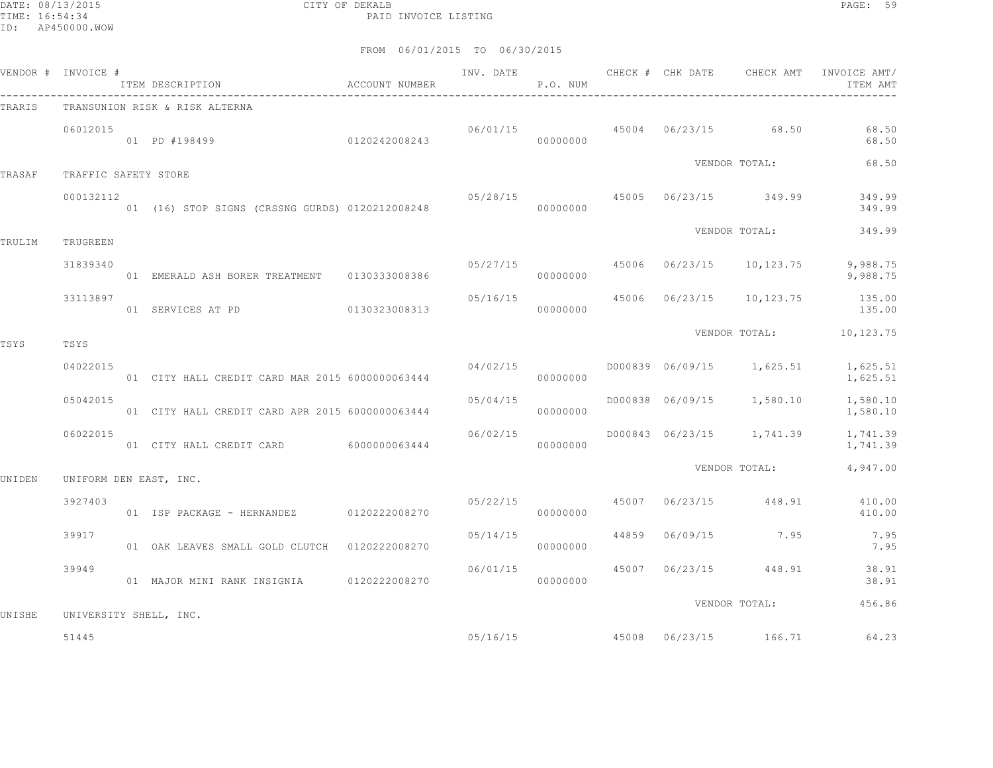DATE: 08/13/2015 CITY OF DEKALB PAGE: 59 PAID INVOICE LISTING

| VENDOR # INVOICE # |                      | ITEM DESCRIPTION <b>ACCOUNT</b> NUMBER          |          | INV. DATE<br>P.O. NUM |  | CHECK # CHK DATE CHECK AMT            | INVOICE AMT/<br>ITEM AMT                           |
|--------------------|----------------------|-------------------------------------------------|----------|-----------------------|--|---------------------------------------|----------------------------------------------------|
| TRARIS             |                      | TRANSUNION RISK & RISK ALTERNA                  |          |                       |  |                                       |                                                    |
|                    | 06012015             | 01 PD #198499 0120242008243                     |          | 00000000              |  | $06/01/15$ $45004$ $06/23/15$ $68.50$ | 68.50<br>68.50                                     |
| TRASAF             | TRAFFIC SAFETY STORE |                                                 |          |                       |  | VENDOR TOTAL:                         | 68.50                                              |
|                    | 000132112            | 01 (16) STOP SIGNS (CRSSNG GURDS) 0120212008248 |          | 00000000              |  | 05/28/15 45005 06/23/15 349.99        | 349.99<br>349.99                                   |
| TRULIM             | TRUGREEN             |                                                 |          |                       |  | VENDOR TOTAL:                         | 349.99                                             |
|                    | 31839340             | 01 EMERALD ASH BORER TREATMENT 0130333008386    |          | 00000000              |  | $05/27/15$ 45006 06/23/15 10,123.75   | 9,988.75<br>9,988.75                               |
|                    | 33113897             | 01 SERVICES AT PD 0130323008313                 |          | 00000000              |  |                                       | 05/16/15 45006 06/23/15 10,123.75 135.00<br>135.00 |
| TSYS               | TSYS                 |                                                 |          |                       |  |                                       | VENDOR TOTAL: 10,123.75                            |
|                    | 04022015             | 01 CITY HALL CREDIT CARD MAR 2015 6000000063444 | 04/02/15 | 00000000              |  |                                       | D000839 06/09/15 1,625.51 1,625.51<br>1,625.51     |
|                    | 05042015             | 01 CITY HALL CREDIT CARD APR 2015 6000000063444 | 05/04/15 | 00000000              |  | D000838 06/09/15 1,580.10             | 1,580.10<br>1,580.10                               |
|                    | 06022015             | 01 CITY HALL CREDIT CARD 6000000063444          | 06/02/15 | 00000000              |  | D000843 06/23/15 1,741.39             | 1,741.39<br>1,741.39                               |
| UNIDEN             |                      | UNIFORM DEN EAST, INC.                          |          |                       |  | VENDOR TOTAL:                         | 4,947.00                                           |
|                    | 3927403              | 01 ISP PACKAGE - HERNANDEZ 0120222008270        | 05/22/15 | 00000000              |  | 45007 06/23/15 448.91                 | 410.00<br>410.00                                   |
|                    | 39917                | 01 OAK LEAVES SMALL GOLD CLUTCH 0120222008270   | 05/14/15 | 00000000              |  | 44859 06/09/15 7.95                   | 7.95<br>7.95                                       |
|                    | 39949                | 01 MAJOR MINI RANK INSIGNIA 0120222008270       | 06/01/15 | 00000000              |  | 45007 06/23/15 448.91                 | 38.91<br>38.91                                     |
| UNISHE             |                      | UNIVERSITY SHELL, INC.                          |          |                       |  | VENDOR TOTAL:                         | 456.86                                             |
|                    | 51445                |                                                 |          | 05/16/15              |  | 45008 06/23/15 166.71                 | 64.23                                              |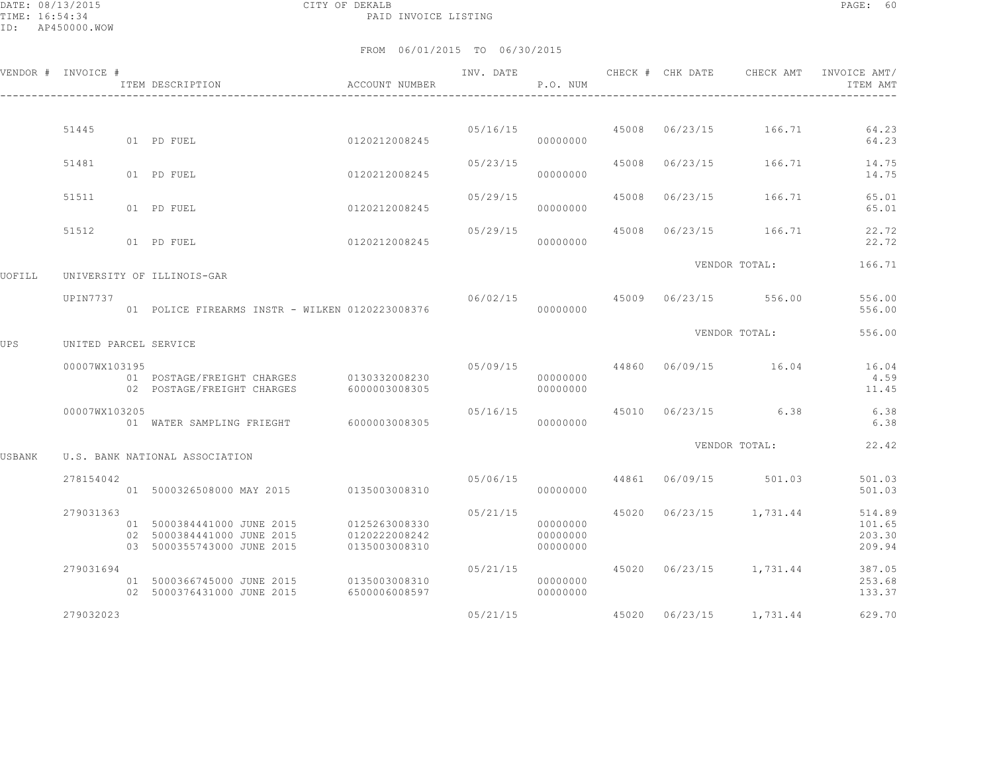DATE: 08/13/2015 CITY OF DEKALB PAGE: 60 PAID INVOICE LISTING

|        | VENDOR # INVOICE #    | ITEM DESCRIPTION                                                                       | <b>ACCOUNT NUMBER</b>                           | INV. DATE | P.O. NUM                         |       | CHECK # CHK DATE | CHECK AMT               | INVOICE AMT/<br>ITEM AMT   |
|--------|-----------------------|----------------------------------------------------------------------------------------|-------------------------------------------------|-----------|----------------------------------|-------|------------------|-------------------------|----------------------------|
|        |                       |                                                                                        |                                                 |           |                                  |       |                  |                         |                            |
|        | 51445                 | 01 PD FUEL                                                                             | 0120212008245                                   | 05/16/15  | 00000000                         | 45008 |                  | 06/23/15 166.71         | 64.23<br>64.23             |
|        | 51481                 | 01 PD FUEL                                                                             | 0120212008245                                   | 05/23/15  | 00000000                         | 45008 | 06/23/15         | 166.71                  | 14.75<br>14.75             |
|        | 51511                 | 01 PD FUEL                                                                             | 0120212008245                                   | 05/29/15  | 00000000                         | 45008 | 06/23/15         | 166.71                  | 65.01<br>65.01             |
|        | 51512                 | 01 PD FUEL                                                                             | 0120212008245                                   | 05/29/15  | 00000000                         | 45008 |                  | 06/23/15 166.71         | 22.72<br>22.72             |
|        |                       |                                                                                        |                                                 |           |                                  |       |                  | VENDOR TOTAL:           | 166.71                     |
| UOFILL |                       | UNIVERSITY OF ILLINOIS-GAR                                                             |                                                 |           |                                  |       |                  |                         |                            |
|        | UPIN7737              | 01 POLICE FIREARMS INSTR - WILKEN 0120223008376                                        |                                                 | 06/02/15  | 00000000                         | 45009 | 06/23/15         | 556.00                  | 556.00<br>556.00           |
| UPS    | UNITED PARCEL SERVICE |                                                                                        |                                                 |           |                                  |       |                  | VENDOR TOTAL:           | 556.00                     |
|        | 00007WX103195         | 01 POSTAGE/FREIGHT CHARGES<br>02 POSTAGE/FREIGHT CHARGES                               | 0130332008230<br>6000003008305                  | 05/09/15  | 44860<br>00000000<br>00000000    |       |                  | 06/09/15 16.04          | 16.04<br>4.59<br>11.45     |
|        | 00007WX103205         | 01 WATER SAMPLING FRIEGHT                                                              | 6000003008305                                   | 05/16/15  | 00000000                         | 45010 |                  | $06/23/15$ 6.38         | 6.38<br>6.38               |
| USBANK |                       | U.S. BANK NATIONAL ASSOCIATION                                                         |                                                 |           |                                  |       |                  | VENDOR TOTAL:           | 22.42                      |
|        | 278154042             | 01 5000326508000 MAY 2015 0135003008310                                                |                                                 | 05/06/15  | 00000000                         | 44861 | 06/09/15         | 501.03                  | 501.03<br>501.03           |
|        | 279031363             |                                                                                        |                                                 | 05/21/15  |                                  | 45020 |                  | 06/23/15 1,731.44       | 514.89                     |
|        |                       | 01 5000384441000 JUNE 2015<br>02 5000384441000 JUNE 2015<br>03 5000355743000 JUNE 2015 | 0125263008330<br>0120222008242<br>0135003008310 |           | 00000000<br>00000000<br>00000000 |       |                  |                         | 101.65<br>203.30<br>209.94 |
|        | 279031694             | 01 5000366745000 JUNE 2015<br>02 5000376431000 JUNE 2015                               | 0135003008310<br>6500006008597                  | 05/21/15  | 00000000<br>00000000             |       |                  | 45020 06/23/15 1,731.44 | 387.05<br>253.68<br>133.37 |
|        | 279032023             |                                                                                        |                                                 | 05/21/15  |                                  |       |                  | 45020 06/23/15 1,731.44 | 629.70                     |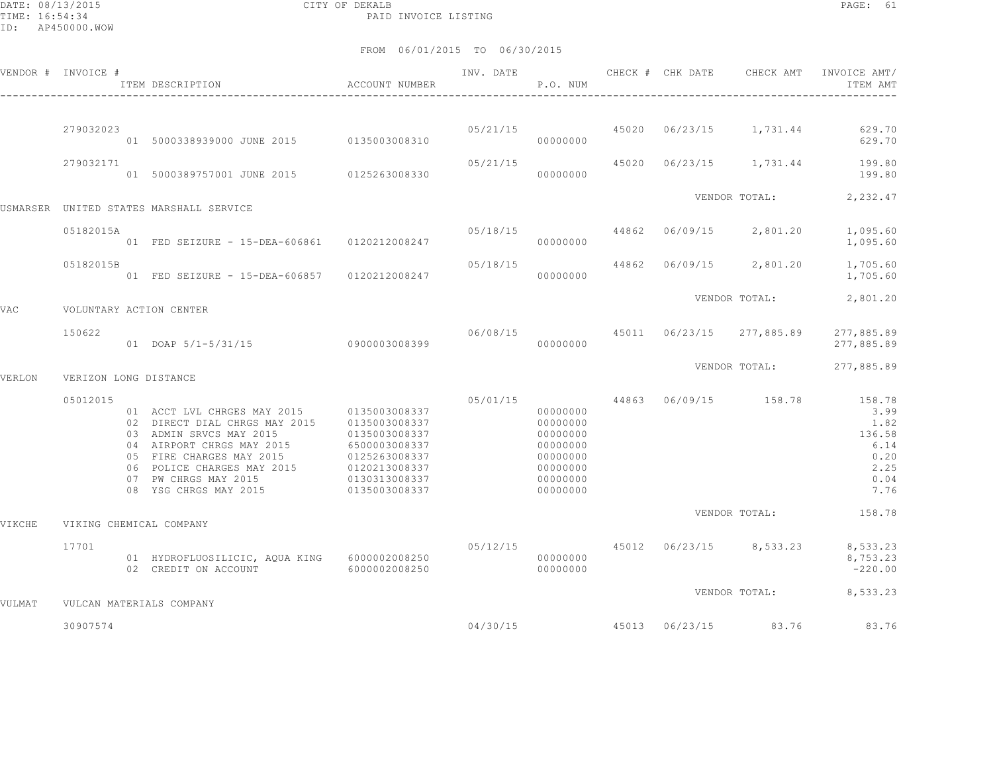DATE: 08/13/2015 CITY OF DEKALB PAGE: 61 PAID INVOICE LISTING

|        | VENDOR # INVOICE #    | ACCOUNT NUMBER<br>ITEM DESCRIPTION<br>---------------------                                                                                                                                                                                   |                                                                                                                     | INV. DATE | P.O. NUM                                                                                     |       | CHECK # CHK DATE | CHECK AMT                 | INVOICE AMT/<br>ITEM AMT                                                 |
|--------|-----------------------|-----------------------------------------------------------------------------------------------------------------------------------------------------------------------------------------------------------------------------------------------|---------------------------------------------------------------------------------------------------------------------|-----------|----------------------------------------------------------------------------------------------|-------|------------------|---------------------------|--------------------------------------------------------------------------|
|        | 279032023             | 01 5000338939000 JUNE 2015 0135003008310                                                                                                                                                                                                      |                                                                                                                     | 05/21/15  | 00000000                                                                                     | 45020 |                  | 06/23/15 1,731.44         | 629.70<br>629.70                                                         |
|        | 279032171             | 01 5000389757001 JUNE 2015 0125263008330                                                                                                                                                                                                      |                                                                                                                     | 05/21/15  | 00000000                                                                                     | 45020 |                  | 06/23/15 1,731.44         | 199.80<br>199.80                                                         |
|        |                       | USMARSER UNITED STATES MARSHALL SERVICE                                                                                                                                                                                                       |                                                                                                                     |           |                                                                                              |       |                  | VENDOR TOTAL:             | 2,232.47                                                                 |
|        | 05182015A             | 01 FED SEIZURE - 15-DEA-606861 0120212008247                                                                                                                                                                                                  |                                                                                                                     | 05/18/15  | 00000000                                                                                     | 44862 | 06/09/15         | 2,801.20                  | 1,095.60<br>1,095.60                                                     |
|        | 05182015B             | 01 FED SEIZURE - 15-DEA-606857 0120212008247                                                                                                                                                                                                  |                                                                                                                     | 05/18/15  | 00000000                                                                                     | 44862 | 06/09/15         | 2,801.20                  | 1,705.60<br>1,705.60                                                     |
| VAC    |                       | VOLUNTARY ACTION CENTER                                                                                                                                                                                                                       |                                                                                                                     |           |                                                                                              |       |                  | VENDOR TOTAL:             | 2,801.20                                                                 |
|        | 150622                | 01 DOAP 5/1-5/31/15 0900003008399                                                                                                                                                                                                             |                                                                                                                     |           | 06/08/15<br>00000000                                                                         |       |                  | 45011 06/23/15 277,885.89 | 277,885.89<br>277,885.89                                                 |
| VERLON | VERIZON LONG DISTANCE |                                                                                                                                                                                                                                               |                                                                                                                     |           |                                                                                              |       |                  | VENDOR TOTAL:             | 277,885.89                                                               |
|        | 05012015              | 01 ACCT LVL CHRGES MAY 2015 0135003008337<br>02 DIRECT DIAL CHRGS MAY 2015<br>03 ADMIN SRVCS MAY 2015<br>04 AIRPORT CHRGS MAY 2015<br>05 FIRE CHARGES MAY 2015<br>06 POLICE CHARGES MAY 2015<br>07 PW CHRGS MAY 2015<br>08 YSG CHRGS MAY 2015 | 0135003008337<br>0135003008337<br>6500003008337<br>0125263008337<br>0120213008337<br>0130313008337<br>0135003008337 | 05/01/15  | 00000000<br>00000000<br>00000000<br>00000000<br>00000000<br>00000000<br>00000000<br>00000000 | 44863 |                  | 06/09/15 158.78           | 158.78<br>3.99<br>1.82<br>136.58<br>6.14<br>0.20<br>2.25<br>0.04<br>7.76 |
| VIKCHE |                       | VIKING CHEMICAL COMPANY                                                                                                                                                                                                                       |                                                                                                                     |           |                                                                                              |       |                  | VENDOR TOTAL:             | 158.78                                                                   |
|        | 17701                 | 01 HYDROFLUOSILICIC, AQUA KING 6000002008250<br>02 CREDIT ON ACCOUNT                                                                                                                                                                          | 6000002008250                                                                                                       |           | 05/12/15<br>00000000<br>00000000                                                             |       |                  | 45012 06/23/15 8,533.23   | 8,533.23<br>8,753.23<br>$-220.00$                                        |
| VULMAT |                       | VULCAN MATERIALS COMPANY                                                                                                                                                                                                                      |                                                                                                                     |           |                                                                                              |       |                  | VENDOR TOTAL:             | 8,533.23                                                                 |
|        | 30907574              |                                                                                                                                                                                                                                               |                                                                                                                     | 04/30/15  |                                                                                              |       |                  | 45013 06/23/15 83.76      | 83.76                                                                    |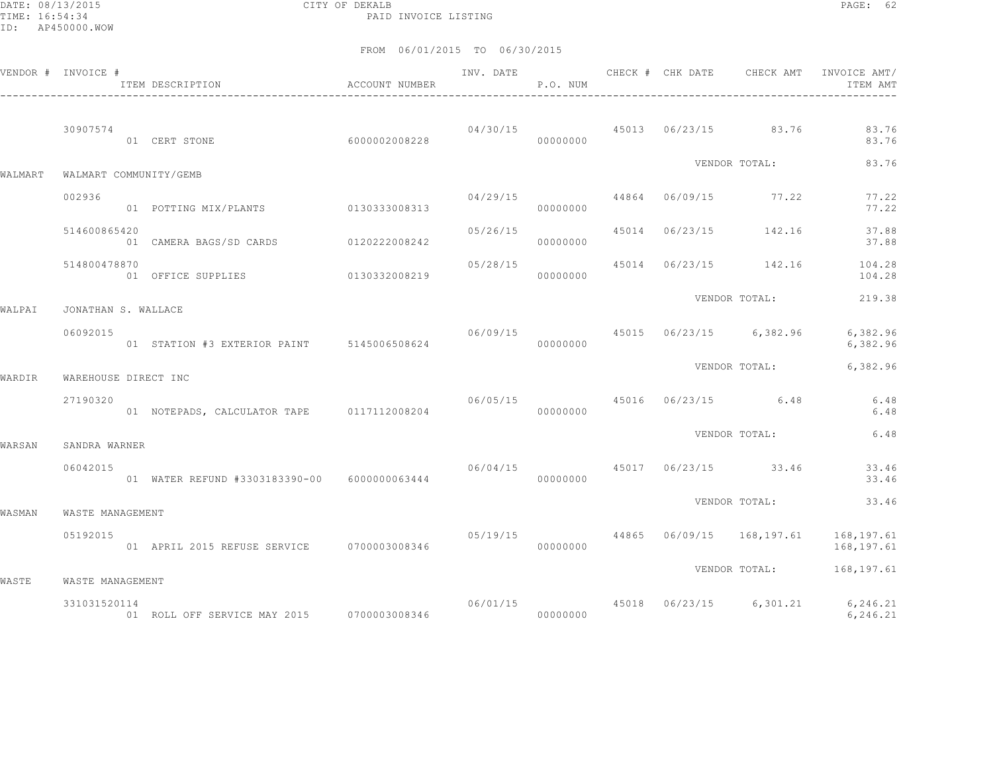DATE: 08/13/2015 CITY OF DEKALB PAGE: 62 PAID INVOICE LISTING

|         | VENDOR # INVOICE #   | ACCOUNT NUMBER<br>-----------------------------------<br>ITEM DESCRIPTION |                                       | INV. DATE | P.O. NUM |  | CHECK # CHK DATE CHECK AMT            | INVOICE AMT/<br>ITEM AMT                              |
|---------|----------------------|---------------------------------------------------------------------------|---------------------------------------|-----------|----------|--|---------------------------------------|-------------------------------------------------------|
|         | 30907574             | 60000002008228<br>01 CERT STONE                                           |                                       |           | 00000000 |  | $04/30/15$ $45013$ $06/23/15$ $83.76$ | 83.76<br>83.76                                        |
| WALMART |                      | WALMART COMMUNITY/GEMB                                                    |                                       |           |          |  | VENDOR TOTAL:                         | 83.76                                                 |
|         | 002936               | 01 POTTING MIX/PLANTS 0130333008313                                       |                                       | 04/29/15  | 00000000 |  | 44864 06/09/15 77.22                  | 77.22<br>77.22                                        |
|         | 514600865420         | 01 CAMERA BAGS/SD CARDS 0120222008242                                     |                                       | 05/26/15  | 00000000 |  | 45014 06/23/15 142.16                 | 37.88<br>37.88                                        |
|         | 514800478870         | 01 OFFICE SUPPLIES 0130332008219                                          |                                       | 05/28/15  | 00000000 |  |                                       | 45014 06/23/15 142.16 104.28<br>104.28                |
| WALPAI  | JONATHAN S. WALLACE  |                                                                           |                                       |           |          |  | VENDOR TOTAL:                         | 219.38                                                |
|         | 06092015             | 01 STATION #3 EXTERIOR PAINT 5145006508624                                |                                       |           | 00000000 |  | $06/09/15$ 45015 06/23/15 6,382.96    | 6,382.96<br>6,382.96                                  |
| WARDIR  | WAREHOUSE DIRECT INC |                                                                           |                                       |           |          |  | VENDOR TOTAL:                         | 6,382.96                                              |
|         | 27190320             | 01 NOTEPADS, CALCULATOR TAPE 0117112008204                                |                                       |           | 00000000 |  | 06/05/15 45016 06/23/15 6.48          | 6.48<br>6.48                                          |
| WARSAN  | SANDRA WARNER        |                                                                           |                                       |           |          |  | VENDOR TOTAL:                         | 6.48                                                  |
|         | 06042015             | 01 WATER REFUND #3303183390-00 6000000063444                              | $06/04/15$ $45017$ $06/23/15$ $33.46$ |           | 00000000 |  |                                       | 33.46<br>33.46                                        |
| WASMAN  | WASTE MANAGEMENT     |                                                                           |                                       |           |          |  | VENDOR TOTAL:                         | 33.46                                                 |
|         | 05192015             |                                                                           |                                       | 05/19/15  | 00000000 |  |                                       | 44865 06/09/15 168,197.61 168,197.61<br>168,197.61    |
| WASTE   | WASTE MANAGEMENT     |                                                                           |                                       |           |          |  |                                       | VENDOR TOTAL: 168,197.61                              |
|         | 331031520114         |                                                                           |                                       |           |          |  |                                       | 06/01/15 45018 06/23/15 6,301.21 6,246.21<br>6,246.21 |